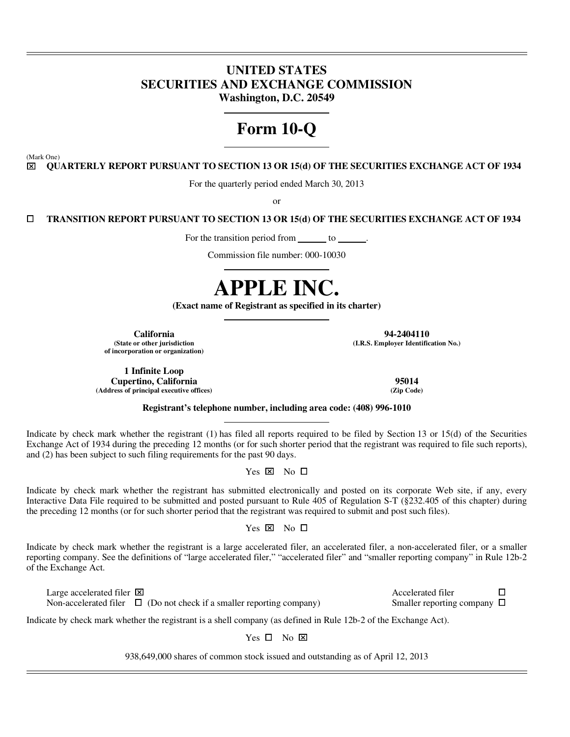# **UNITED STATES SECURITIES AND EXCHANGE COMMISSION Washington, D.C. 20549**

# **Form 10-Q**

(Mark One)

 $\overline{a}$ 

# ⌧ **QUARTERLY REPORT PURSUANT TO SECTION 13 OR 15(d) OF THE SECURITIES EXCHANGE ACT OF 1934**

For the quarterly period ended March 30, 2013

or

#### **TRANSITION REPORT PURSUANT TO SECTION 13 OR 15(d) OF THE SECURITIES EXCHANGE ACT OF 1934**

For the transition period from  $\_\_\_\_$  to  $\_\_\_\_\$ .

Commission file number: 000-10030

# **APPLE INC.**

**(Exact name of Registrant as specified in its charter)** 

**California 94-2404110 (State or other jurisdiction of incorporation or organization)**

**1 Infinite Loop Cupertino, California 95014**<br> **Parameters Proposed Served Alignment Controllering Cip Code** (Zip Code)  $(Address of principal executive offices)$ 

**(I.R.S. Employer Identification No.)**

#### **Registrant's telephone number, including area code: (408) 996-1010**

Indicate by check mark whether the registrant (1) has filed all reports required to be filed by Section 13 or 15(d) of the Securities Exchange Act of 1934 during the preceding 12 months (or for such shorter period that the registrant was required to file such reports), and (2) has been subject to such filing requirements for the past 90 days.

Yes  $\boxtimes$  No  $\Box$ 

Indicate by check mark whether the registrant has submitted electronically and posted on its corporate Web site, if any, every Interactive Data File required to be submitted and posted pursuant to Rule 405 of Regulation S-T (§232.405 of this chapter) during the preceding 12 months (or for such shorter period that the registrant was required to submit and post such files).

# Yes  $\boxtimes$  No  $\Box$

Indicate by check mark whether the registrant is a large accelerated filer, an accelerated filer, a non-accelerated filer, or a smaller reporting company. See the definitions of "large accelerated filer," "accelerated filer" and "smaller reporting company" in Rule 12b-2 of the Exchange Act.

Large accelerated filer 図<br>Non-accelerated filer ロ (Do not check if a smaller reporting company) Accelerated filer ロ コ Non-accelerated filer  $\Box$  (Do not check if a smaller reporting company) Smaller reporting company  $\Box$ 

Indicate by check mark whether the registrant is a shell company (as defined in Rule 12b-2 of the Exchange Act).

 $Yes \Box No \boxtimes$ 

938,649,000 shares of common stock issued and outstanding as of April 12, 2013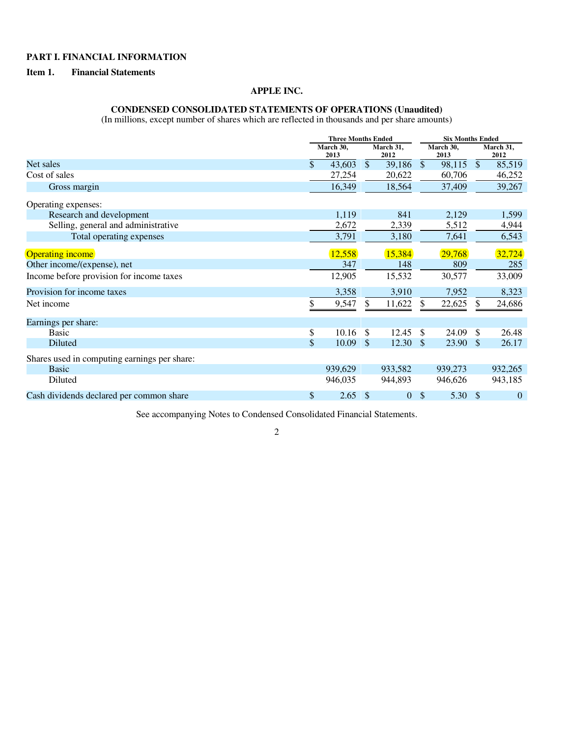# **PART I. FINANCIAL INFORMATION**

#### Item 1. **Financial Statements**

# **APPLE INC.**

# **CONDENSED CONSOLIDATED STATEMENTS OF OPERATIONS (Unaudited)**

(In millions, except number of shares which are reflected in thousands and per share amounts)

|                                              |     | <b>Three Months Ended</b> |               |                   |               | <b>Six Months Ended</b> |               |                   |  |  |
|----------------------------------------------|-----|---------------------------|---------------|-------------------|---------------|-------------------------|---------------|-------------------|--|--|
|                                              |     | March 30,<br>2013         |               | March 31,<br>2012 |               | March 30,<br>2013       |               | March 31,<br>2012 |  |  |
| Net sales                                    | \$. | 43,603                    | $\mathbb{S}$  | 39,186            | $\mathbb{S}$  | 98,115                  | $\mathcal{S}$ | 85,519            |  |  |
| Cost of sales                                |     | 27,254                    |               | 20,622            |               | 60,706                  |               | 46,252            |  |  |
| Gross margin                                 |     | 16,349                    |               | 18,564            |               | 37,409                  |               | 39,267            |  |  |
| Operating expenses:                          |     |                           |               |                   |               |                         |               |                   |  |  |
| Research and development                     |     | 1,119                     |               | 841               |               | 2,129                   |               | 1,599             |  |  |
| Selling, general and administrative          |     | 2,672                     |               | 2,339             |               | 5,512                   |               | 4,944             |  |  |
| Total operating expenses                     |     | 3,791                     |               | 3,180             |               | 7,641                   |               | 6,543             |  |  |
| <b>Operating income</b>                      |     | 12,558                    |               | 15,384            |               | 29,768                  |               | 32,724            |  |  |
| Other income/(expense), net                  |     | 347                       |               | 148               |               | 809                     |               | 285               |  |  |
| Income before provision for income taxes     |     | 12,905                    |               | 15,532            |               | 30,577                  |               | 33,009            |  |  |
| Provision for income taxes                   |     | 3,358                     |               | 3,910             |               | 7,952                   |               | 8,323             |  |  |
| Net income                                   |     | 9,547                     | \$            | 11,622            |               | 22,625                  | <sup>\$</sup> | 24,686            |  |  |
| Earnings per share:                          |     |                           |               |                   |               |                         |               |                   |  |  |
| Basic                                        | \$  | 10.16                     | $\mathbb{S}$  | 12.45             | \$.           | 24.09                   | -\$           | 26.48             |  |  |
| Diluted                                      | \$  | 10.09                     | <sup>\$</sup> | 12.30             | <sup>\$</sup> | 23.90                   | -S            | 26.17             |  |  |
| Shares used in computing earnings per share: |     |                           |               |                   |               |                         |               |                   |  |  |
| <b>Basic</b>                                 |     | 939,629                   |               | 933,582           |               | 939,273                 |               | 932,265           |  |  |
| Diluted                                      |     | 946,035                   |               | 944,893           |               | 946,626                 |               | 943,185           |  |  |
| Cash dividends declared per common share     | \$  | 2.65                      | -S            | $\overline{0}$    | \$            | 5.30                    | -S            | $\overline{0}$    |  |  |

See accompanying Notes to Condensed Consolidated Financial Statements.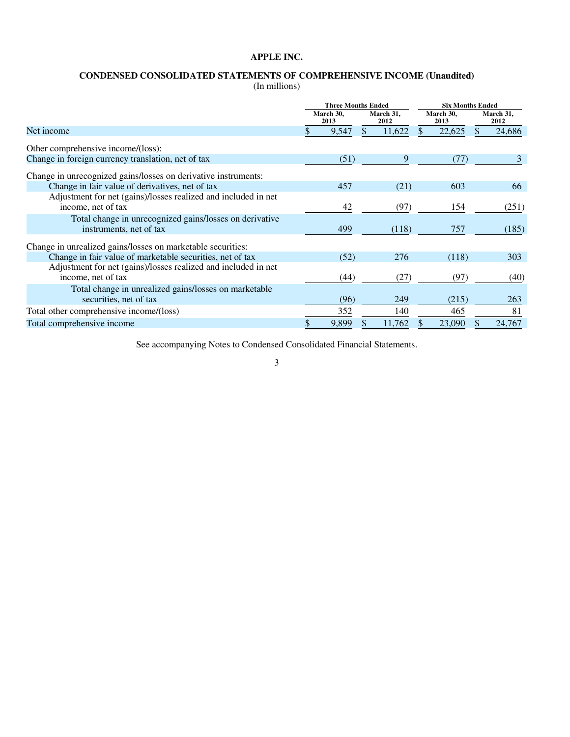# **APPLE INC.**

#### **CONDENSED CONSOLIDATED STATEMENTS OF COMPREHENSIVE INCOME (Unaudited)**

(In millions)

|                                                                                      | <b>Three Months Ended</b> |                   |              |                   |    | <b>Six Months Ended</b> |               |                   |  |  |  |
|--------------------------------------------------------------------------------------|---------------------------|-------------------|--------------|-------------------|----|-------------------------|---------------|-------------------|--|--|--|
|                                                                                      |                           | March 30,<br>2013 |              | March 31,<br>2012 |    | March 30,<br>2013       |               | March 31,<br>2012 |  |  |  |
| Net income                                                                           |                           | 9,547             | $\mathbb{S}$ | 11,622            | \$ | 22,625                  | <sup>\$</sup> | 24,686            |  |  |  |
| Other comprehensive income/(loss):                                                   |                           |                   |              |                   |    |                         |               |                   |  |  |  |
| Change in foreign currency translation, net of tax                                   |                           | (51)              |              | 9                 |    | (77)                    |               |                   |  |  |  |
| Change in unrecognized gains/losses on derivative instruments:                       |                           |                   |              |                   |    |                         |               |                   |  |  |  |
| Change in fair value of derivatives, net of tax                                      |                           | 457               |              | (21)              |    | 603                     |               | 66                |  |  |  |
| Adjustment for net (gains)/losses realized and included in net<br>income, net of tax |                           | 42                |              | (97)              |    | 154                     |               | (251)             |  |  |  |
| Total change in unrecognized gains/losses on derivative<br>instruments, net of tax   |                           | 499               |              | (118)             |    | 757                     |               | (185)             |  |  |  |
| Change in unrealized gains/losses on marketable securities:                          |                           |                   |              |                   |    |                         |               |                   |  |  |  |
| Change in fair value of marketable securities, net of tax                            |                           | (52)              |              | 276               |    | (118)                   |               | 303               |  |  |  |
| Adjustment for net (gains)/losses realized and included in net<br>income, net of tax |                           | (44)              |              | (27)              |    | (97)                    |               | (40)              |  |  |  |
| Total change in unrealized gains/losses on marketable<br>securities, net of tax      |                           | (96)              |              | 249               |    | (215)                   |               | 263               |  |  |  |
| Total other comprehensive income/(loss)                                              |                           | 352               |              | 140               |    | 465                     |               | 81                |  |  |  |
| Total comprehensive income                                                           |                           | 9,899             |              | 11,762            |    | 23,090                  |               | 24,767            |  |  |  |

See accompanying Notes to Condensed Consolidated Financial Statements.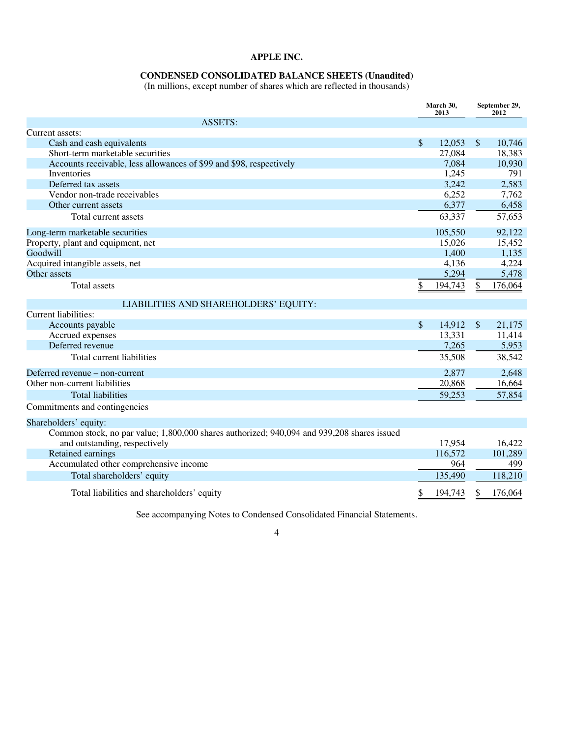# **APPLE INC.**

#### **CONDENSED CONSOLIDATED BALANCE SHEETS (Unaudited)**

(In millions, except number of shares which are reflected in thousands)

|                                                                                            | March 30,    |         |               | September 29,<br>2012 |
|--------------------------------------------------------------------------------------------|--------------|---------|---------------|-----------------------|
| <b>ASSETS:</b>                                                                             |              | 2013    |               |                       |
| Current assets:                                                                            |              |         |               |                       |
| Cash and cash equivalents                                                                  | $\mathbb{S}$ | 12,053  | $\mathcal{S}$ | 10,746                |
| Short-term marketable securities                                                           |              | 27,084  |               | 18,383                |
| Accounts receivable, less allowances of \$99 and \$98, respectively                        |              | 7,084   |               | 10,930                |
| Inventories                                                                                |              | 1,245   |               | 791                   |
| Deferred tax assets                                                                        |              | 3,242   |               | 2,583                 |
| Vendor non-trade receivables                                                               |              | 6,252   |               | 7,762                 |
| Other current assets                                                                       |              | 6,377   |               | 6,458                 |
| Total current assets                                                                       |              | 63,337  |               | 57,653                |
| Long-term marketable securities                                                            |              | 105,550 |               | 92,122                |
| Property, plant and equipment, net                                                         |              | 15,026  |               | 15,452                |
| Goodwill                                                                                   |              | 1,400   |               | 1,135                 |
| Acquired intangible assets, net                                                            |              | 4,136   |               | 4,224                 |
| Other assets                                                                               |              | 5,294   |               | 5,478                 |
| <b>Total assets</b>                                                                        | \$           | 194,743 | \$            | 176,064               |
| LIABILITIES AND SHAREHOLDERS' EQUITY:                                                      |              |         |               |                       |
| Current liabilities:                                                                       |              |         |               |                       |
| Accounts payable                                                                           | \$           | 14,912  | $\sqrt$       | 21,175                |
| Accrued expenses                                                                           |              | 13,331  |               | 11,414                |
| Deferred revenue                                                                           |              | 7,265   |               | 5,953                 |
| Total current liabilities                                                                  |              | 35,508  |               | 38,542                |
| Deferred revenue - non-current                                                             |              | 2,877   |               | 2,648                 |
| Other non-current liabilities                                                              |              | 20,868  |               | 16,664                |
| <b>Total liabilities</b>                                                                   |              | 59.253  |               | 57,854                |
| Commitments and contingencies                                                              |              |         |               |                       |
| Shareholders' equity:                                                                      |              |         |               |                       |
| Common stock, no par value; 1,800,000 shares authorized; 940,094 and 939,208 shares issued |              |         |               |                       |
| and outstanding, respectively                                                              |              | 17,954  |               | 16,422                |
| Retained earnings                                                                          |              | 116,572 |               | 101,289               |
| Accumulated other comprehensive income                                                     |              | 964     |               | 499                   |
| Total shareholders' equity                                                                 |              | 135,490 |               | 118,210               |
| Total liabilities and shareholders' equity                                                 |              | 194,743 | \$            | 176,064               |

See accompanying Notes to Condensed Consolidated Financial Statements.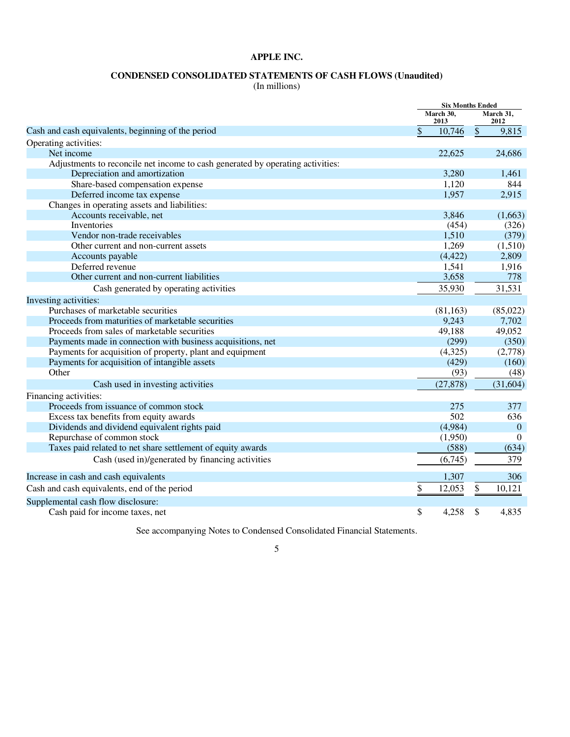# **APPLE INC.**

# **CONDENSED CONSOLIDATED STATEMENTS OF CASH FLOWS (Unaudited)**

(In millions)

|                                                                                | <b>Six Months Ended</b> |    |                   |
|--------------------------------------------------------------------------------|-------------------------|----|-------------------|
|                                                                                | March 30,<br>2013       |    | March 31,<br>2012 |
| Cash and cash equivalents, beginning of the period                             | \$<br>10,746            | \$ | 9,815             |
| Operating activities:                                                          |                         |    |                   |
| Net income                                                                     | 22,625                  |    | 24,686            |
| Adjustments to reconcile net income to cash generated by operating activities: |                         |    |                   |
| Depreciation and amortization                                                  | 3,280                   |    | 1,461             |
| Share-based compensation expense                                               | 1,120                   |    | 844               |
| Deferred income tax expense                                                    | 1,957                   |    | 2,915             |
| Changes in operating assets and liabilities:                                   |                         |    |                   |
| Accounts receivable, net                                                       | 3,846                   |    | (1,663)           |
| Inventories                                                                    | (454)                   |    | (326)             |
| Vendor non-trade receivables                                                   | 1,510                   |    | (379)             |
| Other current and non-current assets                                           | 1,269                   |    | (1,510)           |
| Accounts payable                                                               | (4, 422)                |    | 2,809             |
| Deferred revenue                                                               | 1,541                   |    | 1,916             |
| Other current and non-current liabilities                                      | 3,658                   |    | 778               |
| Cash generated by operating activities                                         | 35,930                  |    | 31,531            |
| Investing activities:                                                          |                         |    |                   |
| Purchases of marketable securities                                             | (81, 163)               |    | (85,022)          |
| Proceeds from maturities of marketable securities                              | 9,243                   |    | 7,702             |
| Proceeds from sales of marketable securities                                   | 49,188                  |    | 49,052            |
| Payments made in connection with business acquisitions, net                    | (299)                   |    | (350)             |
| Payments for acquisition of property, plant and equipment                      | (4,325)                 |    | (2,778)           |
| Payments for acquisition of intangible assets                                  | (429)                   |    | (160)             |
| Other                                                                          | (93)                    |    | (48)              |
| Cash used in investing activities                                              | (27, 878)               |    | (31, 604)         |
| Financing activities:                                                          |                         |    |                   |
| Proceeds from issuance of common stock                                         | 275                     |    | 377               |
| Excess tax benefits from equity awards                                         | 502                     |    | 636               |
| Dividends and dividend equivalent rights paid                                  | (4,984)                 |    | $\mathbf{0}$      |
| Repurchase of common stock                                                     | (1,950)                 |    | $\Omega$          |
| Taxes paid related to net share settlement of equity awards                    | (588)                   |    | (634)             |
| Cash (used in)/generated by financing activities                               | (6,745)                 |    | 379               |
| Increase in cash and cash equivalents                                          | 1,307                   |    | 306               |
| Cash and cash equivalents, end of the period                                   | \$<br>12,053            | \$ | 10,121            |
|                                                                                |                         |    |                   |
| Supplemental cash flow disclosure:                                             | \$                      |    |                   |
| Cash paid for income taxes, net                                                | 4,258                   | \$ | 4,835             |

See accompanying Notes to Condensed Consolidated Financial Statements.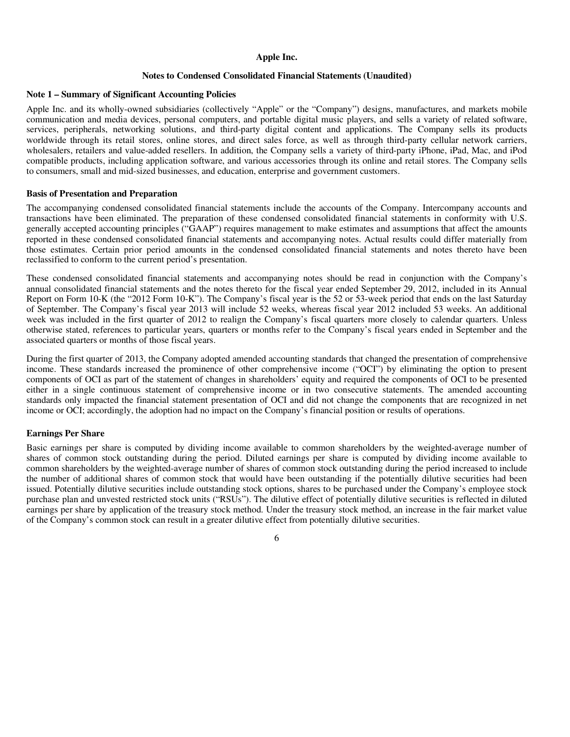# **Apple Inc.**

### **Notes to Condensed Consolidated Financial Statements (Unaudited)**

#### **Note 1 – Summary of Significant Accounting Policies**

Apple Inc. and its wholly-owned subsidiaries (collectively "Apple" or the "Company") designs, manufactures, and markets mobile communication and media devices, personal computers, and portable digital music players, and sells a variety of related software, services, peripherals, networking solutions, and third-party digital content and applications. The Company sells its products worldwide through its retail stores, online stores, and direct sales force, as well as through third-party cellular network carriers, wholesalers, retailers and value-added resellers. In addition, the Company sells a variety of third-party iPhone, iPad, Mac, and iPod compatible products, including application software, and various accessories through its online and retail stores. The Company sells to consumers, small and mid-sized businesses, and education, enterprise and government customers.

#### **Basis of Presentation and Preparation**

The accompanying condensed consolidated financial statements include the accounts of the Company. Intercompany accounts and transactions have been eliminated. The preparation of these condensed consolidated financial statements in conformity with U.S. generally accepted accounting principles ("GAAP") requires management to make estimates and assumptions that affect the amounts reported in these condensed consolidated financial statements and accompanying notes. Actual results could differ materially from those estimates. Certain prior period amounts in the condensed consolidated financial statements and notes thereto have been reclassified to conform to the current period's presentation.

These condensed consolidated financial statements and accompanying notes should be read in conjunction with the Company's annual consolidated financial statements and the notes thereto for the fiscal year ended September 29, 2012, included in its Annual Report on Form 10-K (the "2012 Form 10-K"). The Company's fiscal year is the 52 or 53-week period that ends on the last Saturday of September. The Company's fiscal year 2013 will include 52 weeks, whereas fiscal year 2012 included 53 weeks. An additional week was included in the first quarter of 2012 to realign the Company's fiscal quarters more closely to calendar quarters. Unless otherwise stated, references to particular years, quarters or months refer to the Company's fiscal years ended in September and the associated quarters or months of those fiscal years.

During the first quarter of 2013, the Company adopted amended accounting standards that changed the presentation of comprehensive income. These standards increased the prominence of other comprehensive income ("OCI") by eliminating the option to present components of OCI as part of the statement of changes in shareholders' equity and required the components of OCI to be presented either in a single continuous statement of comprehensive income or in two consecutive statements. The amended accounting standards only impacted the financial statement presentation of OCI and did not change the components that are recognized in net income or OCI; accordingly, the adoption had no impact on the Company's financial position or results of operations.

# **Earnings Per Share**

Basic earnings per share is computed by dividing income available to common shareholders by the weighted-average number of shares of common stock outstanding during the period. Diluted earnings per share is computed by dividing income available to common shareholders by the weighted-average number of shares of common stock outstanding during the period increased to include the number of additional shares of common stock that would have been outstanding if the potentially dilutive securities had been issued. Potentially dilutive securities include outstanding stock options, shares to be purchased under the Company's employee stock purchase plan and unvested restricted stock units ("RSUs"). The dilutive effect of potentially dilutive securities is reflected in diluted earnings per share by application of the treasury stock method. Under the treasury stock method, an increase in the fair market value of the Company's common stock can result in a greater dilutive effect from potentially dilutive securities.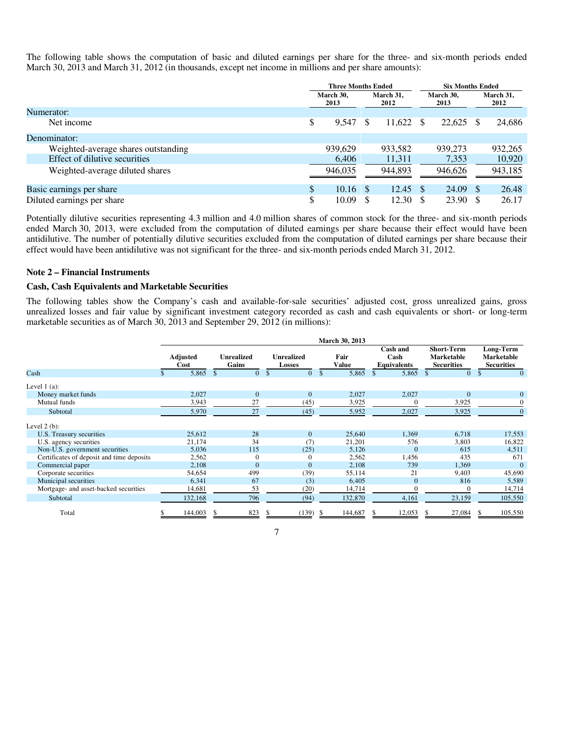The following table shows the computation of basic and diluted earnings per share for the three- and six-month periods ended March 30, 2013 and March 31, 2012 (in thousands, except net income in millions and per share amounts):

|                                     | <b>Three Months Ended</b> |         |                   |         | <b>Six Months Ended</b> |         |    |                   |
|-------------------------------------|---------------------------|---------|-------------------|---------|-------------------------|---------|----|-------------------|
|                                     | March 30.<br>2013         |         | March 31,<br>2012 |         | March 30,<br>2013       |         |    | March 31,<br>2012 |
| Numerator:                          |                           |         |                   |         |                         |         |    |                   |
| Net income                          | \$                        | 9.547   |                   | 11.622  | \$.                     | 22.625  |    | 24,686            |
| Denominator:                        |                           |         |                   |         |                         |         |    |                   |
| Weighted-average shares outstanding |                           | 939.629 |                   | 933,582 |                         | 939,273 |    | 932,265           |
| Effect of dilutive securities       |                           | 6.406   |                   | 11,311  |                         | 7,353   |    | 10,920            |
| Weighted-average diluted shares     |                           | 946.035 |                   | 944.893 |                         | 946,626 |    | 943,185           |
| Basic earnings per share            | \$.                       | 10.16   |                   | 12.45   | - \$                    | 24.09   | -S | 26.48             |
| Diluted earnings per share          | \$                        | 10.09   |                   | 12.30   |                         | 23.90   |    | 26.17             |

Potentially dilutive securities representing 4.3 million and 4.0 million shares of common stock for the three- and six-month periods ended March 30, 2013, were excluded from the computation of diluted earnings per share because their effect would have been antidilutive. The number of potentially dilutive securities excluded from the computation of diluted earnings per share because their effect would have been antidilutive was not significant for the three- and six-month periods ended March 31, 2012.

#### **Note 2 – Financial Instruments**

# **Cash, Cash Equivalents and Marketable Securities**

The following tables show the Company's cash and available-for-sale securities' adjusted cost, gross unrealized gains, gross unrealized losses and fair value by significant investment category recorded as cash and cash equivalents or short- or long-term marketable securities as of March 30, 2013 and September 29, 2012 (in millions):

|                                           |                  |                                |                                    | March 30, 2013        |                                        |                                                      |                                                     |
|-------------------------------------------|------------------|--------------------------------|------------------------------------|-----------------------|----------------------------------------|------------------------------------------------------|-----------------------------------------------------|
|                                           | Adjusted<br>Cost | <b>Unrealized</b><br>Gains     | <b>Unrealized</b><br><b>Losses</b> | Fair<br>Value         | Cash and<br>Cash<br><b>Equivalents</b> | <b>Short-Term</b><br>Marketable<br><b>Securities</b> | Long-Term<br><b>Marketable</b><br><b>Securities</b> |
| Cash                                      | 5,865<br>\$      | $\overline{0}$<br>$\mathbb{S}$ | $\mathbb{S}$<br>$\overline{0}$     | $\mathbb{S}$<br>5,865 | 5,865<br>$\mathbb{S}$                  | $\overline{0}$<br>$\mathbb{S}$                       | $\mathbb{S}$<br>$\Omega$                            |
| Level $1$ (a):                            |                  |                                |                                    |                       |                                        |                                                      |                                                     |
| Money market funds                        | 2,027            | $\overline{0}$                 | $\mathbf{0}$                       | 2,027                 | 2,027                                  | $\mathbf{0}$                                         | $\overline{0}$                                      |
| Mutual funds                              | 3,943            | 27                             | (45)                               | 3,925                 | 0                                      | 3,925                                                | $\mathbf{0}$                                        |
| Subtotal                                  | 5,970            | 27                             | (45)                               | 5,952                 | 2,027                                  | 3,925                                                | $\theta$                                            |
| Level $2(b)$ :                            |                  |                                |                                    |                       |                                        |                                                      |                                                     |
| U.S. Treasury securities                  | 25.612           | 28                             | $\overline{0}$                     | 25,640                | 1,369                                  | 6,718                                                | 17,553                                              |
| U.S. agency securities                    | 21,174           | 34                             | (7)                                | 21,201                | 576                                    | 3,803                                                | 16,822                                              |
| Non-U.S. government securities            | 5,036            | 115                            | (25)                               | 5,126                 | $\mathbf{0}$                           | 615                                                  | 4,511                                               |
| Certificates of deposit and time deposits | 2,562            | $\Omega$                       | $\Omega$                           | 2,562                 | 1,456                                  | 435                                                  | 671                                                 |
| Commercial paper                          | 2,108            | $\Omega$                       | $\mathbf{0}$                       | 2,108                 | 739                                    | 1,369                                                | $\Omega$                                            |
| Corporate securities                      | 54,654           | 499                            | (39)                               | 55,114                | 21                                     | 9,403                                                | 45,690                                              |
| Municipal securities                      | 6,341            | 67                             | (3)                                | 6,405                 | $\mathbf{0}$                           | 816                                                  | 5,589                                               |
| Mortgage- and asset-backed securities     | 14,681           | 53                             | (20)                               | 14,714                | $\Omega$                               | $\Omega$                                             | 14,714                                              |
| Subtotal                                  | 132,168          | 796                            | (94)                               | 132,870               | 4,161                                  | 23,159                                               | 105,550                                             |
| Total                                     | 144,003          | 823<br>-S                      | (139)<br>ж                         | 144,687<br>- 75       | 12,053                                 | 27,084                                               | 105,550                                             |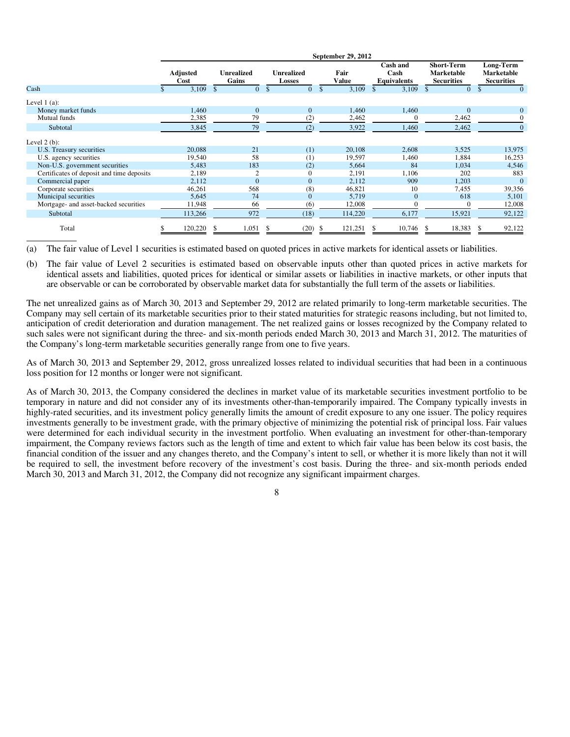|                                           | September 29, 2012      |                               |                                    |                       |                                        |                                                      |                                                     |  |  |  |  |
|-------------------------------------------|-------------------------|-------------------------------|------------------------------------|-----------------------|----------------------------------------|------------------------------------------------------|-----------------------------------------------------|--|--|--|--|
|                                           | <b>Adjusted</b><br>Cost | <b>Unrealized</b><br>Gains    | <b>Unrealized</b><br><b>Losses</b> | Fair<br>Value         | Cash and<br>Cash<br><b>Equivalents</b> | <b>Short-Term</b><br>Marketable<br><b>Securities</b> | Long-Term<br><b>Marketable</b><br><b>Securities</b> |  |  |  |  |
| Cash                                      | 3,109<br>\$             | $\mathbf{0}$<br><sup>\$</sup> | $\overline{0}$<br>$\mathbb{S}$     | 3,109<br>$\mathbb{S}$ | 3,109                                  | $\overline{0}$<br>\$                                 | $\mathbf{s}$                                        |  |  |  |  |
| Level $1$ (a):                            |                         |                               |                                    |                       |                                        |                                                      |                                                     |  |  |  |  |
| Money market funds                        | 1,460                   | $\mathbf{0}$                  | $\mathbf{0}$                       | 1,460                 | 1,460                                  | $\mathbf{0}$                                         | $\overline{0}$                                      |  |  |  |  |
| Mutual funds                              | 2,385                   | 79                            | (2)                                | 2,462                 |                                        | 2,462                                                | $\mathbf{0}$                                        |  |  |  |  |
| Subtotal                                  | 3,845                   | 79                            | (2)                                | 3,922                 | 1,460                                  | 2,462                                                | $\mathbf{0}$                                        |  |  |  |  |
| Level $2(b)$ :                            |                         |                               |                                    |                       |                                        |                                                      |                                                     |  |  |  |  |
| U.S. Treasury securities                  | 20,088                  | 21                            | (1)                                | 20,108                | 2,608                                  | 3,525                                                | 13,975                                              |  |  |  |  |
| U.S. agency securities                    | 19,540                  | 58                            | (1)                                | 19,597                | 1,460                                  | 1,884                                                | 16,253                                              |  |  |  |  |
| Non-U.S. government securities            | 5,483                   | 183                           | (2)                                | 5,664                 | 84                                     | 1,034                                                | 4,546                                               |  |  |  |  |
| Certificates of deposit and time deposits | 2,189                   | $\overline{2}$                | $\theta$                           | 2,191                 | 1,106                                  | 202                                                  | 883                                                 |  |  |  |  |
| Commercial paper                          | 2,112                   | $\Omega$                      | $\mathbf{0}$                       | 2,112                 | 909                                    | 1,203                                                | $\Omega$                                            |  |  |  |  |
| Corporate securities                      | 46,261                  | 568                           | (8)                                | 46,821                | 10                                     | 7,455                                                | 39,356                                              |  |  |  |  |
| Municipal securities                      | 5,645                   | 74                            | $\mathbf{0}$                       | 5,719                 | $\mathbf{0}$                           | 618                                                  | 5,101                                               |  |  |  |  |
| Mortgage- and asset-backed securities     | 11,948                  | 66                            | (6)                                | 12,008                |                                        |                                                      | 12,008                                              |  |  |  |  |
| Subtotal                                  | 113,266                 | 972                           | (18)                               | 114,220               | 6,177                                  | 15,921                                               | 92,122                                              |  |  |  |  |
| Total                                     | 120,220                 | 1,051                         | (20)                               | 121,251               | 10,746                                 | 18,383                                               | 92,122                                              |  |  |  |  |

(a) The fair value of Level 1 securities is estimated based on quoted prices in active markets for identical assets or liabilities.

(b) The fair value of Level 2 securities is estimated based on observable inputs other than quoted prices in active markets for identical assets and liabilities, quoted prices for identical or similar assets or liabilities in inactive markets, or other inputs that are observable or can be corroborated by observable market data for substantially the full term of the assets or liabilities.

The net unrealized gains as of March 30, 2013 and September 29, 2012 are related primarily to long-term marketable securities. The Company may sell certain of its marketable securities prior to their stated maturities for strategic reasons including, but not limited to, anticipation of credit deterioration and duration management. The net realized gains or losses recognized by the Company related to such sales were not significant during the three- and six-month periods ended March 30, 2013 and March 31, 2012. The maturities of the Company's long-term marketable securities generally range from one to five years.

As of March 30, 2013 and September 29, 2012, gross unrealized losses related to individual securities that had been in a continuous loss position for 12 months or longer were not significant.

As of March 30, 2013, the Company considered the declines in market value of its marketable securities investment portfolio to be temporary in nature and did not consider any of its investments other-than-temporarily impaired. The Company typically invests in highly-rated securities, and its investment policy generally limits the amount of credit exposure to any one issuer. The policy requires investments generally to be investment grade, with the primary objective of minimizing the potential risk of principal loss. Fair values were determined for each individual security in the investment portfolio. When evaluating an investment for other-than-temporary impairment, the Company reviews factors such as the length of time and extent to which fair value has been below its cost basis, the financial condition of the issuer and any changes thereto, and the Company's intent to sell, or whether it is more likely than not it will be required to sell, the investment before recovery of the investment's cost basis. During the three- and six-month periods ended March 30, 2013 and March 31, 2012, the Company did not recognize any significant impairment charges.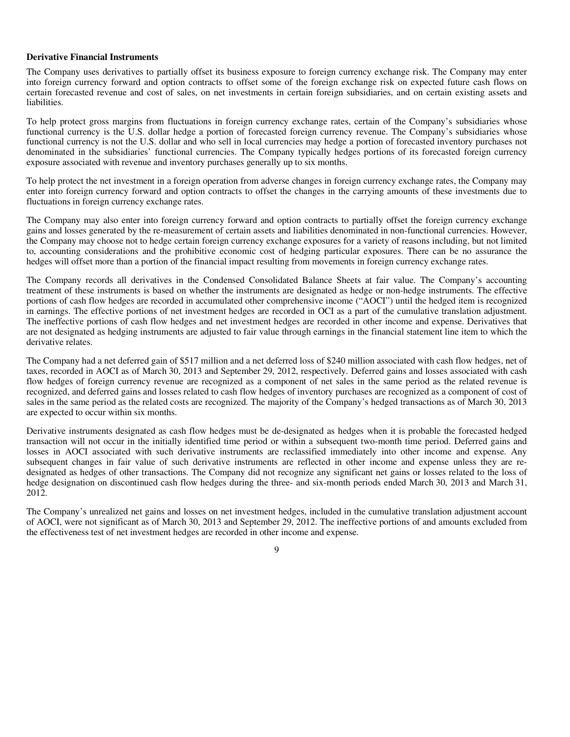# **Derivative Financial Instruments**

The Company uses derivatives to partially offset its business exposure to foreign currency exchange risk. The Company may enter into foreign currency forward and option contracts to offset some of the foreign exchange risk on expected future cash flows on certain forecasted revenue and cost of sales, on net investments in certain foreign subsidiaries, and on certain existing assets and liabilities.

To help protect gross margins from fluctuations in foreign currency exchange rates, certain of the Company's subsidiaries whose functional currency is the U.S. dollar hedge a portion of forecasted foreign currency revenue. The Company's subsidiaries whose functional currency is not the U.S. dollar and who sell in local currencies may hedge a portion of forecasted inventory purchases not denominated in the subsidiaries' functional currencies. The Company typically hedges portions of its forecasted foreign currency exposure associated with revenue and inventory purchases generally up to six months.

To help protect the net investment in a foreign operation from adverse changes in foreign currency exchange rates, the Company may enter into foreign currency forward and option contracts to offset the changes in the carrying amounts of these investments due to fluctuations in foreign currency exchange rates.

The Company may also enter into foreign currency forward and option contracts to partially offset the foreign currency exchange gains and losses generated by the re-measurement of certain assets and liabilities denominated in non-functional currencies. However, the Company may choose not to hedge certain foreign currency exchange exposures for a variety of reasons including, but not limited to, accounting considerations and the prohibitive economic cost of hedging particular exposures. There can be no assurance the hedges will offset more than a portion of the financial impact resulting from movements in foreign currency exchange rates.

The Company records all derivatives in the Condensed Consolidated Balance Sheets at fair value. The Company's accounting treatment of these instruments is based on whether the instruments are designated as hedge or non-hedge instruments. The effective portions of cash flow hedges are recorded in accumulated other comprehensive income ("AOCI") until the hedged item is recognized in earnings. The effective portions of net investment hedges are recorded in OCI as a part of the cumulative translation adjustment. The ineffective portions of cash flow hedges and net investment hedges are recorded in other income and expense. Derivatives that are not designated as hedging instruments are adjusted to fair value through earnings in the financial statement line item to which the derivative relates.

The Company had a net deferred gain of \$517 million and a net deferred loss of \$240 million associated with cash flow hedges, net of taxes, recorded in AOCI as of March 30, 2013 and September 29, 2012, respectively. Deferred gains and losses associated with cash flow hedges of foreign currency revenue are recognized as a component of net sales in the same period as the related revenue is recognized, and deferred gains and losses related to cash flow hedges of inventory purchases are recognized as a component of cost of sales in the same period as the related costs are recognized. The majority of the Company's hedged transactions as of March 30, 2013 are expected to occur within six months.

Derivative instruments designated as cash flow hedges must be de-designated as hedges when it is probable the forecasted hedged transaction will not occur in the initially identified time period or within a subsequent two-month time period. Deferred gains and losses in AOCI associated with such derivative instruments are reclassified immediately into other income and expense. Any subsequent changes in fair value of such derivative instruments are reflected in other income and expense unless they are redesignated as hedges of other transactions. The Company did not recognize any significant net gains or losses related to the loss of hedge designation on discontinued cash flow hedges during the three- and six-month periods ended March 30, 2013 and March 31, 2012.

The Company's unrealized net gains and losses on net investment hedges, included in the cumulative translation adjustment account of AOCI, were not significant as of March 30, 2013 and September 29, 2012. The ineffective portions of and amounts excluded from the effectiveness test of net investment hedges are recorded in other income and expense.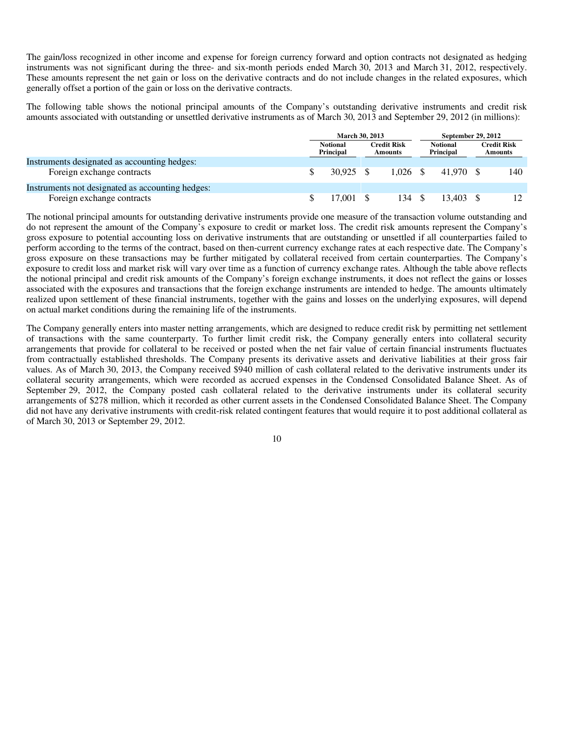The gain/loss recognized in other income and expense for foreign currency forward and option contracts not designated as hedging instruments was not significant during the three- and six-month periods ended March 30, 2013 and March 31, 2012, respectively. These amounts represent the net gain or loss on the derivative contracts and do not include changes in the related exposures, which generally offset a portion of the gain or loss on the derivative contracts.

The following table shows the notional principal amounts of the Company's outstanding derivative instruments and credit risk amounts associated with outstanding or unsettled derivative instruments as of March 30, 2013 and September 29, 2012 (in millions):

|                                                  | <b>March 30, 2013</b>                                         |        |  |            |                                     | September 29, 2012            |  |     |
|--------------------------------------------------|---------------------------------------------------------------|--------|--|------------|-------------------------------------|-------------------------------|--|-----|
|                                                  | <b>Credit Risk</b><br><b>Notional</b><br>Principal<br>Amounts |        |  |            | <b>Notional</b><br><b>Principal</b> | <b>Credit Risk</b><br>Amounts |  |     |
| Instruments designated as accounting hedges:     |                                                               |        |  |            |                                     |                               |  |     |
| Foreign exchange contracts                       |                                                               | 30.925 |  | $1.026$ \$ |                                     | 41.970 \$                     |  | 140 |
| Instruments not designated as accounting hedges: |                                                               |        |  |            |                                     |                               |  |     |
| Foreign exchange contracts                       |                                                               | 17.001 |  | 134        |                                     | 13.403                        |  | 12  |

The notional principal amounts for outstanding derivative instruments provide one measure of the transaction volume outstanding and do not represent the amount of the Company's exposure to credit or market loss. The credit risk amounts represent the Company's gross exposure to potential accounting loss on derivative instruments that are outstanding or unsettled if all counterparties failed to perform according to the terms of the contract, based on then-current currency exchange rates at each respective date. The Company's gross exposure on these transactions may be further mitigated by collateral received from certain counterparties. The Company's exposure to credit loss and market risk will vary over time as a function of currency exchange rates. Although the table above reflects the notional principal and credit risk amounts of the Company's foreign exchange instruments, it does not reflect the gains or losses associated with the exposures and transactions that the foreign exchange instruments are intended to hedge. The amounts ultimately realized upon settlement of these financial instruments, together with the gains and losses on the underlying exposures, will depend on actual market conditions during the remaining life of the instruments.

The Company generally enters into master netting arrangements, which are designed to reduce credit risk by permitting net settlement of transactions with the same counterparty. To further limit credit risk, the Company generally enters into collateral security arrangements that provide for collateral to be received or posted when the net fair value of certain financial instruments fluctuates from contractually established thresholds. The Company presents its derivative assets and derivative liabilities at their gross fair values. As of March 30, 2013, the Company received \$940 million of cash collateral related to the derivative instruments under its collateral security arrangements, which were recorded as accrued expenses in the Condensed Consolidated Balance Sheet. As of September 29, 2012, the Company posted cash collateral related to the derivative instruments under its collateral security arrangements of \$278 million, which it recorded as other current assets in the Condensed Consolidated Balance Sheet. The Company did not have any derivative instruments with credit-risk related contingent features that would require it to post additional collateral as of March 30, 2013 or September 29, 2012.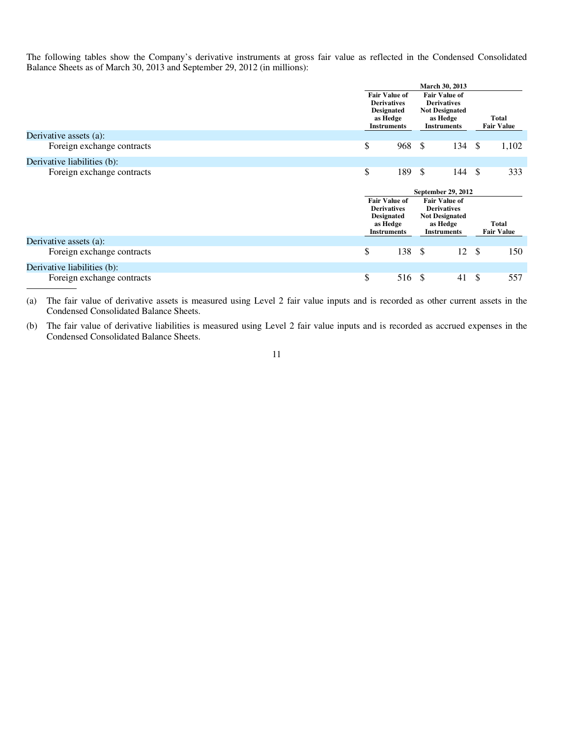The following tables show the Company's derivative instruments at gross fair value as reflected in the Condensed Consolidated Balance Sheets as of March 30, 2013 and September 29, 2012 (in millions):

|                             | March 30, 2013                                                                                    |     |                                                                                                       |                                                                                                       |    |                            |
|-----------------------------|---------------------------------------------------------------------------------------------------|-----|-------------------------------------------------------------------------------------------------------|-------------------------------------------------------------------------------------------------------|----|----------------------------|
|                             | <b>Fair Value of</b><br><b>Derivatives</b><br><b>Designated</b><br>as Hedge<br><b>Instruments</b> |     |                                                                                                       | <b>Fair Value of</b><br><b>Derivatives</b><br><b>Not Designated</b><br>as Hedge<br><b>Instruments</b> |    | Total<br><b>Fair Value</b> |
| Derivative assets (a):      |                                                                                                   |     |                                                                                                       |                                                                                                       |    |                            |
| Foreign exchange contracts  | \$                                                                                                | 968 | \$                                                                                                    | 134                                                                                                   | \$ | 1,102                      |
| Derivative liabilities (b): |                                                                                                   |     |                                                                                                       |                                                                                                       |    |                            |
| Foreign exchange contracts  | \$                                                                                                | 189 | S                                                                                                     | 144                                                                                                   | S  | 333                        |
|                             |                                                                                                   |     |                                                                                                       | September 29, 2012                                                                                    |    |                            |
|                             | <b>Fair Value of</b><br><b>Derivatives</b><br><b>Designated</b><br>as Hedge<br><b>Instruments</b> |     | <b>Fair Value of</b><br><b>Derivatives</b><br><b>Not Designated</b><br>as Hedge<br><b>Instruments</b> |                                                                                                       |    | Total<br><b>Fair Value</b> |
| Derivative assets (a):      |                                                                                                   |     |                                                                                                       |                                                                                                       |    |                            |
| Foreign exchange contracts  | \$                                                                                                | 138 | \$                                                                                                    | 12                                                                                                    | \$ | 150                        |
| Derivative liabilities (b): |                                                                                                   |     |                                                                                                       |                                                                                                       |    |                            |
| Foreign exchange contracts  | \$                                                                                                | 516 | S                                                                                                     | 41                                                                                                    | \$ | 557                        |

(a) The fair value of derivative assets is measured using Level 2 fair value inputs and is recorded as other current assets in the Condensed Consolidated Balance Sheets.

(b) The fair value of derivative liabilities is measured using Level 2 fair value inputs and is recorded as accrued expenses in the Condensed Consolidated Balance Sheets.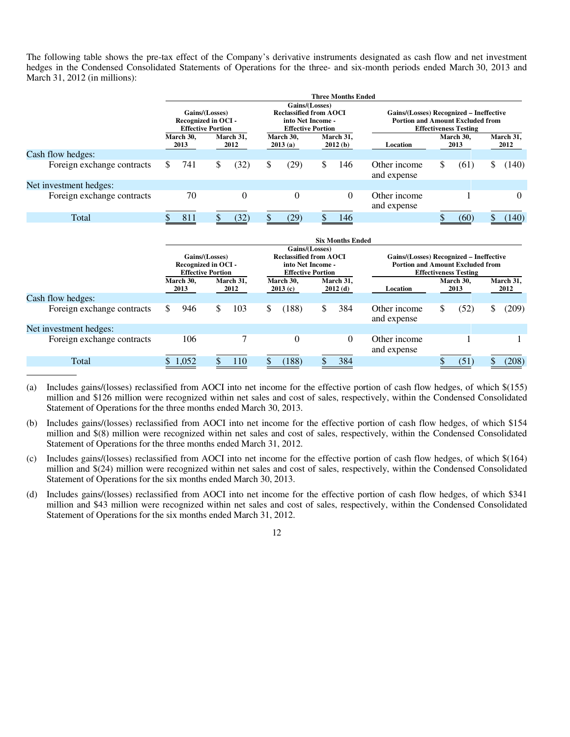The following table shows the pre-tax effect of the Company's derivative instruments designated as cash flow and net investment hedges in the Condensed Consolidated Statements of Operations for the three- and six-month periods ended March 30, 2013 and March 31, 2012 (in millions):

|                            |                                                                   |                                                                   |              |                   |                                                                                                  |                                                                                                  |              | <b>Three Months Ended</b> |                                                                                                                    |    |                              |    |                   |  |  |
|----------------------------|-------------------------------------------------------------------|-------------------------------------------------------------------|--------------|-------------------|--------------------------------------------------------------------------------------------------|--------------------------------------------------------------------------------------------------|--------------|---------------------------|--------------------------------------------------------------------------------------------------------------------|----|------------------------------|----|-------------------|--|--|
|                            | Gains/(Losses)<br>Recognized in OCI -<br><b>Effective Portion</b> |                                                                   |              |                   | Gains/(Losses)<br><b>Reclassified from AOCI</b><br>into Net Income -<br><b>Effective Portion</b> |                                                                                                  |              |                           | Gains/(Losses) Recognized - Ineffective<br><b>Portion and Amount Excluded from</b><br><b>Effectiveness Testing</b> |    |                              |    |                   |  |  |
|                            |                                                                   | March 30.<br>2013                                                 |              | March 31.<br>2012 |                                                                                                  | March 30.<br>2013(a)                                                                             |              | March 31.<br>2012(b)      | Location                                                                                                           |    | March 30.<br>2013            |    | March 31.<br>2012 |  |  |
| Cash flow hedges:          |                                                                   |                                                                   |              |                   |                                                                                                  |                                                                                                  |              |                           |                                                                                                                    |    |                              |    |                   |  |  |
| Foreign exchange contracts | \$                                                                | 741                                                               | \$           | (32)              | \$                                                                                               | (29)                                                                                             | \$           | 146                       | Other income<br>and expense                                                                                        | \$ | (61)                         | \$ | (140)             |  |  |
| Net investment hedges:     |                                                                   |                                                                   |              |                   |                                                                                                  |                                                                                                  |              |                           |                                                                                                                    |    |                              |    |                   |  |  |
| Foreign exchange contracts |                                                                   | 70                                                                |              | $\theta$          |                                                                                                  | $\overline{0}$                                                                                   |              | $\theta$                  | Other income<br>and expense                                                                                        |    |                              |    | $\Omega$          |  |  |
| Total                      | \$                                                                | 811                                                               | $\mathbb{S}$ | (32)              | $\mathbb{S}$                                                                                     | (29)                                                                                             | $\mathbb{S}$ | 146                       |                                                                                                                    | S. | (60)                         |    | (140)             |  |  |
|                            |                                                                   |                                                                   |              |                   |                                                                                                  |                                                                                                  |              | <b>Six Months Ended</b>   |                                                                                                                    |    |                              |    |                   |  |  |
|                            |                                                                   | Gains/(Losses)<br>Recognized in OCI -<br><b>Effective Portion</b> |              |                   |                                                                                                  | Gains/(Losses)<br><b>Reclassified from AOCI</b><br>into Net Income -<br><b>Effective Portion</b> |              |                           | Gains/(Losses) Recognized - Ineffective<br><b>Portion and Amount Excluded from</b>                                 |    | <b>Effectiveness Testing</b> |    |                   |  |  |
|                            |                                                                   | March 30,<br>2013                                                 |              | March 31,<br>2012 |                                                                                                  | March 30,<br>2013(c)                                                                             |              | March 31,<br>2012(d)      | Location                                                                                                           |    | March 30.<br>2013            |    | March 31,<br>2012 |  |  |
| Cash flow hedges:          |                                                                   |                                                                   |              |                   |                                                                                                  |                                                                                                  |              |                           |                                                                                                                    |    |                              |    |                   |  |  |
| Foreign exchange contracts | \$                                                                | 946                                                               | \$           | 103               | \$                                                                                               | (188)                                                                                            | \$           | 384                       | Other income<br>and expense                                                                                        | \$ | (52)                         | \$ | (209)             |  |  |
| Net investment hedges:     |                                                                   |                                                                   |              |                   |                                                                                                  |                                                                                                  |              |                           |                                                                                                                    |    |                              |    |                   |  |  |
| Foreign exchange contracts |                                                                   | 106                                                               |              | 7                 |                                                                                                  | $\mathbf{0}$                                                                                     |              | $\Omega$                  | Other income<br>and expense                                                                                        |    |                              |    |                   |  |  |
| Total                      |                                                                   | \$1,052                                                           | \$           | 110               | \$                                                                                               | (188)                                                                                            | \$           | 384                       |                                                                                                                    | \$ | (51)                         | \$ | (208)             |  |  |

(a) Includes gains/(losses) reclassified from AOCI into net income for the effective portion of cash flow hedges, of which \$(155) million and \$126 million were recognized within net sales and cost of sales, respectively, within the Condensed Consolidated Statement of Operations for the three months ended March 30, 2013.

- (b) Includes gains/(losses) reclassified from AOCI into net income for the effective portion of cash flow hedges, of which \$154 million and \$(8) million were recognized within net sales and cost of sales, respectively, within the Condensed Consolidated Statement of Operations for the three months ended March 31, 2012.
- (c) Includes gains/(losses) reclassified from AOCI into net income for the effective portion of cash flow hedges, of which \$(164) million and \$(24) million were recognized within net sales and cost of sales, respectively, within the Condensed Consolidated Statement of Operations for the six months ended March 30, 2013.
- (d) Includes gains/(losses) reclassified from AOCI into net income for the effective portion of cash flow hedges, of which \$341 million and \$43 million were recognized within net sales and cost of sales, respectively, within the Condensed Consolidated Statement of Operations for the six months ended March 31, 2012.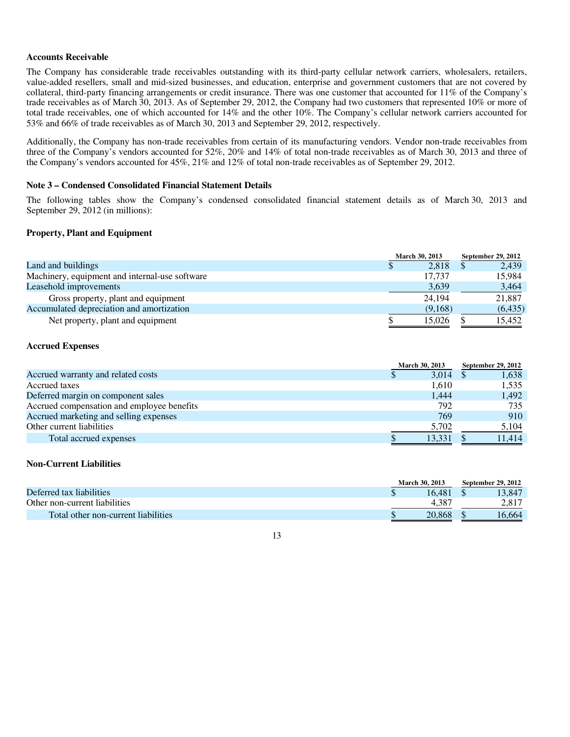# **Accounts Receivable**

The Company has considerable trade receivables outstanding with its third-party cellular network carriers, wholesalers, retailers, value-added resellers, small and mid-sized businesses, and education, enterprise and government customers that are not covered by collateral, third-party financing arrangements or credit insurance. There was one customer that accounted for 11% of the Company's trade receivables as of March 30, 2013. As of September 29, 2012, the Company had two customers that represented 10% or more of total trade receivables, one of which accounted for 14% and the other 10%. The Company's cellular network carriers accounted for 53% and 66% of trade receivables as of March 30, 2013 and September 29, 2012, respectively.

Additionally, the Company has non-trade receivables from certain of its manufacturing vendors. Vendor non-trade receivables from three of the Company's vendors accounted for 52%, 20% and 14% of total non-trade receivables as of March 30, 2013 and three of the Company's vendors accounted for 45%, 21% and 12% of total non-trade receivables as of September 29, 2012.

# **Note 3 – Condensed Consolidated Financial Statement Details**

The following tables show the Company's condensed consolidated financial statement details as of March 30, 2013 and September 29, 2012 (in millions):

# **Property, Plant and Equipment**

|                                                |   | March 30, 2013 | September 29, 2012 |
|------------------------------------------------|---|----------------|--------------------|
| Land and buildings                             | D | 2,818          | 2,439              |
| Machinery, equipment and internal-use software |   | 17.737         | 15.984             |
| Leasehold improvements                         |   | 3,639          | 3,464              |
| Gross property, plant and equipment            |   | 24,194         | 21,887             |
| Accumulated depreciation and amortization      |   | (9,168)        | (6, 435)           |
| Net property, plant and equipment              |   | 15.026         | 15,452             |

# **Accrued Expenses**

|                                            | <b>March 30, 2013</b> |     | September 29, 2012 |
|--------------------------------------------|-----------------------|-----|--------------------|
| Accrued warranty and related costs         | 3,014                 |     | 1,638              |
| Accrued taxes                              | 1.610                 |     | 1,535              |
| Deferred margin on component sales         | 1.444                 |     | 1,492              |
| Accrued compensation and employee benefits |                       | 792 | 735                |
| Accrued marketing and selling expenses     |                       | 769 | 910                |
| Other current liabilities                  | 5,702                 |     | 5,104              |
| Total accrued expenses                     | 13,331                |     | 11.414             |

# **Non-Current Liabilities**

|                                     | <b>March 30, 2013</b> |        | <b>September 29, 2012</b> |
|-------------------------------------|-----------------------|--------|---------------------------|
| Deferred tax liabilities            |                       | 6.481  | .3.847                    |
| Other non-current liabilities       |                       | 4.38   | 2.817                     |
| Total other non-current liabilities |                       | 20.868 | 6.664                     |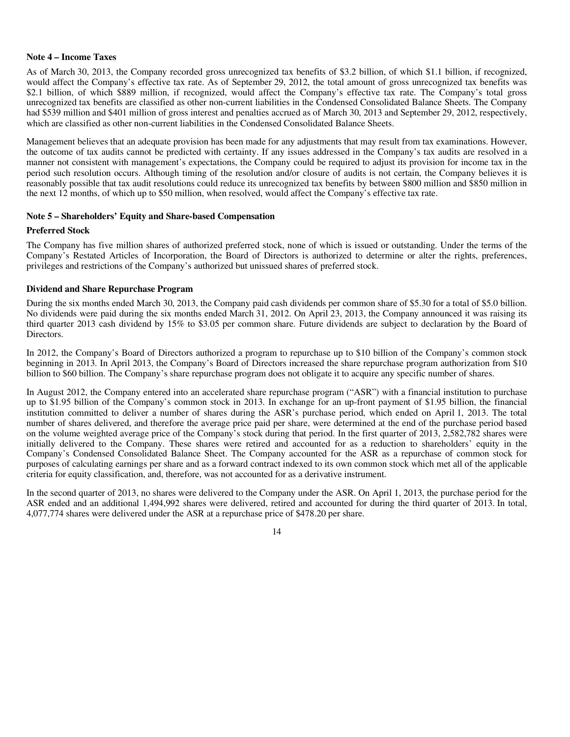# **Note 4 – Income Taxes**

As of March 30, 2013, the Company recorded gross unrecognized tax benefits of \$3.2 billion, of which \$1.1 billion, if recognized, would affect the Company's effective tax rate. As of September 29, 2012, the total amount of gross unrecognized tax benefits was \$2.1 billion, of which \$889 million, if recognized, would affect the Company's effective tax rate. The Company's total gross unrecognized tax benefits are classified as other non-current liabilities in the Condensed Consolidated Balance Sheets. The Company had \$539 million and \$401 million of gross interest and penalties accrued as of March 30, 2013 and September 29, 2012, respectively, which are classified as other non-current liabilities in the Condensed Consolidated Balance Sheets.

Management believes that an adequate provision has been made for any adjustments that may result from tax examinations. However, the outcome of tax audits cannot be predicted with certainty. If any issues addressed in the Company's tax audits are resolved in a manner not consistent with management's expectations, the Company could be required to adjust its provision for income tax in the period such resolution occurs. Although timing of the resolution and/or closure of audits is not certain, the Company believes it is reasonably possible that tax audit resolutions could reduce its unrecognized tax benefits by between \$800 million and \$850 million in the next 12 months, of which up to \$50 million, when resolved, would affect the Company's effective tax rate.

# **Note 5 – Shareholders' Equity and Share-based Compensation**

# **Preferred Stock**

The Company has five million shares of authorized preferred stock, none of which is issued or outstanding. Under the terms of the Company's Restated Articles of Incorporation, the Board of Directors is authorized to determine or alter the rights, preferences, privileges and restrictions of the Company's authorized but unissued shares of preferred stock.

# **Dividend and Share Repurchase Program**

During the six months ended March 30, 2013, the Company paid cash dividends per common share of \$5.30 for a total of \$5.0 billion. No dividends were paid during the six months ended March 31, 2012. On April 23, 2013, the Company announced it was raising its third quarter 2013 cash dividend by 15% to \$3.05 per common share. Future dividends are subject to declaration by the Board of Directors.

In 2012, the Company's Board of Directors authorized a program to repurchase up to \$10 billion of the Company's common stock beginning in 2013. In April 2013, the Company's Board of Directors increased the share repurchase program authorization from \$10 billion to \$60 billion. The Company's share repurchase program does not obligate it to acquire any specific number of shares.

In August 2012, the Company entered into an accelerated share repurchase program ("ASR") with a financial institution to purchase up to \$1.95 billion of the Company's common stock in 2013. In exchange for an up-front payment of \$1.95 billion, the financial institution committed to deliver a number of shares during the ASR's purchase period, which ended on April 1, 2013. The total number of shares delivered, and therefore the average price paid per share, were determined at the end of the purchase period based on the volume weighted average price of the Company's stock during that period. In the first quarter of 2013, 2,582,782 shares were initially delivered to the Company. These shares were retired and accounted for as a reduction to shareholders' equity in the Company's Condensed Consolidated Balance Sheet. The Company accounted for the ASR as a repurchase of common stock for purposes of calculating earnings per share and as a forward contract indexed to its own common stock which met all of the applicable criteria for equity classification, and, therefore, was not accounted for as a derivative instrument.

In the second quarter of 2013, no shares were delivered to the Company under the ASR. On April 1, 2013, the purchase period for the ASR ended and an additional 1,494,992 shares were delivered, retired and accounted for during the third quarter of 2013. In total, 4,077,774 shares were delivered under the ASR at a repurchase price of \$478.20 per share.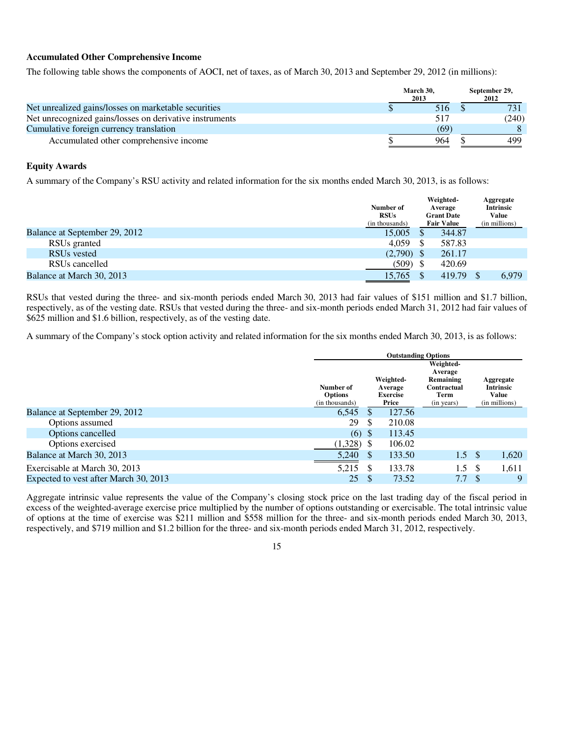# **Accumulated Other Comprehensive Income**

The following table shows the components of AOCI, net of taxes, as of March 30, 2013 and September 29, 2012 (in millions):

|                                                         | March 30.<br>2013 | September 29,<br>2012 |
|---------------------------------------------------------|-------------------|-----------------------|
| Net unrealized gains/losses on marketable securities    | 516               |                       |
| Net unrecognized gains/losses on derivative instruments | 517               | (240)                 |
| Cumulative foreign currency translation                 | (69)              |                       |
| Accumulated other comprehensive income                  | 964               | 499                   |

# **Equity Awards**

A summary of the Company's RSU activity and related information for the six months ended March 30, 2013, is as follows:

|                               | Number of<br><b>RSUs</b><br>(in thousands) | Weighted-<br>Average<br><b>Grant Date</b><br><b>Fair Value</b> | Aggregate<br><b>Intrinsic</b><br><b>Value</b><br>(in millions) |
|-------------------------------|--------------------------------------------|----------------------------------------------------------------|----------------------------------------------------------------|
| Balance at September 29, 2012 | 15,005                                     | 344.87                                                         |                                                                |
| RSUs granted                  | 4.059                                      | 587.83                                                         |                                                                |
| RSU <sub>s</sub> vested       | (2,790)                                    | 261.17                                                         |                                                                |
| RSU <sub>s</sub> cancelled    | (509)                                      | 420.69                                                         |                                                                |
| Balance at March 30, 2013     | 15,765                                     | 419.79                                                         | 6,979                                                          |

RSUs that vested during the three- and six-month periods ended March 30, 2013 had fair values of \$151 million and \$1.7 billion, respectively, as of the vesting date. RSUs that vested during the three- and six-month periods ended March 31, 2012 had fair values of \$625 million and \$1.6 billion, respectively, as of the vesting date.

A summary of the Company's stock option activity and related information for the six months ended March 30, 2013, is as follows:

|                                       |                                               | <b>Outstanding Options</b> |                                                  |                                                                        |    |                                                                |  |  |  |  |  |
|---------------------------------------|-----------------------------------------------|----------------------------|--------------------------------------------------|------------------------------------------------------------------------|----|----------------------------------------------------------------|--|--|--|--|--|
|                                       | Number of<br><b>Options</b><br>(in thousands) |                            | Weighted-<br>Average<br><b>Exercise</b><br>Price | Weighted-<br>Average<br>Remaining<br>Contractual<br>Term<br>(in years) |    | Aggregate<br><b>Intrinsic</b><br><b>Value</b><br>(in millions) |  |  |  |  |  |
| Balance at September 29, 2012         | 6,545                                         | S                          | 127.56                                           |                                                                        |    |                                                                |  |  |  |  |  |
| Options assumed                       | 29                                            | S                          | 210.08                                           |                                                                        |    |                                                                |  |  |  |  |  |
| Options cancelled                     | (6)                                           | -S                         | 113.45                                           |                                                                        |    |                                                                |  |  |  |  |  |
| Options exercised                     | (1,328)                                       | -S                         | 106.02                                           |                                                                        |    |                                                                |  |  |  |  |  |
| Balance at March 30, 2013             | 5,240                                         | S                          | 133.50                                           | 1.5                                                                    | -S | 1,620                                                          |  |  |  |  |  |
| Exercisable at March 30, 2013         | 5,215                                         | \$.                        | 133.78                                           | 1.5                                                                    | -S | 1,611                                                          |  |  |  |  |  |
| Expected to vest after March 30, 2013 | 25                                            |                            | 73.52                                            | 7.7                                                                    |    | 9                                                              |  |  |  |  |  |

Aggregate intrinsic value represents the value of the Company's closing stock price on the last trading day of the fiscal period in excess of the weighted-average exercise price multiplied by the number of options outstanding or exercisable. The total intrinsic value of options at the time of exercise was \$211 million and \$558 million for the three- and six-month periods ended March 30, 2013, respectively, and \$719 million and \$1.2 billion for the three- and six-month periods ended March 31, 2012, respectively.

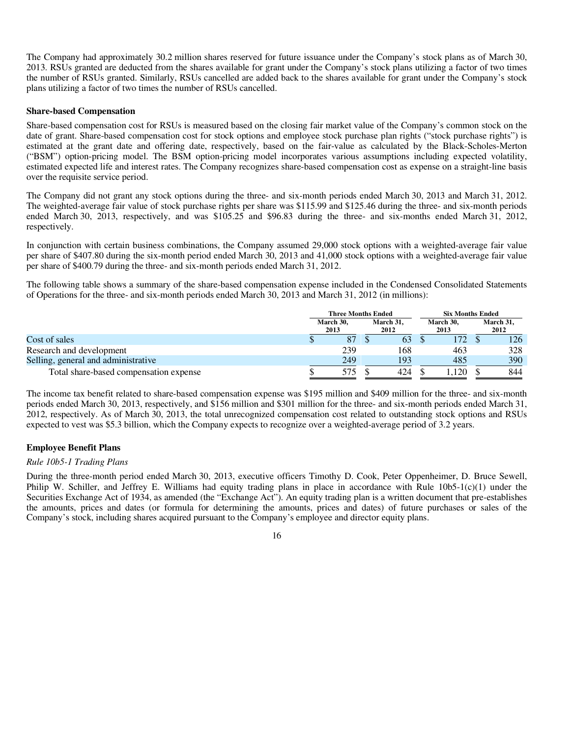The Company had approximately 30.2 million shares reserved for future issuance under the Company's stock plans as of March 30, 2013. RSUs granted are deducted from the shares available for grant under the Company's stock plans utilizing a factor of two times the number of RSUs granted. Similarly, RSUs cancelled are added back to the shares available for grant under the Company's stock plans utilizing a factor of two times the number of RSUs cancelled.

#### **Share-based Compensation**

Share-based compensation cost for RSUs is measured based on the closing fair market value of the Company's common stock on the date of grant. Share-based compensation cost for stock options and employee stock purchase plan rights ("stock purchase rights") is estimated at the grant date and offering date, respectively, based on the fair-value as calculated by the Black-Scholes-Merton ("BSM") option-pricing model. The BSM option-pricing model incorporates various assumptions including expected volatility, estimated expected life and interest rates. The Company recognizes share-based compensation cost as expense on a straight-line basis over the requisite service period.

The Company did not grant any stock options during the three- and six-month periods ended March 30, 2013 and March 31, 2012. The weighted-average fair value of stock purchase rights per share was \$115.99 and \$125.46 during the three- and six-month periods ended March 30, 2013, respectively, and was \$105.25 and \$96.83 during the three- and six-months ended March 31, 2012, respectively.

In conjunction with certain business combinations, the Company assumed 29,000 stock options with a weighted-average fair value per share of \$407.80 during the six-month period ended March 30, 2013 and 41,000 stock options with a weighted-average fair value per share of \$400.79 during the three- and six-month periods ended March 31, 2012.

The following table shows a summary of the share-based compensation expense included in the Condensed Consolidated Statements of Operations for the three- and six-month periods ended March 30, 2013 and March 31, 2012 (in millions):

|                                        | <b>Three Months Ended</b> |  |                   | <b>Six Months Ended</b> |  |                   |
|----------------------------------------|---------------------------|--|-------------------|-------------------------|--|-------------------|
|                                        | March 30,<br>2013         |  | March 31,<br>2012 | March 30,<br>2013       |  | March 31,<br>2012 |
| Cost of sales                          | 87                        |  | 63                |                         |  | 126               |
| Research and development               | 239                       |  | 168               | 463                     |  | 328               |
| Selling, general and administrative    | 249                       |  | 193               | 485                     |  | 390               |
| Total share-based compensation expense | 575                       |  | 424               | 1.120                   |  | 844               |

The income tax benefit related to share-based compensation expense was \$195 million and \$409 million for the three- and six-month periods ended March 30, 2013, respectively, and \$156 million and \$301 million for the three- and six-month periods ended March 31, 2012, respectively. As of March 30, 2013, the total unrecognized compensation cost related to outstanding stock options and RSUs expected to vest was \$5.3 billion, which the Company expects to recognize over a weighted-average period of 3.2 years.

# **Employee Benefit Plans**

### *Rule 10b5-1 Trading Plans*

During the three-month period ended March 30, 2013, executive officers Timothy D. Cook, Peter Oppenheimer, D. Bruce Sewell, Philip W. Schiller, and Jeffrey E. Williams had equity trading plans in place in accordance with Rule 10b5-1(c)(1) under the Securities Exchange Act of 1934, as amended (the "Exchange Act"). An equity trading plan is a written document that pre-establishes the amounts, prices and dates (or formula for determining the amounts, prices and dates) of future purchases or sales of the Company's stock, including shares acquired pursuant to the Company's employee and director equity plans.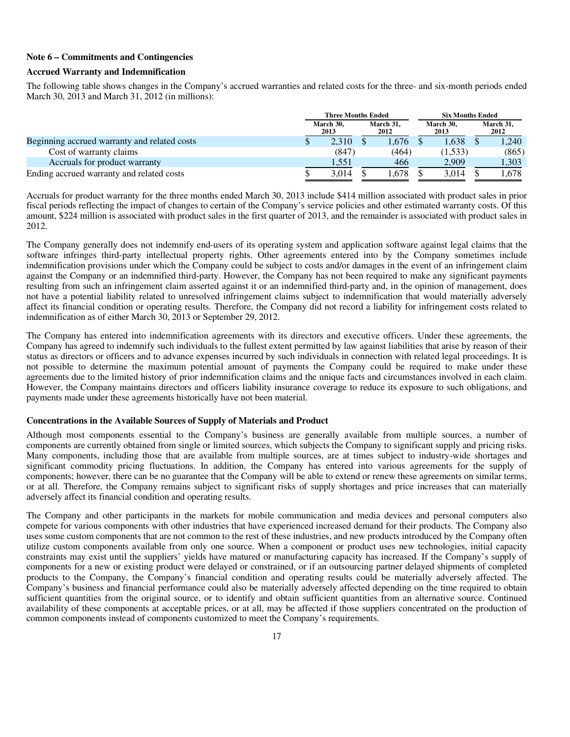# **Note 6 – Commitments and Contingencies**

# **Accrued Warranty and Indemnification**

The following table shows changes in the Company's accrued warranties and related costs for the three- and six-month periods ended March 30, 2013 and March 31, 2012 (in millions):

|                                              | <b>Three Months Ended</b> |       |  |                   |  |                   |  | <b>Six Months Ended</b> |
|----------------------------------------------|---------------------------|-------|--|-------------------|--|-------------------|--|-------------------------|
|                                              | March 30,<br>2013         |       |  | March 31,<br>2012 |  | March 30,<br>2013 |  | March 31,<br>2012       |
| Beginning accrued warranty and related costs |                           | 2,310 |  | 1,676             |  | 1,638             |  | 1,240                   |
| Cost of warranty claims                      |                           | (847) |  | (464)             |  | (1,533)           |  | (865)                   |
| Accruals for product warranty                |                           | 1.551 |  | 466               |  | 2,909             |  | 1,303                   |
| Ending accrued warranty and related costs    |                           | 3.014 |  | .678              |  | 3,014             |  | 1,678                   |

Accruals for product warranty for the three months ended March 30, 2013 include \$414 million associated with product sales in prior fiscal periods reflecting the impact of changes to certain of the Company's service policies and other estimated warranty costs. Of this amount, \$224 million is associated with product sales in the first quarter of 2013, and the remainder is associated with product sales in 2012.

The Company generally does not indemnify end-users of its operating system and application software against legal claims that the software infringes third-party intellectual property rights. Other agreements entered into by the Company sometimes include indemnification provisions under which the Company could be subject to costs and/or damages in the event of an infringement claim against the Company or an indemnified third-party. However, the Company has not been required to make any significant payments resulting from such an infringement claim asserted against it or an indemnified third-party and, in the opinion of management, does not have a potential liability related to unresolved infringement claims subject to indemnification that would materially adversely affect its financial condition or operating results. Therefore, the Company did not record a liability for infringement costs related to indemnification as of either March 30, 2013 or September 29, 2012.

The Company has entered into indemnification agreements with its directors and executive officers. Under these agreements, the Company has agreed to indemnify such individuals to the fullest extent permitted by law against liabilities that arise by reason of their status as directors or officers and to advance expenses incurred by such individuals in connection with related legal proceedings. It is not possible to determine the maximum potential amount of payments the Company could be required to make under these agreements due to the limited history of prior indemnification claims and the unique facts and circumstances involved in each claim. However, the Company maintains directors and officers liability insurance coverage to reduce its exposure to such obligations, and payments made under these agreements historically have not been material.

# **Concentrations in the Available Sources of Supply of Materials and Product**

Although most components essential to the Company's business are generally available from multiple sources, a number of components are currently obtained from single or limited sources, which subjects the Company to significant supply and pricing risks. Many components, including those that are available from multiple sources, are at times subject to industry-wide shortages and significant commodity pricing fluctuations. In addition, the Company has entered into various agreements for the supply of components; however, there can be no guarantee that the Company will be able to extend or renew these agreements on similar terms, or at all. Therefore, the Company remains subject to significant risks of supply shortages and price increases that can materially adversely affect its financial condition and operating results.

The Company and other participants in the markets for mobile communication and media devices and personal computers also compete for various components with other industries that have experienced increased demand for their products. The Company also uses some custom components that are not common to the rest of these industries, and new products introduced by the Company often utilize custom components available from only one source. When a component or product uses new technologies, initial capacity constraints may exist until the suppliers' yields have matured or manufacturing capacity has increased. If the Company's supply of components for a new or existing product were delayed or constrained, or if an outsourcing partner delayed shipments of completed products to the Company, the Company's financial condition and operating results could be materially adversely affected. The Company's business and financial performance could also be materially adversely affected depending on the time required to obtain sufficient quantities from the original source, or to identify and obtain sufficient quantities from an alternative source. Continued availability of these components at acceptable prices, or at all, may be affected if those suppliers concentrated on the production of common components instead of components customized to meet the Company's requirements.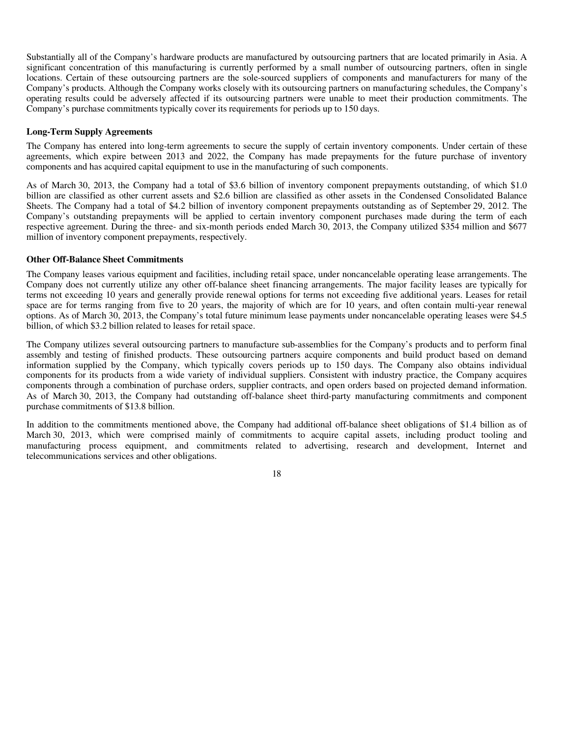Substantially all of the Company's hardware products are manufactured by outsourcing partners that are located primarily in Asia. A significant concentration of this manufacturing is currently performed by a small number of outsourcing partners, often in single locations. Certain of these outsourcing partners are the sole-sourced suppliers of components and manufacturers for many of the Company's products. Although the Company works closely with its outsourcing partners on manufacturing schedules, the Company's operating results could be adversely affected if its outsourcing partners were unable to meet their production commitments. The Company's purchase commitments typically cover its requirements for periods up to 150 days.

#### **Long-Term Supply Agreements**

The Company has entered into long-term agreements to secure the supply of certain inventory components. Under certain of these agreements, which expire between 2013 and 2022, the Company has made prepayments for the future purchase of inventory components and has acquired capital equipment to use in the manufacturing of such components.

As of March 30, 2013, the Company had a total of \$3.6 billion of inventory component prepayments outstanding, of which \$1.0 billion are classified as other current assets and \$2.6 billion are classified as other assets in the Condensed Consolidated Balance Sheets. The Company had a total of \$4.2 billion of inventory component prepayments outstanding as of September 29, 2012. The Company's outstanding prepayments will be applied to certain inventory component purchases made during the term of each respective agreement. During the three- and six-month periods ended March 30, 2013, the Company utilized \$354 million and \$677 million of inventory component prepayments, respectively.

#### **Other Off-Balance Sheet Commitments**

The Company leases various equipment and facilities, including retail space, under noncancelable operating lease arrangements. The Company does not currently utilize any other off-balance sheet financing arrangements. The major facility leases are typically for terms not exceeding 10 years and generally provide renewal options for terms not exceeding five additional years. Leases for retail space are for terms ranging from five to 20 years, the majority of which are for 10 years, and often contain multi-year renewal options. As of March 30, 2013, the Company's total future minimum lease payments under noncancelable operating leases were \$4.5 billion, of which \$3.2 billion related to leases for retail space.

The Company utilizes several outsourcing partners to manufacture sub-assemblies for the Company's products and to perform final assembly and testing of finished products. These outsourcing partners acquire components and build product based on demand information supplied by the Company, which typically covers periods up to 150 days. The Company also obtains individual components for its products from a wide variety of individual suppliers. Consistent with industry practice, the Company acquires components through a combination of purchase orders, supplier contracts, and open orders based on projected demand information. As of March 30, 2013, the Company had outstanding off-balance sheet third-party manufacturing commitments and component purchase commitments of \$13.8 billion.

In addition to the commitments mentioned above, the Company had additional off-balance sheet obligations of \$1.4 billion as of March 30, 2013, which were comprised mainly of commitments to acquire capital assets, including product tooling and manufacturing process equipment, and commitments related to advertising, research and development, Internet and telecommunications services and other obligations.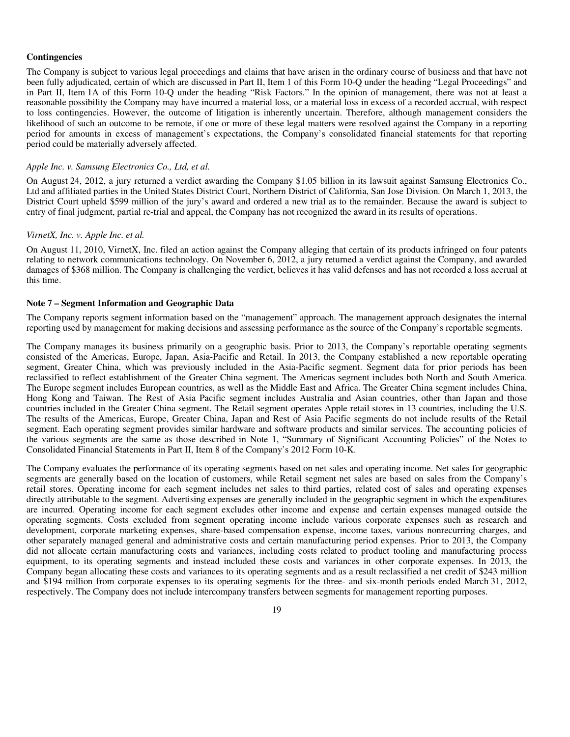# **Contingencies**

The Company is subject to various legal proceedings and claims that have arisen in the ordinary course of business and that have not been fully adjudicated, certain of which are discussed in Part II, Item 1 of this Form 10-Q under the heading "Legal Proceedings" and in Part II, Item 1A of this Form 10-Q under the heading "Risk Factors." In the opinion of management, there was not at least a reasonable possibility the Company may have incurred a material loss, or a material loss in excess of a recorded accrual, with respect to loss contingencies. However, the outcome of litigation is inherently uncertain. Therefore, although management considers the likelihood of such an outcome to be remote, if one or more of these legal matters were resolved against the Company in a reporting period for amounts in excess of management's expectations, the Company's consolidated financial statements for that reporting period could be materially adversely affected.

#### *Apple Inc. v. Samsung Electronics Co., Ltd, et al.*

On August 24, 2012, a jury returned a verdict awarding the Company \$1.05 billion in its lawsuit against Samsung Electronics Co., Ltd and affiliated parties in the United States District Court, Northern District of California, San Jose Division. On March 1, 2013, the District Court upheld \$599 million of the jury's award and ordered a new trial as to the remainder. Because the award is subject to entry of final judgment, partial re-trial and appeal, the Company has not recognized the award in its results of operations.

#### *VirnetX, Inc. v. Apple Inc. et al.*

On August 11, 2010, VirnetX, Inc. filed an action against the Company alleging that certain of its products infringed on four patents relating to network communications technology. On November 6, 2012, a jury returned a verdict against the Company, and awarded damages of \$368 million. The Company is challenging the verdict, believes it has valid defenses and has not recorded a loss accrual at this time.

#### **Note 7 – Segment Information and Geographic Data**

The Company reports segment information based on the "management" approach. The management approach designates the internal reporting used by management for making decisions and assessing performance as the source of the Company's reportable segments.

The Company manages its business primarily on a geographic basis. Prior to 2013, the Company's reportable operating segments consisted of the Americas, Europe, Japan, Asia-Pacific and Retail. In 2013, the Company established a new reportable operating segment, Greater China, which was previously included in the Asia-Pacific segment. Segment data for prior periods has been reclassified to reflect establishment of the Greater China segment. The Americas segment includes both North and South America. The Europe segment includes European countries, as well as the Middle East and Africa. The Greater China segment includes China, Hong Kong and Taiwan. The Rest of Asia Pacific segment includes Australia and Asian countries, other than Japan and those countries included in the Greater China segment. The Retail segment operates Apple retail stores in 13 countries, including the U.S. The results of the Americas, Europe, Greater China, Japan and Rest of Asia Pacific segments do not include results of the Retail segment. Each operating segment provides similar hardware and software products and similar services. The accounting policies of the various segments are the same as those described in Note 1, "Summary of Significant Accounting Policies" of the Notes to Consolidated Financial Statements in Part II, Item 8 of the Company's 2012 Form 10-K.

The Company evaluates the performance of its operating segments based on net sales and operating income. Net sales for geographic segments are generally based on the location of customers, while Retail segment net sales are based on sales from the Company's retail stores. Operating income for each segment includes net sales to third parties, related cost of sales and operating expenses directly attributable to the segment. Advertising expenses are generally included in the geographic segment in which the expenditures are incurred. Operating income for each segment excludes other income and expense and certain expenses managed outside the operating segments. Costs excluded from segment operating income include various corporate expenses such as research and development, corporate marketing expenses, share-based compensation expense, income taxes, various nonrecurring charges, and other separately managed general and administrative costs and certain manufacturing period expenses. Prior to 2013, the Company did not allocate certain manufacturing costs and variances, including costs related to product tooling and manufacturing process equipment, to its operating segments and instead included these costs and variances in other corporate expenses. In 2013, the Company began allocating these costs and variances to its operating segments and as a result reclassified a net credit of \$243 million and \$194 million from corporate expenses to its operating segments for the three- and six-month periods ended March 31, 2012, respectively. The Company does not include intercompany transfers between segments for management reporting purposes.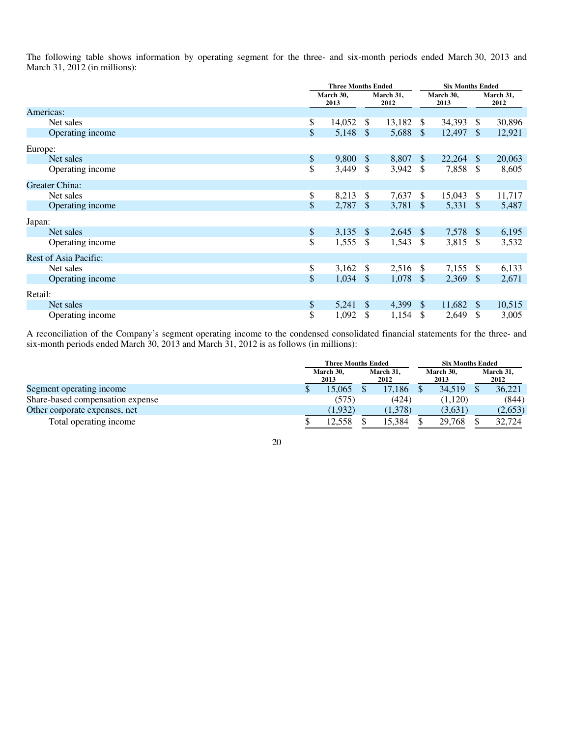The following table shows information by operating segment for the three- and six-month periods ended March 30, 2013 and March 31, 2012 (in millions):

|                       |                           | <b>Three Months Ended</b> |               | <b>Six Months Ended</b> |               |                   |                   |        |
|-----------------------|---------------------------|---------------------------|---------------|-------------------------|---------------|-------------------|-------------------|--------|
|                       |                           | March 30,<br>2013         |               | March 31,<br>2012       |               | March 30,<br>2013 | March 31,<br>2012 |        |
| Americas:             |                           |                           |               |                         |               |                   |                   |        |
| Net sales             | \$                        | 14,052                    | \$            | 13,182                  | \$            | 34,393            | S                 | 30,896 |
| Operating income      | $\mathbb{S}$              | 5,148                     | $\mathbf{\$}$ | 5,688                   | $\mathbb{S}$  | 12,497            | <sup>\$</sup>     | 12,921 |
| Europe:               |                           |                           |               |                         |               |                   |                   |        |
| Net sales             | \$                        | 9,800                     | $\frac{1}{2}$ | 8,807                   | $\mathbb{S}$  | 22,264            | <sup>\$</sup>     | 20,063 |
| Operating income      | \$                        | 3,449                     | \$            | 3,942                   | \$.           | 7,858             | \$.               | 8,605  |
| Greater China:        |                           |                           |               |                         |               |                   |                   |        |
| Net sales             | \$                        | 8,213                     | $\mathbb{S}$  | 7,637                   | \$            | 15,043            | \$.               | 11,717 |
| Operating income      | $\mathbb{S}$              | 2,787                     | $\mathbb{S}$  | 3,781                   | $\mathbb{S}$  | 5,331             | <sup>\$</sup>     | 5,487  |
| Japan:                |                           |                           |               |                         |               |                   |                   |        |
| Net sales             | $\boldsymbol{\mathsf{S}}$ | 3,135                     | $\mathcal{S}$ | 2,645                   | $\mathcal{S}$ | 7,578             | $\mathcal{S}$     | 6,195  |
| Operating income      | \$                        | 1,555                     | \$            | 1,543                   | <sup>\$</sup> | 3,815             | -S                | 3,532  |
| Rest of Asia Pacific: |                           |                           |               |                         |               |                   |                   |        |
| Net sales             | \$                        | 3,162                     | $\mathcal{S}$ | 2,516                   | <sup>\$</sup> | 7,155             | <sup>\$</sup>     | 6,133  |
| Operating income      | $\mathsf{\$}$             | 1,034                     | <sup>\$</sup> | 1,078                   | <sup>\$</sup> | 2,369             | <sup>\$</sup>     | 2,671  |
| Retail:               |                           |                           |               |                         |               |                   |                   |        |
| Net sales             | \$                        | 5,241                     | $\mathbb{S}$  | 4,399                   | <sup>\$</sup> | 11,682            | <sup>\$</sup>     | 10,515 |
| Operating income      | \$                        | 1,092                     | \$            | 1,154                   | \$            | 2,649             | \$                | 3,005  |

A reconciliation of the Company's segment operating income to the condensed consolidated financial statements for the three- and six-month periods ended March 30, 2013 and March 31, 2012 is as follows (in millions):

|                                  |                   | <b>Three Months Ended</b> |  |                   |                   | <b>Six Months Ended</b> |                   |  |
|----------------------------------|-------------------|---------------------------|--|-------------------|-------------------|-------------------------|-------------------|--|
|                                  | March 30,<br>2013 |                           |  | March 31,<br>2012 | March 30,<br>2013 |                         | March 31,<br>2012 |  |
| Segment operating income         |                   | 15.065                    |  | 17.186            | 34.519            |                         | 36,221            |  |
| Share-based compensation expense |                   | (575)                     |  | (424)             | (1.120)           |                         | (844)             |  |
| Other corporate expenses, net    |                   | (1,932)                   |  | (1,378)           | (3,631)           |                         | (2,653)           |  |
| Total operating income           |                   | 12.558                    |  | 15.384            | 29.768            |                         | 32.724            |  |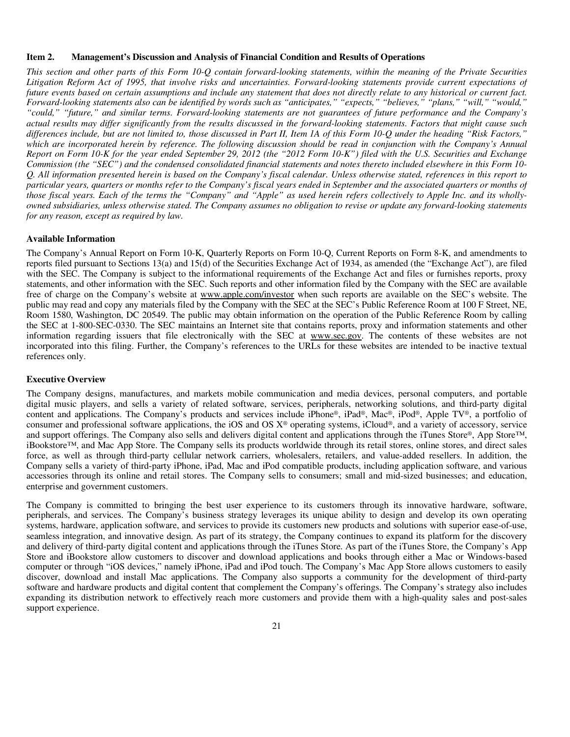### **Item 2. Management's Discussion and Analysis of Financial Condition and Results of Operations**

*This section and other parts of this Form 10-Q contain forward-looking statements, within the meaning of the Private Securities Litigation Reform Act of 1995, that involve risks and uncertainties. Forward-looking statements provide current expectations of future events based on certain assumptions and include any statement that does not directly relate to any historical or current fact. Forward-looking statements also can be identified by words such as "anticipates," "expects," "believes," "plans," "will," "would," "could," "future," and similar terms. Forward-looking statements are not guarantees of future performance and the Company's actual results may differ significantly from the results discussed in the forward-looking statements. Factors that might cause such differences include, but are not limited to, those discussed in Part II, Item 1A of this Form 10-Q under the heading "Risk Factors," which are incorporated herein by reference. The following discussion should be read in conjunction with the Company's Annual Report on Form 10-K for the year ended September 29, 2012 (the "2012 Form 10-K") filed with the U.S. Securities and Exchange Commission (the "SEC") and the condensed consolidated financial statements and notes thereto included elsewhere in this Form 10- Q. All information presented herein is based on the Company's fiscal calendar. Unless otherwise stated, references in this report to particular years, quarters or months refer to the Company's fiscal years ended in September and the associated quarters or months of those fiscal years. Each of the terms the "Company" and "Apple" as used herein refers collectively to Apple Inc. and its whollyowned subsidiaries, unless otherwise stated. The Company assumes no obligation to revise or update any forward-looking statements for any reason, except as required by law.* 

#### **Available Information**

The Company's Annual Report on Form 10-K, Quarterly Reports on Form 10-Q, Current Reports on Form 8-K, and amendments to reports filed pursuant to Sections 13(a) and 15(d) of the Securities Exchange Act of 1934, as amended (the "Exchange Act"), are filed with the SEC. The Company is subject to the informational requirements of the Exchange Act and files or furnishes reports, proxy statements, and other information with the SEC. Such reports and other information filed by the Company with the SEC are available free of charge on the Company's website at www.apple.com/investor when such reports are available on the SEC's website. The public may read and copy any materials filed by the Company with the SEC at the SEC's Public Reference Room at 100 F Street, NE, Room 1580, Washington, DC 20549. The public may obtain information on the operation of the Public Reference Room by calling the SEC at 1-800-SEC-0330. The SEC maintains an Internet site that contains reports, proxy and information statements and other information regarding issuers that file electronically with the SEC at www.sec.gov. The contents of these websites are not incorporated into this filing. Further, the Company's references to the URLs for these websites are intended to be inactive textual references only.

### **Executive Overview**

The Company designs, manufactures, and markets mobile communication and media devices, personal computers, and portable digital music players, and sells a variety of related software, services, peripherals, networking solutions, and third-party digital content and applications. The Company's products and services include iPhone®, iPad®, Mac®, iPod®, Apple TV®, a portfolio of consumer and professional software applications, the iOS and OS  $X^{\otimes}$  operating systems, iCloud®, and a variety of accessory, service and support offerings. The Company also sells and delivers digital content and applications through the iTunes Store®, App Store™, iBookstore™, and Mac App Store. The Company sells its products worldwide through its retail stores, online stores, and direct sales force, as well as through third-party cellular network carriers, wholesalers, retailers, and value-added resellers. In addition, the Company sells a variety of third-party iPhone, iPad, Mac and iPod compatible products, including application software, and various accessories through its online and retail stores. The Company sells to consumers; small and mid-sized businesses; and education, enterprise and government customers.

The Company is committed to bringing the best user experience to its customers through its innovative hardware, software, peripherals, and services. The Company's business strategy leverages its unique ability to design and develop its own operating systems, hardware, application software, and services to provide its customers new products and solutions with superior ease-of-use, seamless integration, and innovative design. As part of its strategy, the Company continues to expand its platform for the discovery and delivery of third-party digital content and applications through the iTunes Store. As part of the iTunes Store, the Company's App Store and iBookstore allow customers to discover and download applications and books through either a Mac or Windows-based computer or through "iOS devices," namely iPhone, iPad and iPod touch. The Company's Mac App Store allows customers to easily discover, download and install Mac applications. The Company also supports a community for the development of third-party software and hardware products and digital content that complement the Company's offerings. The Company's strategy also includes expanding its distribution network to effectively reach more customers and provide them with a high-quality sales and post-sales support experience.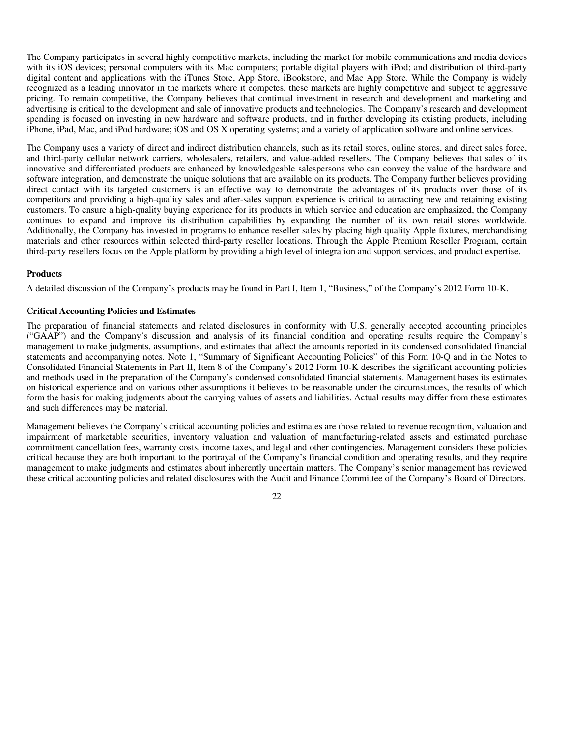The Company participates in several highly competitive markets, including the market for mobile communications and media devices with its iOS devices; personal computers with its Mac computers; portable digital players with iPod; and distribution of third-party digital content and applications with the iTunes Store, App Store, iBookstore, and Mac App Store. While the Company is widely recognized as a leading innovator in the markets where it competes, these markets are highly competitive and subject to aggressive pricing. To remain competitive, the Company believes that continual investment in research and development and marketing and advertising is critical to the development and sale of innovative products and technologies. The Company's research and development spending is focused on investing in new hardware and software products, and in further developing its existing products, including iPhone, iPad, Mac, and iPod hardware; iOS and OS X operating systems; and a variety of application software and online services.

The Company uses a variety of direct and indirect distribution channels, such as its retail stores, online stores, and direct sales force, and third-party cellular network carriers, wholesalers, retailers, and value-added resellers. The Company believes that sales of its innovative and differentiated products are enhanced by knowledgeable salespersons who can convey the value of the hardware and software integration, and demonstrate the unique solutions that are available on its products. The Company further believes providing direct contact with its targeted customers is an effective way to demonstrate the advantages of its products over those of its competitors and providing a high-quality sales and after-sales support experience is critical to attracting new and retaining existing customers. To ensure a high-quality buying experience for its products in which service and education are emphasized, the Company continues to expand and improve its distribution capabilities by expanding the number of its own retail stores worldwide. Additionally, the Company has invested in programs to enhance reseller sales by placing high quality Apple fixtures, merchandising materials and other resources within selected third-party reseller locations. Through the Apple Premium Reseller Program, certain third-party resellers focus on the Apple platform by providing a high level of integration and support services, and product expertise.

#### **Products**

A detailed discussion of the Company's products may be found in Part I, Item 1, "Business," of the Company's 2012 Form 10-K.

#### **Critical Accounting Policies and Estimates**

The preparation of financial statements and related disclosures in conformity with U.S. generally accepted accounting principles ("GAAP") and the Company's discussion and analysis of its financial condition and operating results require the Company's management to make judgments, assumptions, and estimates that affect the amounts reported in its condensed consolidated financial statements and accompanying notes. Note 1, "Summary of Significant Accounting Policies" of this Form 10-Q and in the Notes to Consolidated Financial Statements in Part II, Item 8 of the Company's 2012 Form 10-K describes the significant accounting policies and methods used in the preparation of the Company's condensed consolidated financial statements. Management bases its estimates on historical experience and on various other assumptions it believes to be reasonable under the circumstances, the results of which form the basis for making judgments about the carrying values of assets and liabilities. Actual results may differ from these estimates and such differences may be material.

Management believes the Company's critical accounting policies and estimates are those related to revenue recognition, valuation and impairment of marketable securities, inventory valuation and valuation of manufacturing-related assets and estimated purchase commitment cancellation fees, warranty costs, income taxes, and legal and other contingencies. Management considers these policies critical because they are both important to the portrayal of the Company's financial condition and operating results, and they require management to make judgments and estimates about inherently uncertain matters. The Company's senior management has reviewed these critical accounting policies and related disclosures with the Audit and Finance Committee of the Company's Board of Directors.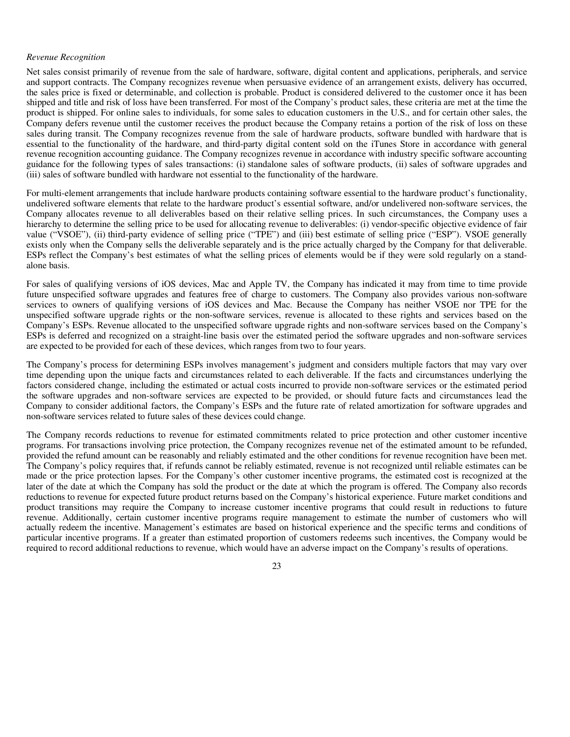# *Revenue Recognition*

Net sales consist primarily of revenue from the sale of hardware, software, digital content and applications, peripherals, and service and support contracts. The Company recognizes revenue when persuasive evidence of an arrangement exists, delivery has occurred, the sales price is fixed or determinable, and collection is probable. Product is considered delivered to the customer once it has been shipped and title and risk of loss have been transferred. For most of the Company's product sales, these criteria are met at the time the product is shipped. For online sales to individuals, for some sales to education customers in the U.S., and for certain other sales, the Company defers revenue until the customer receives the product because the Company retains a portion of the risk of loss on these sales during transit. The Company recognizes revenue from the sale of hardware products, software bundled with hardware that is essential to the functionality of the hardware, and third-party digital content sold on the iTunes Store in accordance with general revenue recognition accounting guidance. The Company recognizes revenue in accordance with industry specific software accounting guidance for the following types of sales transactions: (i) standalone sales of software products, (ii) sales of software upgrades and (iii) sales of software bundled with hardware not essential to the functionality of the hardware.

For multi-element arrangements that include hardware products containing software essential to the hardware product's functionality, undelivered software elements that relate to the hardware product's essential software, and/or undelivered non-software services, the Company allocates revenue to all deliverables based on their relative selling prices. In such circumstances, the Company uses a hierarchy to determine the selling price to be used for allocating revenue to deliverables: (i) vendor-specific objective evidence of fair value ("VSOE"), (ii) third-party evidence of selling price ("TPE") and (iii) best estimate of selling price ("ESP"). VSOE generally exists only when the Company sells the deliverable separately and is the price actually charged by the Company for that deliverable. ESPs reflect the Company's best estimates of what the selling prices of elements would be if they were sold regularly on a standalone basis.

For sales of qualifying versions of iOS devices, Mac and Apple TV, the Company has indicated it may from time to time provide future unspecified software upgrades and features free of charge to customers. The Company also provides various non-software services to owners of qualifying versions of iOS devices and Mac. Because the Company has neither VSOE nor TPE for the unspecified software upgrade rights or the non-software services, revenue is allocated to these rights and services based on the Company's ESPs. Revenue allocated to the unspecified software upgrade rights and non-software services based on the Company's ESPs is deferred and recognized on a straight-line basis over the estimated period the software upgrades and non-software services are expected to be provided for each of these devices, which ranges from two to four years.

The Company's process for determining ESPs involves management's judgment and considers multiple factors that may vary over time depending upon the unique facts and circumstances related to each deliverable. If the facts and circumstances underlying the factors considered change, including the estimated or actual costs incurred to provide non-software services or the estimated period the software upgrades and non-software services are expected to be provided, or should future facts and circumstances lead the Company to consider additional factors, the Company's ESPs and the future rate of related amortization for software upgrades and non-software services related to future sales of these devices could change.

The Company records reductions to revenue for estimated commitments related to price protection and other customer incentive programs. For transactions involving price protection, the Company recognizes revenue net of the estimated amount to be refunded, provided the refund amount can be reasonably and reliably estimated and the other conditions for revenue recognition have been met. The Company's policy requires that, if refunds cannot be reliably estimated, revenue is not recognized until reliable estimates can be made or the price protection lapses. For the Company's other customer incentive programs, the estimated cost is recognized at the later of the date at which the Company has sold the product or the date at which the program is offered. The Company also records reductions to revenue for expected future product returns based on the Company's historical experience. Future market conditions and product transitions may require the Company to increase customer incentive programs that could result in reductions to future revenue. Additionally, certain customer incentive programs require management to estimate the number of customers who will actually redeem the incentive. Management's estimates are based on historical experience and the specific terms and conditions of particular incentive programs. If a greater than estimated proportion of customers redeems such incentives, the Company would be required to record additional reductions to revenue, which would have an adverse impact on the Company's results of operations.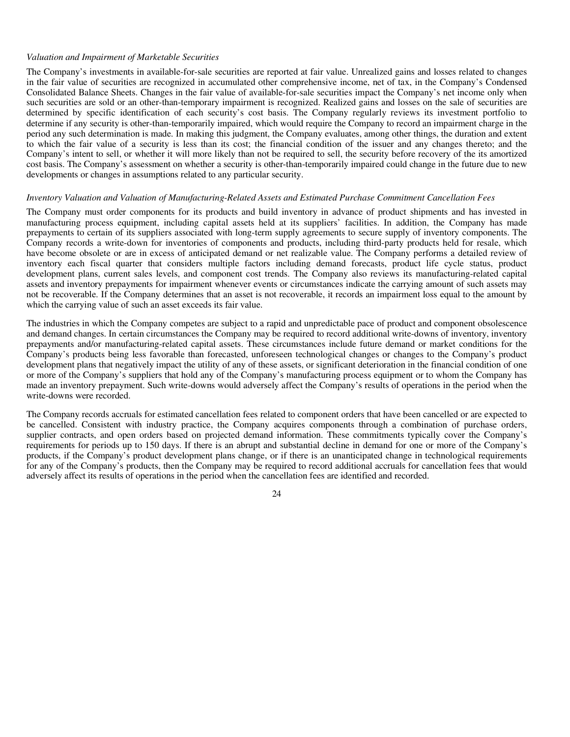# *Valuation and Impairment of Marketable Securities*

The Company's investments in available-for-sale securities are reported at fair value. Unrealized gains and losses related to changes in the fair value of securities are recognized in accumulated other comprehensive income, net of tax, in the Company's Condensed Consolidated Balance Sheets. Changes in the fair value of available-for-sale securities impact the Company's net income only when such securities are sold or an other-than-temporary impairment is recognized. Realized gains and losses on the sale of securities are determined by specific identification of each security's cost basis. The Company regularly reviews its investment portfolio to determine if any security is other-than-temporarily impaired, which would require the Company to record an impairment charge in the period any such determination is made. In making this judgment, the Company evaluates, among other things, the duration and extent to which the fair value of a security is less than its cost; the financial condition of the issuer and any changes thereto; and the Company's intent to sell, or whether it will more likely than not be required to sell, the security before recovery of the its amortized cost basis. The Company's assessment on whether a security is other-than-temporarily impaired could change in the future due to new developments or changes in assumptions related to any particular security.

#### *Inventory Valuation and Valuation of Manufacturing-Related Assets and Estimated Purchase Commitment Cancellation Fees*

The Company must order components for its products and build inventory in advance of product shipments and has invested in manufacturing process equipment, including capital assets held at its suppliers' facilities. In addition, the Company has made prepayments to certain of its suppliers associated with long-term supply agreements to secure supply of inventory components. The Company records a write-down for inventories of components and products, including third-party products held for resale, which have become obsolete or are in excess of anticipated demand or net realizable value. The Company performs a detailed review of inventory each fiscal quarter that considers multiple factors including demand forecasts, product life cycle status, product development plans, current sales levels, and component cost trends. The Company also reviews its manufacturing-related capital assets and inventory prepayments for impairment whenever events or circumstances indicate the carrying amount of such assets may not be recoverable. If the Company determines that an asset is not recoverable, it records an impairment loss equal to the amount by which the carrying value of such an asset exceeds its fair value.

The industries in which the Company competes are subject to a rapid and unpredictable pace of product and component obsolescence and demand changes. In certain circumstances the Company may be required to record additional write-downs of inventory, inventory prepayments and/or manufacturing-related capital assets. These circumstances include future demand or market conditions for the Company's products being less favorable than forecasted, unforeseen technological changes or changes to the Company's product development plans that negatively impact the utility of any of these assets, or significant deterioration in the financial condition of one or more of the Company's suppliers that hold any of the Company's manufacturing process equipment or to whom the Company has made an inventory prepayment. Such write-downs would adversely affect the Company's results of operations in the period when the write-downs were recorded.

The Company records accruals for estimated cancellation fees related to component orders that have been cancelled or are expected to be cancelled. Consistent with industry practice, the Company acquires components through a combination of purchase orders, supplier contracts, and open orders based on projected demand information. These commitments typically cover the Company's requirements for periods up to 150 days. If there is an abrupt and substantial decline in demand for one or more of the Company's products, if the Company's product development plans change, or if there is an unanticipated change in technological requirements for any of the Company's products, then the Company may be required to record additional accruals for cancellation fees that would adversely affect its results of operations in the period when the cancellation fees are identified and recorded.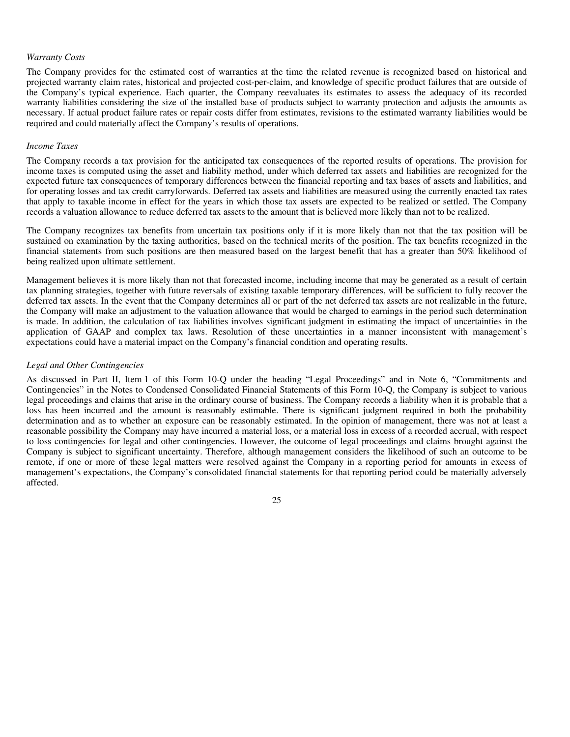# *Warranty Costs*

The Company provides for the estimated cost of warranties at the time the related revenue is recognized based on historical and projected warranty claim rates, historical and projected cost-per-claim, and knowledge of specific product failures that are outside of the Company's typical experience. Each quarter, the Company reevaluates its estimates to assess the adequacy of its recorded warranty liabilities considering the size of the installed base of products subject to warranty protection and adjusts the amounts as necessary. If actual product failure rates or repair costs differ from estimates, revisions to the estimated warranty liabilities would be required and could materially affect the Company's results of operations.

#### *Income Taxes*

The Company records a tax provision for the anticipated tax consequences of the reported results of operations. The provision for income taxes is computed using the asset and liability method, under which deferred tax assets and liabilities are recognized for the expected future tax consequences of temporary differences between the financial reporting and tax bases of assets and liabilities, and for operating losses and tax credit carryforwards. Deferred tax assets and liabilities are measured using the currently enacted tax rates that apply to taxable income in effect for the years in which those tax assets are expected to be realized or settled. The Company records a valuation allowance to reduce deferred tax assets to the amount that is believed more likely than not to be realized.

The Company recognizes tax benefits from uncertain tax positions only if it is more likely than not that the tax position will be sustained on examination by the taxing authorities, based on the technical merits of the position. The tax benefits recognized in the financial statements from such positions are then measured based on the largest benefit that has a greater than 50% likelihood of being realized upon ultimate settlement.

Management believes it is more likely than not that forecasted income, including income that may be generated as a result of certain tax planning strategies, together with future reversals of existing taxable temporary differences, will be sufficient to fully recover the deferred tax assets. In the event that the Company determines all or part of the net deferred tax assets are not realizable in the future, the Company will make an adjustment to the valuation allowance that would be charged to earnings in the period such determination is made. In addition, the calculation of tax liabilities involves significant judgment in estimating the impact of uncertainties in the application of GAAP and complex tax laws. Resolution of these uncertainties in a manner inconsistent with management's expectations could have a material impact on the Company's financial condition and operating results.

# *Legal and Other Contingencies*

As discussed in Part II, Item 1 of this Form 10-Q under the heading "Legal Proceedings" and in Note 6, "Commitments and Contingencies" in the Notes to Condensed Consolidated Financial Statements of this Form 10-Q, the Company is subject to various legal proceedings and claims that arise in the ordinary course of business. The Company records a liability when it is probable that a loss has been incurred and the amount is reasonably estimable. There is significant judgment required in both the probability determination and as to whether an exposure can be reasonably estimated. In the opinion of management, there was not at least a reasonable possibility the Company may have incurred a material loss, or a material loss in excess of a recorded accrual, with respect to loss contingencies for legal and other contingencies. However, the outcome of legal proceedings and claims brought against the Company is subject to significant uncertainty. Therefore, although management considers the likelihood of such an outcome to be remote, if one or more of these legal matters were resolved against the Company in a reporting period for amounts in excess of management's expectations, the Company's consolidated financial statements for that reporting period could be materially adversely affected.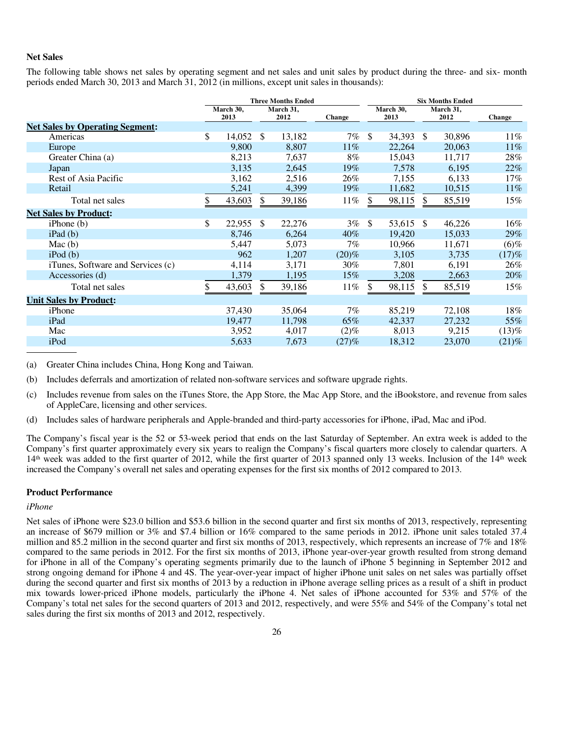# **Net Sales**

The following table shows net sales by operating segment and net sales and unit sales by product during the three- and six- month periods ended March 30, 2013 and March 31, 2012 (in millions, except unit sales in thousands):

|                                          | <b>Three Months Ended</b> |                   |     |                   |         | <b>Six Months Ended</b> |                   |               |                   |          |  |
|------------------------------------------|---------------------------|-------------------|-----|-------------------|---------|-------------------------|-------------------|---------------|-------------------|----------|--|
|                                          |                           | March 30.<br>2013 |     | March 31,<br>2012 | Change  |                         | March 30.<br>2013 |               | March 31,<br>2012 | Change   |  |
| <b>Net Sales by Operating Segment:</b>   |                           |                   |     |                   |         |                         |                   |               |                   |          |  |
| Americas                                 | \$                        | 14,052            | \$. | 13,182            | $7\%$   | $\mathbb{S}$            | 34,393            | -\$           | 30,896            | $11\%$   |  |
| Europe                                   |                           | 9,800             |     | 8,807             | $11\%$  |                         | 22,264            |               | 20,063            | $11\%$   |  |
| Greater China (a)                        |                           | 8,213             |     | 7,637             | 8%      |                         | 15,043            |               | 11,717            | 28%      |  |
| Japan                                    |                           | 3,135             |     | 2,645             | $19\%$  |                         | 7,578             |               | 6,195             | 22%      |  |
| Rest of Asia Pacific                     |                           | 3,162             |     | 2,516             | 26%     |                         | 7,155             |               | 6,133             | $17\%$   |  |
| Retail                                   |                           | 5,241             |     | 4,399             | $19\%$  |                         | 11,682            |               | 10,515            | $11\%$   |  |
| Total net sales                          |                           | 43,603            | \$  | 39,186            | $11\%$  | S.                      | 98,115            | <sup>\$</sup> | 85,519            | $15\%$   |  |
| <b>Net Sales by Product:</b>             |                           |                   |     |                   |         |                         |                   |               |                   |          |  |
| iPhone(b)                                | $\mathbb{S}$              | 22,955            | \$. | 22,276            | 3%      | $\mathbb{S}$            | 53,615            | - \$          | 46,226            | $16\%$   |  |
| iPad(b)                                  |                           | 8,746             |     | 6,264             | $40\%$  |                         | 19,420            |               | 15,033            | $29\%$   |  |
| Mac(b)                                   |                           | 5,447             |     | 5,073             | 7%      |                         | 10,966            |               | 11,671            | $(6)\%$  |  |
| $i$ Pod $(b)$                            |                           | 962               |     | 1,207             | (20)%   |                         | 3,105             |               | 3,735             | (17)%    |  |
| <i>iTunes, Software and Services (c)</i> |                           | 4,114             |     | 3,171             | 30%     |                         | 7,801             |               | 6,191             | 26%      |  |
| Accessories (d)                          |                           | 1,379             |     | 1,195             | $15\%$  |                         | 3,208             |               | 2,663             | $20\%$   |  |
| Total net sales                          |                           | 43,603            | \$  | 39,186            | $11\%$  | \$                      | 98,115            | \$.           | 85,519            | $15\%$   |  |
| <b>Unit Sales by Product:</b>            |                           |                   |     |                   |         |                         |                   |               |                   |          |  |
| iPhone                                   |                           | 37,430            |     | 35,064            | $7\%$   |                         | 85,219            |               | 72,108            | 18%      |  |
| iPad                                     |                           | 19,477            |     | 11,798            | 65%     |                         | 42,337            |               | 27,232            | 55%      |  |
| Mac                                      |                           | 3,952             |     | 4,017             | $(2)\%$ |                         | 8,013             |               | 9,215             | $(13)\%$ |  |
| iPod                                     |                           | 5,633             |     | 7,673             | (27)%   |                         | 18,312            |               | 23,070            | (21)%    |  |

(a) Greater China includes China, Hong Kong and Taiwan.

(b) Includes deferrals and amortization of related non-software services and software upgrade rights.

(c) Includes revenue from sales on the iTunes Store, the App Store, the Mac App Store, and the iBookstore, and revenue from sales of AppleCare, licensing and other services.

(d) Includes sales of hardware peripherals and Apple-branded and third-party accessories for iPhone, iPad, Mac and iPod.

The Company's fiscal year is the 52 or 53-week period that ends on the last Saturday of September. An extra week is added to the Company's first quarter approximately every six years to realign the Company's fiscal quarters more closely to calendar quarters. A  $14<sup>th</sup>$  week was added to the first quarter of 2012, while the first quarter of 2013 spanned only 13 weeks. Inclusion of the  $14<sup>th</sup>$  week increased the Company's overall net sales and operating expenses for the first six months of 2012 compared to 2013.

# **Product Performance**

#### *iPhone*

Net sales of iPhone were \$23.0 billion and \$53.6 billion in the second quarter and first six months of 2013, respectively, representing an increase of \$679 million or 3% and \$7.4 billion or 16% compared to the same periods in 2012. iPhone unit sales totaled 37.4 million and 85.2 million in the second quarter and first six months of 2013, respectively, which represents an increase of 7% and 18% compared to the same periods in 2012. For the first six months of 2013, iPhone year-over-year growth resulted from strong demand for iPhone in all of the Company's operating segments primarily due to the launch of iPhone 5 beginning in September 2012 and strong ongoing demand for iPhone 4 and 4S. The year-over-year impact of higher iPhone unit sales on net sales was partially offset during the second quarter and first six months of 2013 by a reduction in iPhone average selling prices as a result of a shift in product mix towards lower-priced iPhone models, particularly the iPhone 4. Net sales of iPhone accounted for 53% and 57% of the Company's total net sales for the second quarters of 2013 and 2012, respectively, and were 55% and 54% of the Company's total net sales during the first six months of 2013 and 2012, respectively.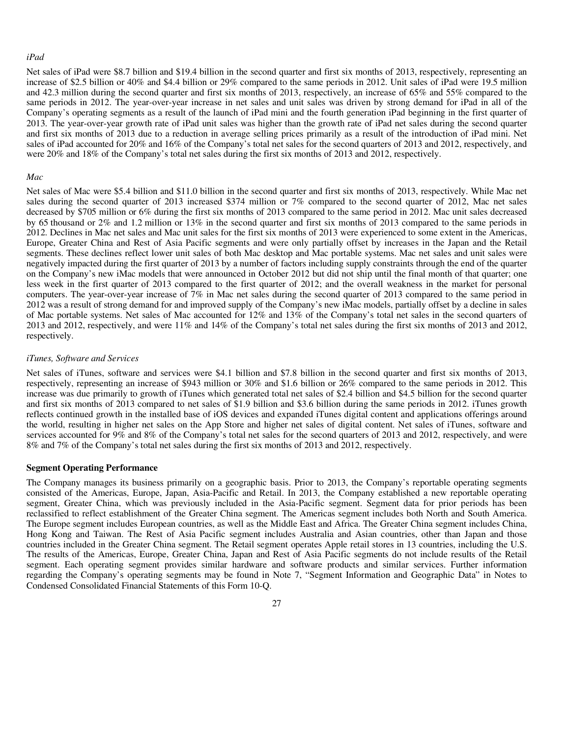### *iPad*

Net sales of iPad were \$8.7 billion and \$19.4 billion in the second quarter and first six months of 2013, respectively, representing an increase of \$2.5 billion or 40% and \$4.4 billion or 29% compared to the same periods in 2012. Unit sales of iPad were 19.5 million and 42.3 million during the second quarter and first six months of 2013, respectively, an increase of 65% and 55% compared to the same periods in 2012. The year-over-year increase in net sales and unit sales was driven by strong demand for iPad in all of the Company's operating segments as a result of the launch of iPad mini and the fourth generation iPad beginning in the first quarter of 2013. The year-over-year growth rate of iPad unit sales was higher than the growth rate of iPad net sales during the second quarter and first six months of 2013 due to a reduction in average selling prices primarily as a result of the introduction of iPad mini. Net sales of iPad accounted for 20% and 16% of the Company's total net sales for the second quarters of 2013 and 2012, respectively, and were 20% and 18% of the Company's total net sales during the first six months of 2013 and 2012, respectively.

#### *Mac*

Net sales of Mac were \$5.4 billion and \$11.0 billion in the second quarter and first six months of 2013, respectively. While Mac net sales during the second quarter of 2013 increased \$374 million or 7% compared to the second quarter of 2012, Mac net sales decreased by \$705 million or 6% during the first six months of 2013 compared to the same period in 2012. Mac unit sales decreased by 65 thousand or 2% and 1.2 million or 13% in the second quarter and first six months of 2013 compared to the same periods in 2012. Declines in Mac net sales and Mac unit sales for the first six months of 2013 were experienced to some extent in the Americas, Europe, Greater China and Rest of Asia Pacific segments and were only partially offset by increases in the Japan and the Retail segments. These declines reflect lower unit sales of both Mac desktop and Mac portable systems. Mac net sales and unit sales were negatively impacted during the first quarter of 2013 by a number of factors including supply constraints through the end of the quarter on the Company's new iMac models that were announced in October 2012 but did not ship until the final month of that quarter; one less week in the first quarter of 2013 compared to the first quarter of 2012; and the overall weakness in the market for personal computers. The year-over-year increase of 7% in Mac net sales during the second quarter of 2013 compared to the same period in 2012 was a result of strong demand for and improved supply of the Company's new iMac models, partially offset by a decline in sales of Mac portable systems. Net sales of Mac accounted for 12% and 13% of the Company's total net sales in the second quarters of 2013 and 2012, respectively, and were 11% and 14% of the Company's total net sales during the first six months of 2013 and 2012, respectively.

#### *iTunes, Software and Services*

Net sales of iTunes, software and services were \$4.1 billion and \$7.8 billion in the second quarter and first six months of 2013, respectively, representing an increase of \$943 million or 30% and \$1.6 billion or 26% compared to the same periods in 2012. This increase was due primarily to growth of iTunes which generated total net sales of \$2.4 billion and \$4.5 billion for the second quarter and first six months of 2013 compared to net sales of \$1.9 billion and \$3.6 billion during the same periods in 2012. iTunes growth reflects continued growth in the installed base of iOS devices and expanded iTunes digital content and applications offerings around the world, resulting in higher net sales on the App Store and higher net sales of digital content. Net sales of iTunes, software and services accounted for 9% and 8% of the Company's total net sales for the second quarters of 2013 and 2012, respectively, and were 8% and 7% of the Company's total net sales during the first six months of 2013 and 2012, respectively.

#### **Segment Operating Performance**

The Company manages its business primarily on a geographic basis. Prior to 2013, the Company's reportable operating segments consisted of the Americas, Europe, Japan, Asia-Pacific and Retail. In 2013, the Company established a new reportable operating segment, Greater China, which was previously included in the Asia-Pacific segment. Segment data for prior periods has been reclassified to reflect establishment of the Greater China segment. The Americas segment includes both North and South America. The Europe segment includes European countries, as well as the Middle East and Africa. The Greater China segment includes China, Hong Kong and Taiwan. The Rest of Asia Pacific segment includes Australia and Asian countries, other than Japan and those countries included in the Greater China segment. The Retail segment operates Apple retail stores in 13 countries, including the U.S. The results of the Americas, Europe, Greater China, Japan and Rest of Asia Pacific segments do not include results of the Retail segment. Each operating segment provides similar hardware and software products and similar services. Further information regarding the Company's operating segments may be found in Note 7, "Segment Information and Geographic Data" in Notes to Condensed Consolidated Financial Statements of this Form 10-Q.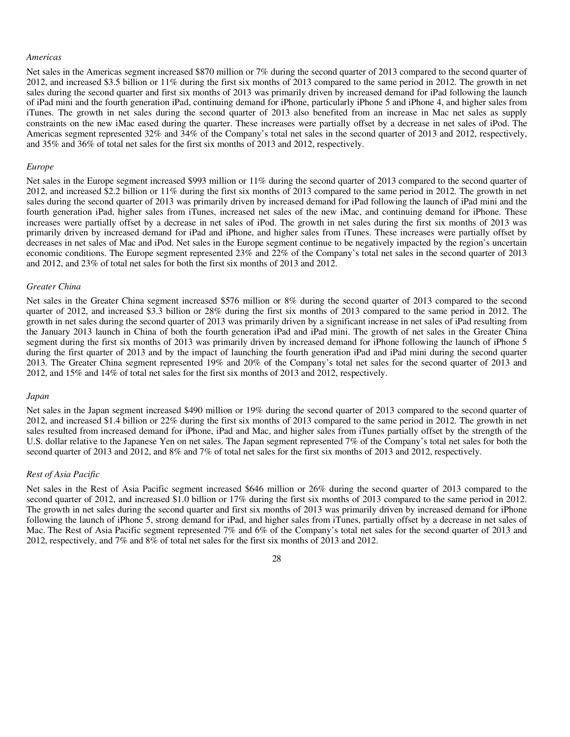#### *Americas*

Net sales in the Americas segment increased \$870 million or 7% during the second quarter of 2013 compared to the second quarter of 2012, and increased \$3.5 billion or 11% during the first six months of 2013 compared to the same period in 2012. The growth in net sales during the second quarter and first six months of 2013 was primarily driven by increased demand for iPad following the launch of iPad mini and the fourth generation iPad, continuing demand for iPhone, particularly iPhone 5 and iPhone 4, and higher sales from iTunes. The growth in net sales during the second quarter of 2013 also benefited from an increase in Mac net sales as supply constraints on the new iMac eased during the quarter. These increases were partially offset by a decrease in net sales of iPod. The Americas segment represented 32% and 34% of the Company's total net sales in the second quarter of 2013 and 2012, respectively, and 35% and 36% of total net sales for the first six months of 2013 and 2012, respectively.

#### *Europe*

Net sales in the Europe segment increased \$993 million or 11% during the second quarter of 2013 compared to the second quarter of 2012, and increased \$2.2 billion or 11% during the first six months of 2013 compared to the same period in 2012. The growth in net sales during the second quarter of 2013 was primarily driven by increased demand for iPad following the launch of iPad mini and the fourth generation iPad, higher sales from iTunes, increased net sales of the new iMac, and continuing demand for iPhone. These increases were partially offset by a decrease in net sales of iPod. The growth in net sales during the first six months of 2013 was primarily driven by increased demand for iPad and iPhone, and higher sales from iTunes. These increases were partially offset by decreases in net sales of Mac and iPod. Net sales in the Europe segment continue to be negatively impacted by the region's uncertain economic conditions. The Europe segment represented 23% and 22% of the Company's total net sales in the second quarter of 2013 and 2012, and 23% of total net sales for both the first six months of 2013 and 2012.

### *Greater China*

Net sales in the Greater China segment increased \$576 million or 8% during the second quarter of 2013 compared to the second quarter of 2012, and increased \$3.3 billion or 28% during the first six months of 2013 compared to the same period in 2012. The growth in net sales during the second quarter of 2013 was primarily driven by a significant increase in net sales of iPad resulting from the January 2013 launch in China of both the fourth generation iPad and iPad mini. The growth of net sales in the Greater China segment during the first six months of 2013 was primarily driven by increased demand for iPhone following the launch of iPhone 5 during the first quarter of 2013 and by the impact of launching the fourth generation iPad and iPad mini during the second quarter 2013. The Greater China segment represented 19% and 20% of the Company's total net sales for the second quarter of 2013 and 2012, and 15% and 14% of total net sales for the first six months of 2013 and 2012, respectively.

#### *Japan*

Net sales in the Japan segment increased \$490 million or 19% during the second quarter of 2013 compared to the second quarter of 2012, and increased \$1.4 billion or 22% during the first six months of 2013 compared to the same period in 2012. The growth in net sales resulted from increased demand for iPhone, iPad and Mac, and higher sales from iTunes partially offset by the strength of the U.S. dollar relative to the Japanese Yen on net sales. The Japan segment represented 7% of the Company's total net sales for both the second quarter of 2013 and 2012, and 8% and 7% of total net sales for the first six months of 2013 and 2012, respectively.

#### *Rest of Asia Pacific*

Net sales in the Rest of Asia Pacific segment increased \$646 million or 26% during the second quarter of 2013 compared to the second quarter of 2012, and increased \$1.0 billion or 17% during the first six months of 2013 compared to the same period in 2012. The growth in net sales during the second quarter and first six months of 2013 was primarily driven by increased demand for iPhone following the launch of iPhone 5, strong demand for iPad, and higher sales from iTunes, partially offset by a decrease in net sales of Mac. The Rest of Asia Pacific segment represented 7% and 6% of the Company's total net sales for the second quarter of 2013 and 2012, respectively, and 7% and 8% of total net sales for the first six months of 2013 and 2012.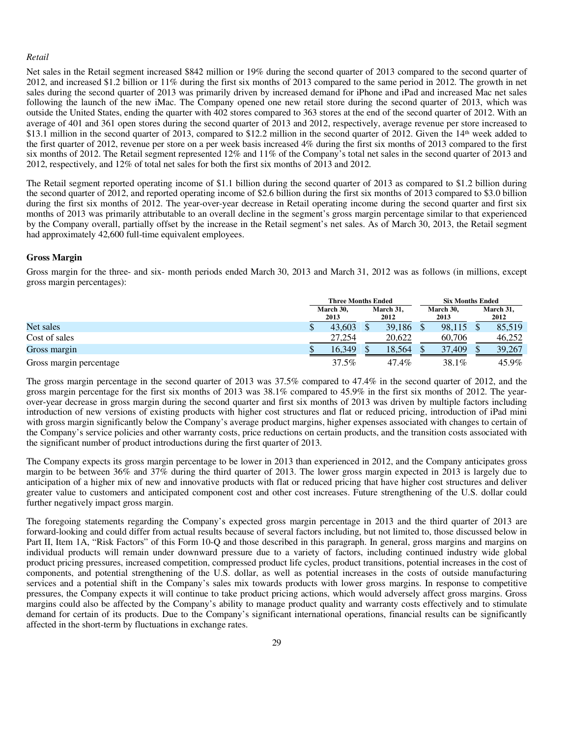#### *Retail*

Net sales in the Retail segment increased \$842 million or 19% during the second quarter of 2013 compared to the second quarter of 2012, and increased \$1.2 billion or 11% during the first six months of 2013 compared to the same period in 2012. The growth in net sales during the second quarter of 2013 was primarily driven by increased demand for iPhone and iPad and increased Mac net sales following the launch of the new iMac. The Company opened one new retail store during the second quarter of 2013, which was outside the United States, ending the quarter with 402 stores compared to 363 stores at the end of the second quarter of 2012. With an average of 401 and 361 open stores during the second quarter of 2013 and 2012, respectively, average revenue per store increased to \$13.1 million in the second quarter of 2013, compared to \$12.2 million in the second quarter of 2012. Given the  $14<sup>th</sup>$  week added to the first quarter of 2012, revenue per store on a per week basis increased 4% during the first six months of 2013 compared to the first six months of 2012. The Retail segment represented 12% and 11% of the Company's total net sales in the second quarter of 2013 and 2012, respectively, and 12% of total net sales for both the first six months of 2013 and 2012.

The Retail segment reported operating income of \$1.1 billion during the second quarter of 2013 as compared to \$1.2 billion during the second quarter of 2012, and reported operating income of \$2.6 billion during the first six months of 2013 compared to \$3.0 billion during the first six months of 2012. The year-over-year decrease in Retail operating income during the second quarter and first six months of 2013 was primarily attributable to an overall decline in the segment's gross margin percentage similar to that experienced by the Company overall, partially offset by the increase in the Retail segment's net sales. As of March 30, 2013, the Retail segment had approximately 42,600 full-time equivalent employees.

#### **Gross Margin**

Gross margin for the three- and six- month periods ended March 30, 2013 and March 31, 2012 was as follows (in millions, except gross margin percentages):

|                         | <b>Three Months Ended</b> |                   |        |                   | <b>Six Months Ended</b> |                   |        |
|-------------------------|---------------------------|-------------------|--------|-------------------|-------------------------|-------------------|--------|
|                         | March 30.<br>2013         | March 31,<br>2012 |        | March 30,<br>2013 |                         | March 31,<br>2012 |        |
| Net sales               | 43.603                    |                   | 39,186 |                   | 98.115                  |                   | 85,519 |
| Cost of sales           | 27,254                    |                   | 20,622 |                   | 60.706                  |                   | 46.252 |
| Gross margin            | 16.349                    |                   | 18.564 |                   | 37,409                  |                   | 39,267 |
| Gross margin percentage | 37.5%                     |                   | 47.4%  |                   | 38.1%                   |                   | 45.9%  |

The gross margin percentage in the second quarter of 2013 was 37.5% compared to 47.4% in the second quarter of 2012, and the gross margin percentage for the first six months of 2013 was 38.1% compared to 45.9% in the first six months of 2012. The yearover-year decrease in gross margin during the second quarter and first six months of 2013 was driven by multiple factors including introduction of new versions of existing products with higher cost structures and flat or reduced pricing, introduction of iPad mini with gross margin significantly below the Company's average product margins, higher expenses associated with changes to certain of the Company's service policies and other warranty costs, price reductions on certain products, and the transition costs associated with the significant number of product introductions during the first quarter of 2013.

The Company expects its gross margin percentage to be lower in 2013 than experienced in 2012, and the Company anticipates gross margin to be between 36% and 37% during the third quarter of 2013. The lower gross margin expected in 2013 is largely due to anticipation of a higher mix of new and innovative products with flat or reduced pricing that have higher cost structures and deliver greater value to customers and anticipated component cost and other cost increases. Future strengthening of the U.S. dollar could further negatively impact gross margin.

The foregoing statements regarding the Company's expected gross margin percentage in 2013 and the third quarter of 2013 are forward-looking and could differ from actual results because of several factors including, but not limited to, those discussed below in Part II, Item 1A, "Risk Factors" of this Form 10-Q and those described in this paragraph. In general, gross margins and margins on individual products will remain under downward pressure due to a variety of factors, including continued industry wide global product pricing pressures, increased competition, compressed product life cycles, product transitions, potential increases in the cost of components, and potential strengthening of the U.S. dollar, as well as potential increases in the costs of outside manufacturing services and a potential shift in the Company's sales mix towards products with lower gross margins. In response to competitive pressures, the Company expects it will continue to take product pricing actions, which would adversely affect gross margins. Gross margins could also be affected by the Company's ability to manage product quality and warranty costs effectively and to stimulate demand for certain of its products. Due to the Company's significant international operations, financial results can be significantly affected in the short-term by fluctuations in exchange rates.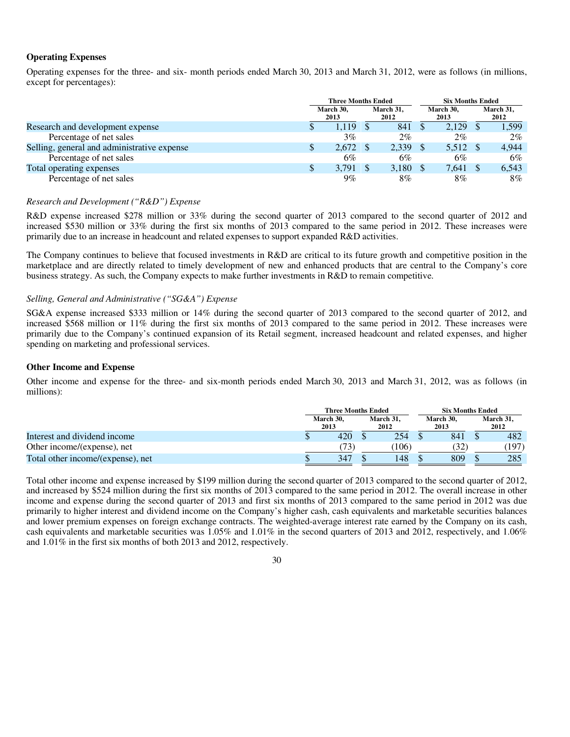# **Operating Expenses**

Operating expenses for the three- and six- month periods ended March 30, 2013 and March 31, 2012, were as follows (in millions, except for percentages):

|                                             |               | <b>Three Months Ended</b> |  |                   |  |                   | <b>Six Months Ended</b> |                   |  |  |  |
|---------------------------------------------|---------------|---------------------------|--|-------------------|--|-------------------|-------------------------|-------------------|--|--|--|
|                                             |               | March 30.<br>2013         |  | March 31,<br>2012 |  | March 30,<br>2013 |                         | March 31,<br>2012 |  |  |  |
| Research and development expense            |               | 1,119                     |  | 841               |  | 2.129             |                         | 1,599             |  |  |  |
| Percentage of net sales                     |               | 3%                        |  | $2\%$             |  | 2%                |                         | $2\%$             |  |  |  |
| Selling, general and administrative expense | S             | 2,672                     |  | 2,339             |  | 5,512 \$          |                         | 4.944             |  |  |  |
| Percentage of net sales                     |               | 6%                        |  | 6%                |  | 6%                |                         | 6%                |  |  |  |
| Total operating expenses                    | <sup>\$</sup> | 3.791                     |  | 3,180             |  | 7.641             |                         | 6,543             |  |  |  |
| Percentage of net sales                     |               | $9\%$                     |  | 8%                |  | 8%                |                         | 8%                |  |  |  |

# *Research and Development ("R&D") Expense*

R&D expense increased \$278 million or 33% during the second quarter of 2013 compared to the second quarter of 2012 and increased \$530 million or 33% during the first six months of 2013 compared to the same period in 2012. These increases were primarily due to an increase in headcount and related expenses to support expanded R&D activities.

The Company continues to believe that focused investments in R&D are critical to its future growth and competitive position in the marketplace and are directly related to timely development of new and enhanced products that are central to the Company's core business strategy. As such, the Company expects to make further investments in R&D to remain competitive.

# *Selling, General and Administrative ("SG&A") Expense*

SG&A expense increased \$333 million or 14% during the second quarter of 2013 compared to the second quarter of 2012, and increased \$568 million or 11% during the first six months of 2013 compared to the same period in 2012. These increases were primarily due to the Company's continued expansion of its Retail segment, increased headcount and related expenses, and higher spending on marketing and professional services.

### **Other Income and Expense**

Other income and expense for the three- and six-month periods ended March 30, 2013 and March 31, 2012, was as follows (in millions):

|                                   | <b>Three Months Ended</b> |     |  |                   |  |                   | <b>Six Months Ended</b> |                   |  |
|-----------------------------------|---------------------------|-----|--|-------------------|--|-------------------|-------------------------|-------------------|--|
|                                   | March 30.<br>2013         |     |  | March 31.<br>2012 |  | March 30.<br>2013 |                         | March 31,<br>2012 |  |
| Interest and dividend income      |                           | 420 |  | 254               |  | 841               |                         | 482               |  |
| Other income/(expense), net       |                           | 73) |  | (106)             |  | (32)              |                         | (197)             |  |
| Total other income/(expense), net |                           | 347 |  | 148               |  | 809               |                         | 285               |  |

Total other income and expense increased by \$199 million during the second quarter of 2013 compared to the second quarter of 2012, and increased by \$524 million during the first six months of 2013 compared to the same period in 2012. The overall increase in other income and expense during the second quarter of 2013 and first six months of 2013 compared to the same period in 2012 was due primarily to higher interest and dividend income on the Company's higher cash, cash equivalents and marketable securities balances and lower premium expenses on foreign exchange contracts. The weighted-average interest rate earned by the Company on its cash, cash equivalents and marketable securities was 1.05% and 1.01% in the second quarters of 2013 and 2012, respectively, and 1.06% and 1.01% in the first six months of both 2013 and 2012, respectively.

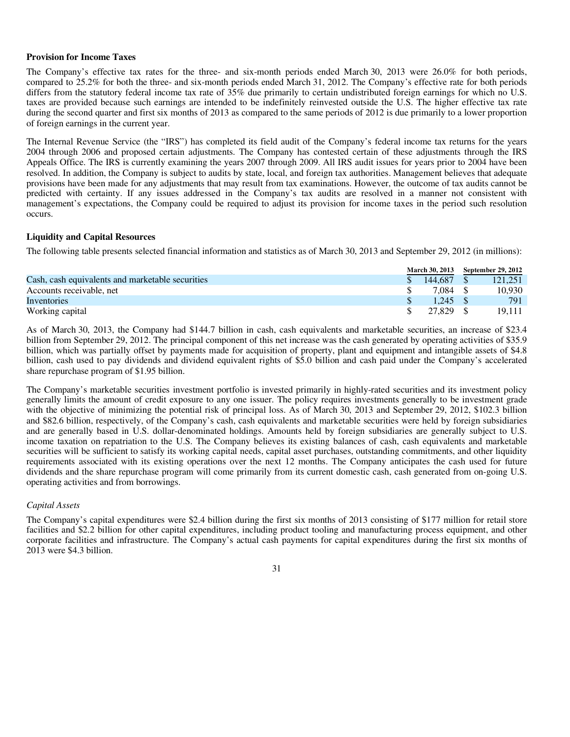# **Provision for Income Taxes**

The Company's effective tax rates for the three- and six-month periods ended March 30, 2013 were 26.0% for both periods, compared to 25.2% for both the three- and six-month periods ended March 31, 2012. The Company's effective rate for both periods differs from the statutory federal income tax rate of 35% due primarily to certain undistributed foreign earnings for which no U.S. taxes are provided because such earnings are intended to be indefinitely reinvested outside the U.S. The higher effective tax rate during the second quarter and first six months of 2013 as compared to the same periods of 2012 is due primarily to a lower proportion of foreign earnings in the current year.

The Internal Revenue Service (the "IRS") has completed its field audit of the Company's federal income tax returns for the years 2004 through 2006 and proposed certain adjustments. The Company has contested certain of these adjustments through the IRS Appeals Office. The IRS is currently examining the years 2007 through 2009. All IRS audit issues for years prior to 2004 have been resolved. In addition, the Company is subject to audits by state, local, and foreign tax authorities. Management believes that adequate provisions have been made for any adjustments that may result from tax examinations. However, the outcome of tax audits cannot be predicted with certainty. If any issues addressed in the Company's tax audits are resolved in a manner not consistent with management's expectations, the Company could be required to adjust its provision for income taxes in the period such resolution occurs.

# **Liquidity and Capital Resources**

The following table presents selected financial information and statistics as of March 30, 2013 and September 29, 2012 (in millions):

|                                                  | <b>March 30, 2013</b> |                  | September 29, 2012 |         |
|--------------------------------------------------|-----------------------|------------------|--------------------|---------|
| Cash, cash equivalents and marketable securities |                       | 144.687          |                    | 121.251 |
| Accounts receivable, net                         |                       | 7.084            |                    | 10.930  |
| Inventories                                      |                       | $1.245 \quad$ \$ |                    | 791     |
| Working capital                                  |                       | 27,829 \$        |                    | 19.111  |

As of March 30, 2013, the Company had \$144.7 billion in cash, cash equivalents and marketable securities, an increase of \$23.4 billion from September 29, 2012. The principal component of this net increase was the cash generated by operating activities of \$35.9 billion, which was partially offset by payments made for acquisition of property, plant and equipment and intangible assets of \$4.8 billion, cash used to pay dividends and dividend equivalent rights of \$5.0 billion and cash paid under the Company's accelerated share repurchase program of \$1.95 billion.

The Company's marketable securities investment portfolio is invested primarily in highly-rated securities and its investment policy generally limits the amount of credit exposure to any one issuer. The policy requires investments generally to be investment grade with the objective of minimizing the potential risk of principal loss. As of March 30, 2013 and September 29, 2012, \$102.3 billion and \$82.6 billion, respectively, of the Company's cash, cash equivalents and marketable securities were held by foreign subsidiaries and are generally based in U.S. dollar-denominated holdings. Amounts held by foreign subsidiaries are generally subject to U.S. income taxation on repatriation to the U.S. The Company believes its existing balances of cash, cash equivalents and marketable securities will be sufficient to satisfy its working capital needs, capital asset purchases, outstanding commitments, and other liquidity requirements associated with its existing operations over the next 12 months. The Company anticipates the cash used for future dividends and the share repurchase program will come primarily from its current domestic cash, cash generated from on-going U.S. operating activities and from borrowings.

# *Capital Assets*

The Company's capital expenditures were \$2.4 billion during the first six months of 2013 consisting of \$177 million for retail store facilities and \$2.2 billion for other capital expenditures, including product tooling and manufacturing process equipment, and other corporate facilities and infrastructure. The Company's actual cash payments for capital expenditures during the first six months of 2013 were \$4.3 billion.

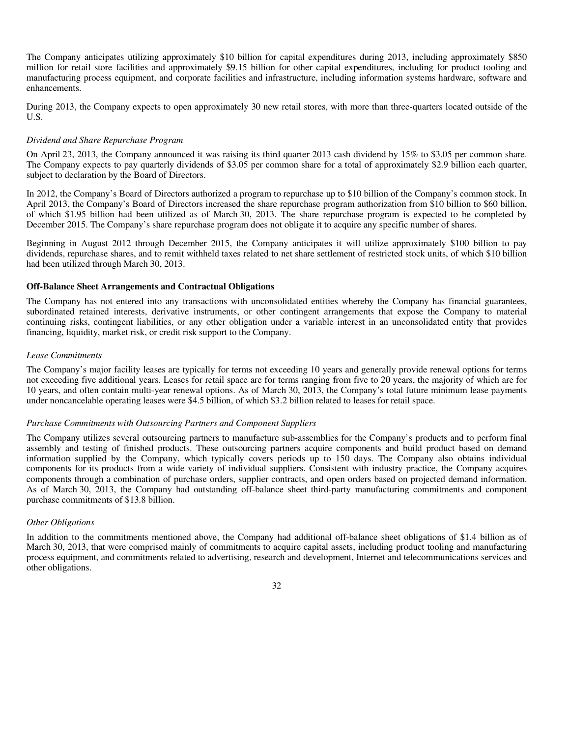The Company anticipates utilizing approximately \$10 billion for capital expenditures during 2013, including approximately \$850 million for retail store facilities and approximately \$9.15 billion for other capital expenditures, including for product tooling and manufacturing process equipment, and corporate facilities and infrastructure, including information systems hardware, software and enhancements.

During 2013, the Company expects to open approximately 30 new retail stores, with more than three-quarters located outside of the U.S.

#### *Dividend and Share Repurchase Program*

On April 23, 2013, the Company announced it was raising its third quarter 2013 cash dividend by 15% to \$3.05 per common share. The Company expects to pay quarterly dividends of \$3.05 per common share for a total of approximately \$2.9 billion each quarter, subject to declaration by the Board of Directors.

In 2012, the Company's Board of Directors authorized a program to repurchase up to \$10 billion of the Company's common stock. In April 2013, the Company's Board of Directors increased the share repurchase program authorization from \$10 billion to \$60 billion, of which \$1.95 billion had been utilized as of March 30, 2013. The share repurchase program is expected to be completed by December 2015. The Company's share repurchase program does not obligate it to acquire any specific number of shares.

Beginning in August 2012 through December 2015, the Company anticipates it will utilize approximately \$100 billion to pay dividends, repurchase shares, and to remit withheld taxes related to net share settlement of restricted stock units, of which \$10 billion had been utilized through March 30, 2013.

#### **Off-Balance Sheet Arrangements and Contractual Obligations**

The Company has not entered into any transactions with unconsolidated entities whereby the Company has financial guarantees, subordinated retained interests, derivative instruments, or other contingent arrangements that expose the Company to material continuing risks, contingent liabilities, or any other obligation under a variable interest in an unconsolidated entity that provides financing, liquidity, market risk, or credit risk support to the Company.

#### *Lease Commitments*

The Company's major facility leases are typically for terms not exceeding 10 years and generally provide renewal options for terms not exceeding five additional years. Leases for retail space are for terms ranging from five to 20 years, the majority of which are for 10 years, and often contain multi-year renewal options. As of March 30, 2013, the Company's total future minimum lease payments under noncancelable operating leases were \$4.5 billion, of which \$3.2 billion related to leases for retail space.

#### *Purchase Commitments with Outsourcing Partners and Component Suppliers*

The Company utilizes several outsourcing partners to manufacture sub-assemblies for the Company's products and to perform final assembly and testing of finished products. These outsourcing partners acquire components and build product based on demand information supplied by the Company, which typically covers periods up to 150 days. The Company also obtains individual components for its products from a wide variety of individual suppliers. Consistent with industry practice, the Company acquires components through a combination of purchase orders, supplier contracts, and open orders based on projected demand information. As of March 30, 2013, the Company had outstanding off-balance sheet third-party manufacturing commitments and component purchase commitments of \$13.8 billion.

#### *Other Obligations*

In addition to the commitments mentioned above, the Company had additional off-balance sheet obligations of \$1.4 billion as of March 30, 2013, that were comprised mainly of commitments to acquire capital assets, including product tooling and manufacturing process equipment, and commitments related to advertising, research and development, Internet and telecommunications services and other obligations.

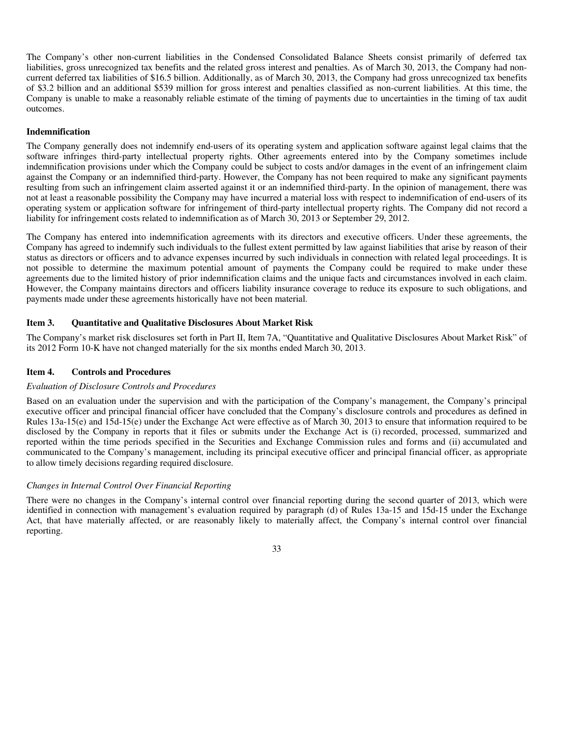The Company's other non-current liabilities in the Condensed Consolidated Balance Sheets consist primarily of deferred tax liabilities, gross unrecognized tax benefits and the related gross interest and penalties. As of March 30, 2013, the Company had noncurrent deferred tax liabilities of \$16.5 billion. Additionally, as of March 30, 2013, the Company had gross unrecognized tax benefits of \$3.2 billion and an additional \$539 million for gross interest and penalties classified as non-current liabilities. At this time, the Company is unable to make a reasonably reliable estimate of the timing of payments due to uncertainties in the timing of tax audit outcomes.

# **Indemnification**

The Company generally does not indemnify end-users of its operating system and application software against legal claims that the software infringes third-party intellectual property rights. Other agreements entered into by the Company sometimes include indemnification provisions under which the Company could be subject to costs and/or damages in the event of an infringement claim against the Company or an indemnified third-party. However, the Company has not been required to make any significant payments resulting from such an infringement claim asserted against it or an indemnified third-party. In the opinion of management, there was not at least a reasonable possibility the Company may have incurred a material loss with respect to indemnification of end-users of its operating system or application software for infringement of third-party intellectual property rights. The Company did not record a liability for infringement costs related to indemnification as of March 30, 2013 or September 29, 2012.

The Company has entered into indemnification agreements with its directors and executive officers. Under these agreements, the Company has agreed to indemnify such individuals to the fullest extent permitted by law against liabilities that arise by reason of their status as directors or officers and to advance expenses incurred by such individuals in connection with related legal proceedings. It is not possible to determine the maximum potential amount of payments the Company could be required to make under these agreements due to the limited history of prior indemnification claims and the unique facts and circumstances involved in each claim. However, the Company maintains directors and officers liability insurance coverage to reduce its exposure to such obligations, and payments made under these agreements historically have not been material.

# **Item 3. Quantitative and Qualitative Disclosures About Market Risk**

The Company's market risk disclosures set forth in Part II, Item 7A, "Quantitative and Qualitative Disclosures About Market Risk" of its 2012 Form 10-K have not changed materially for the six months ended March 30, 2013.

# **Item 4. Controls and Procedures**

# *Evaluation of Disclosure Controls and Procedures*

Based on an evaluation under the supervision and with the participation of the Company's management, the Company's principal executive officer and principal financial officer have concluded that the Company's disclosure controls and procedures as defined in Rules 13a-15(e) and 15d-15(e) under the Exchange Act were effective as of March 30, 2013 to ensure that information required to be disclosed by the Company in reports that it files or submits under the Exchange Act is (i) recorded, processed, summarized and reported within the time periods specified in the Securities and Exchange Commission rules and forms and (ii) accumulated and communicated to the Company's management, including its principal executive officer and principal financial officer, as appropriate to allow timely decisions regarding required disclosure.

# *Changes in Internal Control Over Financial Reporting*

There were no changes in the Company's internal control over financial reporting during the second quarter of 2013, which were identified in connection with management's evaluation required by paragraph (d) of Rules 13a-15 and 15d-15 under the Exchange Act, that have materially affected, or are reasonably likely to materially affect, the Company's internal control over financial reporting.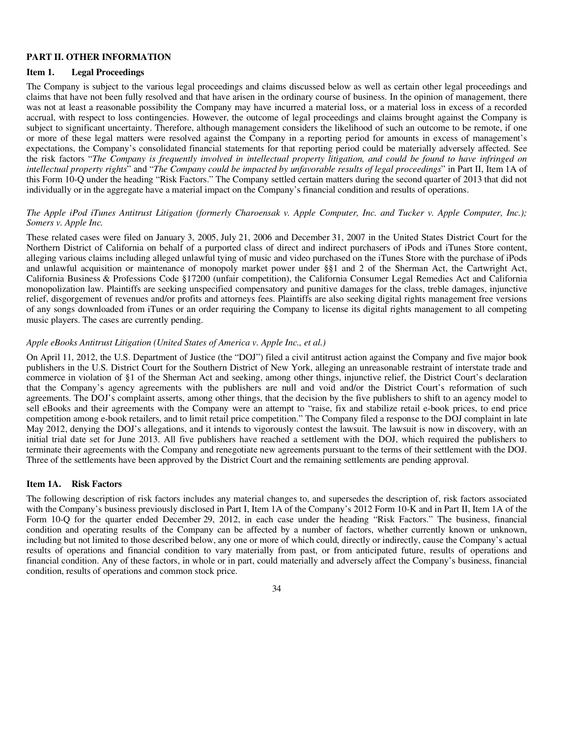# **PART II. OTHER INFORMATION**

# **Item 1. Legal Proceedings**

The Company is subject to the various legal proceedings and claims discussed below as well as certain other legal proceedings and claims that have not been fully resolved and that have arisen in the ordinary course of business. In the opinion of management, there was not at least a reasonable possibility the Company may have incurred a material loss, or a material loss in excess of a recorded accrual, with respect to loss contingencies. However, the outcome of legal proceedings and claims brought against the Company is subject to significant uncertainty. Therefore, although management considers the likelihood of such an outcome to be remote, if one or more of these legal matters were resolved against the Company in a reporting period for amounts in excess of management's expectations, the Company's consolidated financial statements for that reporting period could be materially adversely affected. See the risk factors "*The Company is frequently involved in intellectual property litigation, and could be found to have infringed on intellectual property rights*" and "*The Company could be impacted by unfavorable results of legal proceedings*" in Part II, Item 1A of this Form 10-Q under the heading "Risk Factors." The Company settled certain matters during the second quarter of 2013 that did not individually or in the aggregate have a material impact on the Company's financial condition and results of operations.

# *The Apple iPod iTunes Antitrust Litigation (formerly Charoensak v. Apple Computer, Inc. and Tucker v. Apple Computer, Inc.); Somers v. Apple Inc.*

These related cases were filed on January 3, 2005, July 21, 2006 and December 31, 2007 in the United States District Court for the Northern District of California on behalf of a purported class of direct and indirect purchasers of iPods and iTunes Store content, alleging various claims including alleged unlawful tying of music and video purchased on the iTunes Store with the purchase of iPods and unlawful acquisition or maintenance of monopoly market power under §§1 and 2 of the Sherman Act, the Cartwright Act, California Business & Professions Code §17200 (unfair competition), the California Consumer Legal Remedies Act and California monopolization law. Plaintiffs are seeking unspecified compensatory and punitive damages for the class, treble damages, injunctive relief, disgorgement of revenues and/or profits and attorneys fees. Plaintiffs are also seeking digital rights management free versions of any songs downloaded from iTunes or an order requiring the Company to license its digital rights management to all competing music players. The cases are currently pending.

# *Apple eBooks Antitrust Litigation (United States of America v. Apple Inc., et al.)*

On April 11, 2012, the U.S. Department of Justice (the "DOJ") filed a civil antitrust action against the Company and five major book publishers in the U.S. District Court for the Southern District of New York, alleging an unreasonable restraint of interstate trade and commerce in violation of §1 of the Sherman Act and seeking, among other things, injunctive relief, the District Court's declaration that the Company's agency agreements with the publishers are null and void and/or the District Court's reformation of such agreements. The DOJ's complaint asserts, among other things, that the decision by the five publishers to shift to an agency model to sell eBooks and their agreements with the Company were an attempt to "raise, fix and stabilize retail e-book prices, to end price competition among e-book retailers, and to limit retail price competition." The Company filed a response to the DOJ complaint in late May 2012, denying the DOJ's allegations, and it intends to vigorously contest the lawsuit. The lawsuit is now in discovery, with an initial trial date set for June 2013. All five publishers have reached a settlement with the DOJ, which required the publishers to terminate their agreements with the Company and renegotiate new agreements pursuant to the terms of their settlement with the DOJ. Three of the settlements have been approved by the District Court and the remaining settlements are pending approval.

# **Item 1A. Risk Factors**

The following description of risk factors includes any material changes to, and supersedes the description of, risk factors associated with the Company's business previously disclosed in Part I, Item 1A of the Company's 2012 Form 10-K and in Part II, Item 1A of the Form 10-Q for the quarter ended December 29, 2012, in each case under the heading "Risk Factors." The business, financial condition and operating results of the Company can be affected by a number of factors, whether currently known or unknown, including but not limited to those described below, any one or more of which could, directly or indirectly, cause the Company's actual results of operations and financial condition to vary materially from past, or from anticipated future, results of operations and financial condition. Any of these factors, in whole or in part, could materially and adversely affect the Company's business, financial condition, results of operations and common stock price.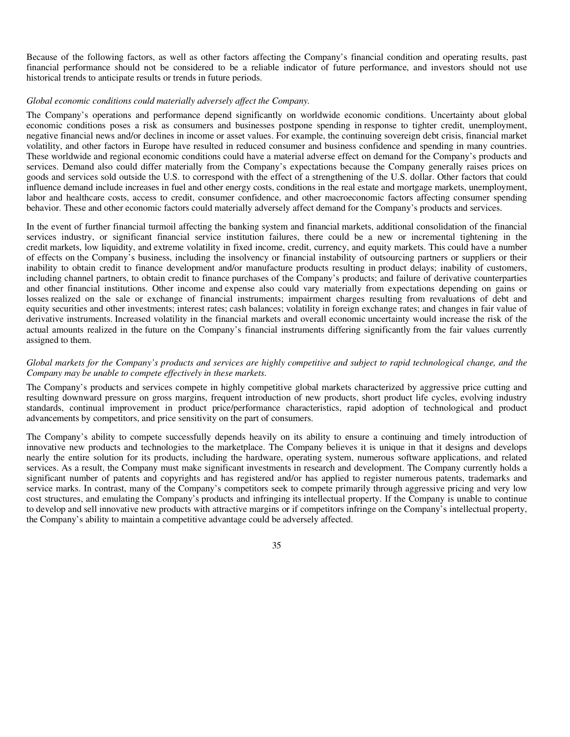Because of the following factors, as well as other factors affecting the Company's financial condition and operating results, past financial performance should not be considered to be a reliable indicator of future performance, and investors should not use historical trends to anticipate results or trends in future periods.

#### *Global economic conditions could materially adversely affect the Company.*

The Company's operations and performance depend significantly on worldwide economic conditions. Uncertainty about global economic conditions poses a risk as consumers and businesses postpone spending in response to tighter credit, unemployment, negative financial news and/or declines in income or asset values. For example, the continuing sovereign debt crisis, financial market volatility, and other factors in Europe have resulted in reduced consumer and business confidence and spending in many countries. These worldwide and regional economic conditions could have a material adverse effect on demand for the Company's products and services. Demand also could differ materially from the Company's expectations because the Company generally raises prices on goods and services sold outside the U.S. to correspond with the effect of a strengthening of the U.S. dollar. Other factors that could influence demand include increases in fuel and other energy costs, conditions in the real estate and mortgage markets, unemployment, labor and healthcare costs, access to credit, consumer confidence, and other macroeconomic factors affecting consumer spending behavior. These and other economic factors could materially adversely affect demand for the Company's products and services.

In the event of further financial turmoil affecting the banking system and financial markets, additional consolidation of the financial services industry, or significant financial service institution failures, there could be a new or incremental tightening in the credit markets, low liquidity, and extreme volatility in fixed income, credit, currency, and equity markets. This could have a number of effects on the Company's business, including the insolvency or financial instability of outsourcing partners or suppliers or their inability to obtain credit to finance development and/or manufacture products resulting in product delays; inability of customers, including channel partners, to obtain credit to finance purchases of the Company's products; and failure of derivative counterparties and other financial institutions. Other income and expense also could vary materially from expectations depending on gains or losses realized on the sale or exchange of financial instruments; impairment charges resulting from revaluations of debt and equity securities and other investments; interest rates; cash balances; volatility in foreign exchange rates; and changes in fair value of derivative instruments. Increased volatility in the financial markets and overall economic uncertainty would increase the risk of the actual amounts realized in the future on the Company's financial instruments differing significantly from the fair values currently assigned to them.

# *Global markets for the Company's products and services are highly competitive and subject to rapid technological change, and the Company may be unable to compete effectively in these markets.*

The Company's products and services compete in highly competitive global markets characterized by aggressive price cutting and resulting downward pressure on gross margins, frequent introduction of new products, short product life cycles, evolving industry standards, continual improvement in product price/performance characteristics, rapid adoption of technological and product advancements by competitors, and price sensitivity on the part of consumers.

The Company's ability to compete successfully depends heavily on its ability to ensure a continuing and timely introduction of innovative new products and technologies to the marketplace. The Company believes it is unique in that it designs and develops nearly the entire solution for its products, including the hardware, operating system, numerous software applications, and related services. As a result, the Company must make significant investments in research and development. The Company currently holds a significant number of patents and copyrights and has registered and/or has applied to register numerous patents, trademarks and service marks. In contrast, many of the Company's competitors seek to compete primarily through aggressive pricing and very low cost structures, and emulating the Company's products and infringing its intellectual property. If the Company is unable to continue to develop and sell innovative new products with attractive margins or if competitors infringe on the Company's intellectual property, the Company's ability to maintain a competitive advantage could be adversely affected.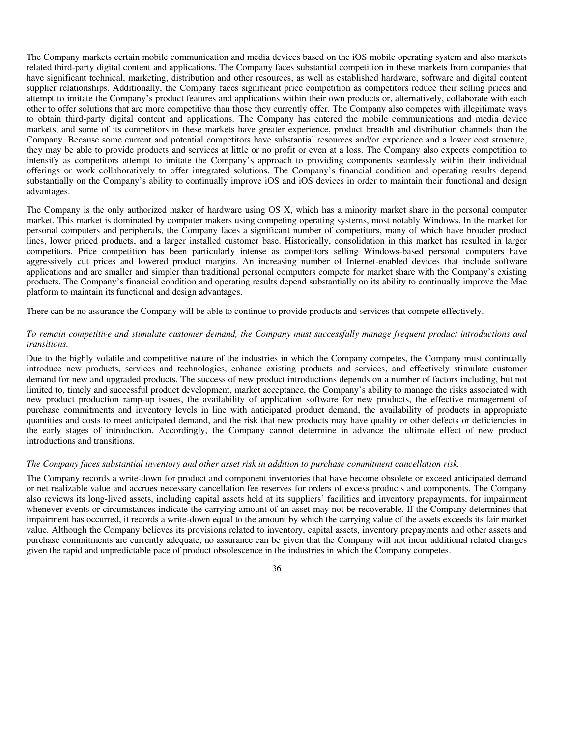The Company markets certain mobile communication and media devices based on the iOS mobile operating system and also markets related third-party digital content and applications. The Company faces substantial competition in these markets from companies that have significant technical, marketing, distribution and other resources, as well as established hardware, software and digital content supplier relationships. Additionally, the Company faces significant price competition as competitors reduce their selling prices and attempt to imitate the Company's product features and applications within their own products or, alternatively, collaborate with each other to offer solutions that are more competitive than those they currently offer. The Company also competes with illegitimate ways to obtain third-party digital content and applications. The Company has entered the mobile communications and media device markets, and some of its competitors in these markets have greater experience, product breadth and distribution channels than the Company. Because some current and potential competitors have substantial resources and/or experience and a lower cost structure, they may be able to provide products and services at little or no profit or even at a loss. The Company also expects competition to intensify as competitors attempt to imitate the Company's approach to providing components seamlessly within their individual offerings or work collaboratively to offer integrated solutions. The Company's financial condition and operating results depend substantially on the Company's ability to continually improve iOS and iOS devices in order to maintain their functional and design advantages.

The Company is the only authorized maker of hardware using OS X, which has a minority market share in the personal computer market. This market is dominated by computer makers using competing operating systems, most notably Windows. In the market for personal computers and peripherals, the Company faces a significant number of competitors, many of which have broader product lines, lower priced products, and a larger installed customer base. Historically, consolidation in this market has resulted in larger competitors. Price competition has been particularly intense as competitors selling Windows-based personal computers have aggressively cut prices and lowered product margins. An increasing number of Internet-enabled devices that include software applications and are smaller and simpler than traditional personal computers compete for market share with the Company's existing products. The Company's financial condition and operating results depend substantially on its ability to continually improve the Mac platform to maintain its functional and design advantages.

There can be no assurance the Company will be able to continue to provide products and services that compete effectively.

# *To remain competitive and stimulate customer demand, the Company must successfully manage frequent product introductions and transitions.*

Due to the highly volatile and competitive nature of the industries in which the Company competes, the Company must continually introduce new products, services and technologies, enhance existing products and services, and effectively stimulate customer demand for new and upgraded products. The success of new product introductions depends on a number of factors including, but not limited to, timely and successful product development, market acceptance, the Company's ability to manage the risks associated with new product production ramp-up issues, the availability of application software for new products, the effective management of purchase commitments and inventory levels in line with anticipated product demand, the availability of products in appropriate quantities and costs to meet anticipated demand, and the risk that new products may have quality or other defects or deficiencies in the early stages of introduction. Accordingly, the Company cannot determine in advance the ultimate effect of new product introductions and transitions.

# *The Company faces substantial inventory and other asset risk in addition to purchase commitment cancellation risk.*

The Company records a write-down for product and component inventories that have become obsolete or exceed anticipated demand or net realizable value and accrues necessary cancellation fee reserves for orders of excess products and components. The Company also reviews its long-lived assets, including capital assets held at its suppliers' facilities and inventory prepayments, for impairment whenever events or circumstances indicate the carrying amount of an asset may not be recoverable. If the Company determines that impairment has occurred, it records a write-down equal to the amount by which the carrying value of the assets exceeds its fair market value. Although the Company believes its provisions related to inventory, capital assets, inventory prepayments and other assets and purchase commitments are currently adequate, no assurance can be given that the Company will not incur additional related charges given the rapid and unpredictable pace of product obsolescence in the industries in which the Company competes.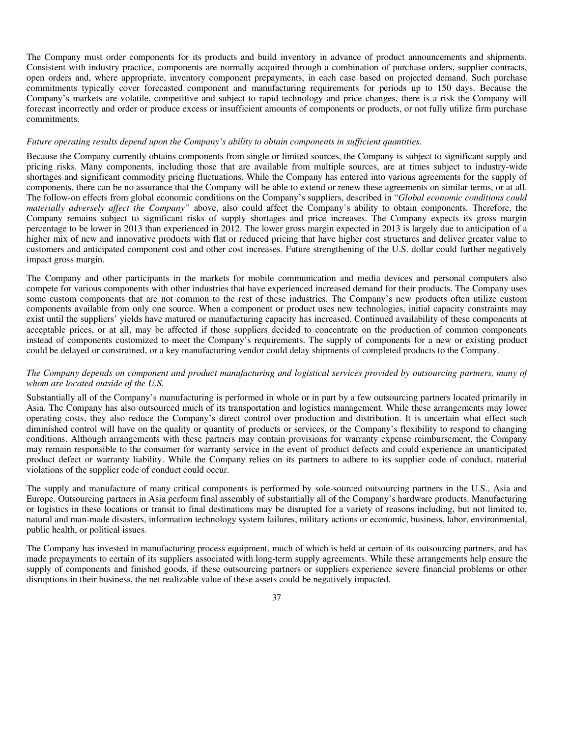The Company must order components for its products and build inventory in advance of product announcements and shipments. Consistent with industry practice, components are normally acquired through a combination of purchase orders, supplier contracts, open orders and, where appropriate, inventory component prepayments, in each case based on projected demand. Such purchase commitments typically cover forecasted component and manufacturing requirements for periods up to 150 days. Because the Company's markets are volatile, competitive and subject to rapid technology and price changes, there is a risk the Company will forecast incorrectly and order or produce excess or insufficient amounts of components or products, or not fully utilize firm purchase commitments.

#### *Future operating results depend upon the Company's ability to obtain components in sufficient quantities.*

Because the Company currently obtains components from single or limited sources, the Company is subject to significant supply and pricing risks. Many components, including those that are available from multiple sources, are at times subject to industry-wide shortages and significant commodity pricing fluctuations. While the Company has entered into various agreements for the supply of components, there can be no assurance that the Company will be able to extend or renew these agreements on similar terms, or at all. The follow-on effects from global economic conditions on the Company's suppliers, described in "*Global economic conditions could materially adversely affect the Company"* above, also could affect the Company's ability to obtain components*.* Therefore, the Company remains subject to significant risks of supply shortages and price increases. The Company expects its gross margin percentage to be lower in 2013 than experienced in 2012. The lower gross margin expected in 2013 is largely due to anticipation of a higher mix of new and innovative products with flat or reduced pricing that have higher cost structures and deliver greater value to customers and anticipated component cost and other cost increases. Future strengthening of the U.S. dollar could further negatively impact gross margin.

The Company and other participants in the markets for mobile communication and media devices and personal computers also compete for various components with other industries that have experienced increased demand for their products. The Company uses some custom components that are not common to the rest of these industries. The Company's new products often utilize custom components available from only one source. When a component or product uses new technologies, initial capacity constraints may exist until the suppliers' yields have matured or manufacturing capacity has increased. Continued availability of these components at acceptable prices, or at all, may be affected if those suppliers decided to concentrate on the production of common components instead of components customized to meet the Company's requirements. The supply of components for a new or existing product could be delayed or constrained, or a key manufacturing vendor could delay shipments of completed products to the Company.

# *The Company depends on component and product manufacturing and logistical services provided by outsourcing partners, many of whom are located outside of the U.S.*

Substantially all of the Company's manufacturing is performed in whole or in part by a few outsourcing partners located primarily in Asia. The Company has also outsourced much of its transportation and logistics management. While these arrangements may lower operating costs, they also reduce the Company's direct control over production and distribution. It is uncertain what effect such diminished control will have on the quality or quantity of products or services, or the Company's flexibility to respond to changing conditions. Although arrangements with these partners may contain provisions for warranty expense reimbursement, the Company may remain responsible to the consumer for warranty service in the event of product defects and could experience an unanticipated product defect or warranty liability. While the Company relies on its partners to adhere to its supplier code of conduct, material violations of the supplier code of conduct could occur.

The supply and manufacture of many critical components is performed by sole-sourced outsourcing partners in the U.S., Asia and Europe. Outsourcing partners in Asia perform final assembly of substantially all of the Company's hardware products. Manufacturing or logistics in these locations or transit to final destinations may be disrupted for a variety of reasons including, but not limited to, natural and man-made disasters, information technology system failures, military actions or economic, business, labor, environmental, public health, or political issues.

The Company has invested in manufacturing process equipment, much of which is held at certain of its outsourcing partners, and has made prepayments to certain of its suppliers associated with long-term supply agreements. While these arrangements help ensure the supply of components and finished goods, if these outsourcing partners or suppliers experience severe financial problems or other disruptions in their business, the net realizable value of these assets could be negatively impacted.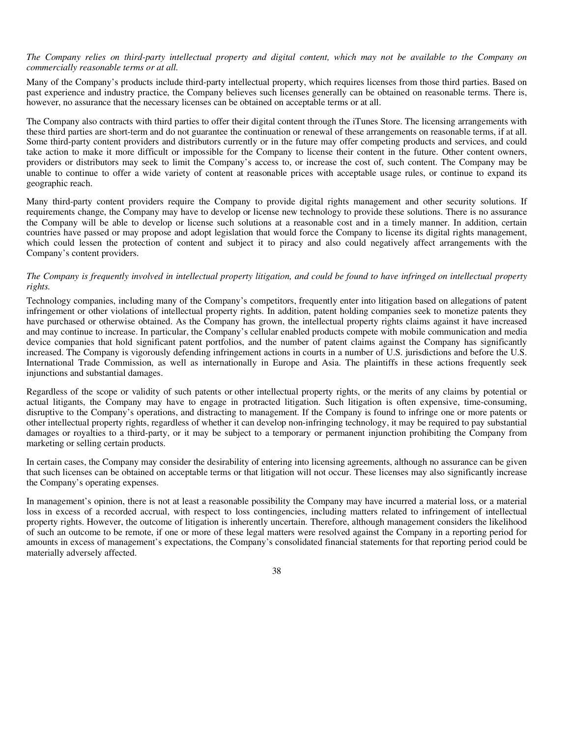### *The Company relies on third-party intellectual property and digital content, which may not be available to the Company on commercially reasonable terms or at all.*

Many of the Company's products include third-party intellectual property, which requires licenses from those third parties. Based on past experience and industry practice, the Company believes such licenses generally can be obtained on reasonable terms. There is, however, no assurance that the necessary licenses can be obtained on acceptable terms or at all.

The Company also contracts with third parties to offer their digital content through the iTunes Store. The licensing arrangements with these third parties are short-term and do not guarantee the continuation or renewal of these arrangements on reasonable terms, if at all. Some third-party content providers and distributors currently or in the future may offer competing products and services, and could take action to make it more difficult or impossible for the Company to license their content in the future. Other content owners, providers or distributors may seek to limit the Company's access to, or increase the cost of, such content. The Company may be unable to continue to offer a wide variety of content at reasonable prices with acceptable usage rules, or continue to expand its geographic reach.

Many third-party content providers require the Company to provide digital rights management and other security solutions. If requirements change, the Company may have to develop or license new technology to provide these solutions. There is no assurance the Company will be able to develop or license such solutions at a reasonable cost and in a timely manner. In addition, certain countries have passed or may propose and adopt legislation that would force the Company to license its digital rights management, which could lessen the protection of content and subject it to piracy and also could negatively affect arrangements with the Company's content providers.

# *The Company is frequently involved in intellectual property litigation, and could be found to have infringed on intellectual property rights.*

Technology companies, including many of the Company's competitors, frequently enter into litigation based on allegations of patent infringement or other violations of intellectual property rights. In addition, patent holding companies seek to monetize patents they have purchased or otherwise obtained. As the Company has grown, the intellectual property rights claims against it have increased and may continue to increase. In particular, the Company's cellular enabled products compete with mobile communication and media device companies that hold significant patent portfolios, and the number of patent claims against the Company has significantly increased. The Company is vigorously defending infringement actions in courts in a number of U.S. jurisdictions and before the U.S. International Trade Commission, as well as internationally in Europe and Asia. The plaintiffs in these actions frequently seek injunctions and substantial damages.

Regardless of the scope or validity of such patents or other intellectual property rights, or the merits of any claims by potential or actual litigants, the Company may have to engage in protracted litigation. Such litigation is often expensive, time-consuming, disruptive to the Company's operations, and distracting to management. If the Company is found to infringe one or more patents or other intellectual property rights, regardless of whether it can develop non-infringing technology, it may be required to pay substantial damages or royalties to a third-party, or it may be subject to a temporary or permanent injunction prohibiting the Company from marketing or selling certain products.

In certain cases, the Company may consider the desirability of entering into licensing agreements, although no assurance can be given that such licenses can be obtained on acceptable terms or that litigation will not occur. These licenses may also significantly increase the Company's operating expenses.

In management's opinion, there is not at least a reasonable possibility the Company may have incurred a material loss, or a material loss in excess of a recorded accrual, with respect to loss contingencies, including matters related to infringement of intellectual property rights. However, the outcome of litigation is inherently uncertain. Therefore, although management considers the likelihood of such an outcome to be remote, if one or more of these legal matters were resolved against the Company in a reporting period for amounts in excess of management's expectations, the Company's consolidated financial statements for that reporting period could be materially adversely affected.

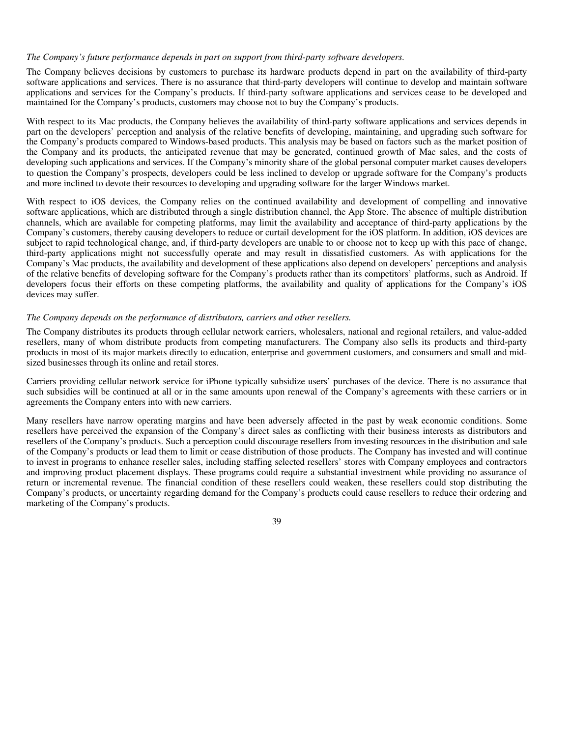### *The Company's future performance depends in part on support from third-party software developers.*

The Company believes decisions by customers to purchase its hardware products depend in part on the availability of third-party software applications and services. There is no assurance that third-party developers will continue to develop and maintain software applications and services for the Company's products. If third-party software applications and services cease to be developed and maintained for the Company's products, customers may choose not to buy the Company's products.

With respect to its Mac products, the Company believes the availability of third-party software applications and services depends in part on the developers' perception and analysis of the relative benefits of developing, maintaining, and upgrading such software for the Company's products compared to Windows-based products. This analysis may be based on factors such as the market position of the Company and its products, the anticipated revenue that may be generated, continued growth of Mac sales, and the costs of developing such applications and services. If the Company's minority share of the global personal computer market causes developers to question the Company's prospects, developers could be less inclined to develop or upgrade software for the Company's products and more inclined to devote their resources to developing and upgrading software for the larger Windows market.

With respect to iOS devices, the Company relies on the continued availability and development of compelling and innovative software applications, which are distributed through a single distribution channel, the App Store. The absence of multiple distribution channels, which are available for competing platforms, may limit the availability and acceptance of third-party applications by the Company's customers, thereby causing developers to reduce or curtail development for the iOS platform. In addition, iOS devices are subject to rapid technological change, and, if third-party developers are unable to or choose not to keep up with this pace of change, third-party applications might not successfully operate and may result in dissatisfied customers. As with applications for the Company's Mac products, the availability and development of these applications also depend on developers' perceptions and analysis of the relative benefits of developing software for the Company's products rather than its competitors' platforms, such as Android. If developers focus their efforts on these competing platforms, the availability and quality of applications for the Company's iOS devices may suffer.

# *The Company depends on the performance of distributors, carriers and other resellers.*

The Company distributes its products through cellular network carriers, wholesalers, national and regional retailers, and value-added resellers, many of whom distribute products from competing manufacturers. The Company also sells its products and third-party products in most of its major markets directly to education, enterprise and government customers, and consumers and small and midsized businesses through its online and retail stores.

Carriers providing cellular network service for iPhone typically subsidize users' purchases of the device. There is no assurance that such subsidies will be continued at all or in the same amounts upon renewal of the Company's agreements with these carriers or in agreements the Company enters into with new carriers.

Many resellers have narrow operating margins and have been adversely affected in the past by weak economic conditions. Some resellers have perceived the expansion of the Company's direct sales as conflicting with their business interests as distributors and resellers of the Company's products. Such a perception could discourage resellers from investing resources in the distribution and sale of the Company's products or lead them to limit or cease distribution of those products. The Company has invested and will continue to invest in programs to enhance reseller sales, including staffing selected resellers' stores with Company employees and contractors and improving product placement displays. These programs could require a substantial investment while providing no assurance of return or incremental revenue. The financial condition of these resellers could weaken, these resellers could stop distributing the Company's products, or uncertainty regarding demand for the Company's products could cause resellers to reduce their ordering and marketing of the Company's products.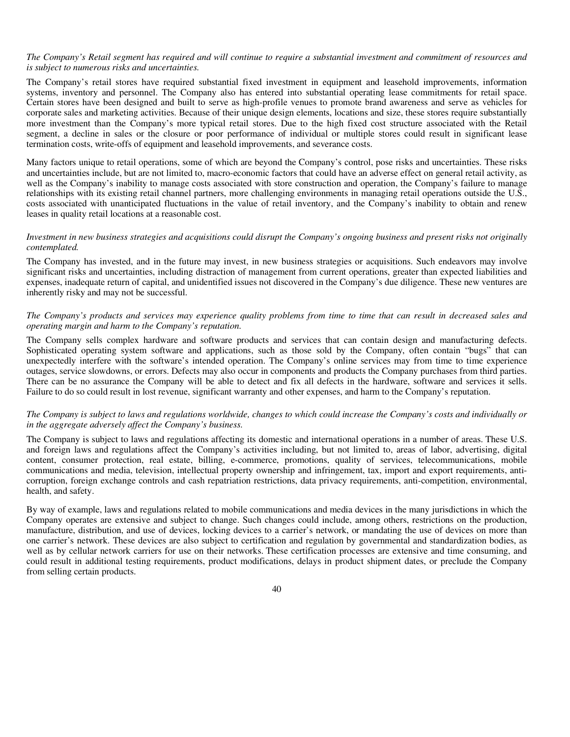# *The Company's Retail segment has required and will continue to require a substantial investment and commitment of resources and is subject to numerous risks and uncertainties.*

The Company's retail stores have required substantial fixed investment in equipment and leasehold improvements, information systems, inventory and personnel. The Company also has entered into substantial operating lease commitments for retail space. Certain stores have been designed and built to serve as high-profile venues to promote brand awareness and serve as vehicles for corporate sales and marketing activities. Because of their unique design elements, locations and size, these stores require substantially more investment than the Company's more typical retail stores. Due to the high fixed cost structure associated with the Retail segment, a decline in sales or the closure or poor performance of individual or multiple stores could result in significant lease termination costs, write-offs of equipment and leasehold improvements, and severance costs.

Many factors unique to retail operations, some of which are beyond the Company's control, pose risks and uncertainties. These risks and uncertainties include, but are not limited to, macro-economic factors that could have an adverse effect on general retail activity, as well as the Company's inability to manage costs associated with store construction and operation, the Company's failure to manage relationships with its existing retail channel partners, more challenging environments in managing retail operations outside the U.S., costs associated with unanticipated fluctuations in the value of retail inventory, and the Company's inability to obtain and renew leases in quality retail locations at a reasonable cost.

# *Investment in new business strategies and acquisitions could disrupt the Company's ongoing business and present risks not originally contemplated.*

The Company has invested, and in the future may invest, in new business strategies or acquisitions. Such endeavors may involve significant risks and uncertainties, including distraction of management from current operations, greater than expected liabilities and expenses, inadequate return of capital, and unidentified issues not discovered in the Company's due diligence. These new ventures are inherently risky and may not be successful.

# *The Company's products and services may experience quality problems from time to time that can result in decreased sales and operating margin and harm to the Company's reputation.*

The Company sells complex hardware and software products and services that can contain design and manufacturing defects. Sophisticated operating system software and applications, such as those sold by the Company, often contain "bugs" that can unexpectedly interfere with the software's intended operation. The Company's online services may from time to time experience outages, service slowdowns, or errors. Defects may also occur in components and products the Company purchases from third parties. There can be no assurance the Company will be able to detect and fix all defects in the hardware, software and services it sells. Failure to do so could result in lost revenue, significant warranty and other expenses, and harm to the Company's reputation.

# *The Company is subject to laws and regulations worldwide, changes to which could increase the Company's costs and individually or in the aggregate adversely affect the Company's business.*

The Company is subject to laws and regulations affecting its domestic and international operations in a number of areas. These U.S. and foreign laws and regulations affect the Company's activities including, but not limited to, areas of labor, advertising, digital content, consumer protection, real estate, billing, e-commerce, promotions, quality of services, telecommunications, mobile communications and media, television, intellectual property ownership and infringement, tax, import and export requirements, anticorruption, foreign exchange controls and cash repatriation restrictions, data privacy requirements, anti-competition, environmental, health, and safety.

By way of example, laws and regulations related to mobile communications and media devices in the many jurisdictions in which the Company operates are extensive and subject to change. Such changes could include, among others, restrictions on the production, manufacture, distribution, and use of devices, locking devices to a carrier's network, or mandating the use of devices on more than one carrier's network. These devices are also subject to certification and regulation by governmental and standardization bodies, as well as by cellular network carriers for use on their networks. These certification processes are extensive and time consuming, and could result in additional testing requirements, product modifications, delays in product shipment dates, or preclude the Company from selling certain products.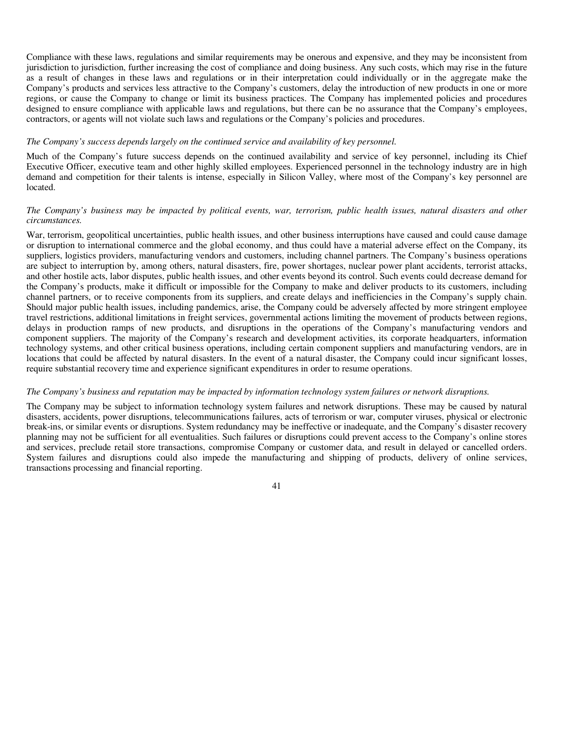Compliance with these laws, regulations and similar requirements may be onerous and expensive, and they may be inconsistent from jurisdiction to jurisdiction, further increasing the cost of compliance and doing business. Any such costs, which may rise in the future as a result of changes in these laws and regulations or in their interpretation could individually or in the aggregate make the Company's products and services less attractive to the Company's customers, delay the introduction of new products in one or more regions, or cause the Company to change or limit its business practices. The Company has implemented policies and procedures designed to ensure compliance with applicable laws and regulations, but there can be no assurance that the Company's employees, contractors, or agents will not violate such laws and regulations or the Company's policies and procedures.

#### *The Company's success depends largely on the continued service and availability of key personnel.*

Much of the Company's future success depends on the continued availability and service of key personnel, including its Chief Executive Officer, executive team and other highly skilled employees. Experienced personnel in the technology industry are in high demand and competition for their talents is intense, especially in Silicon Valley, where most of the Company's key personnel are located.

### *The Company's business may be impacted by political events, war, terrorism, public health issues, natural disasters and other circumstances.*

War, terrorism, geopolitical uncertainties, public health issues, and other business interruptions have caused and could cause damage or disruption to international commerce and the global economy, and thus could have a material adverse effect on the Company, its suppliers, logistics providers, manufacturing vendors and customers, including channel partners. The Company's business operations are subject to interruption by, among others, natural disasters, fire, power shortages, nuclear power plant accidents, terrorist attacks, and other hostile acts, labor disputes, public health issues, and other events beyond its control. Such events could decrease demand for the Company's products, make it difficult or impossible for the Company to make and deliver products to its customers, including channel partners, or to receive components from its suppliers, and create delays and inefficiencies in the Company's supply chain. Should major public health issues, including pandemics, arise, the Company could be adversely affected by more stringent employee travel restrictions, additional limitations in freight services, governmental actions limiting the movement of products between regions, delays in production ramps of new products, and disruptions in the operations of the Company's manufacturing vendors and component suppliers. The majority of the Company's research and development activities, its corporate headquarters, information technology systems, and other critical business operations, including certain component suppliers and manufacturing vendors, are in locations that could be affected by natural disasters. In the event of a natural disaster, the Company could incur significant losses, require substantial recovery time and experience significant expenditures in order to resume operations.

# *The Company's business and reputation may be impacted by information technology system failures or network disruptions.*

The Company may be subject to information technology system failures and network disruptions. These may be caused by natural disasters, accidents, power disruptions, telecommunications failures, acts of terrorism or war, computer viruses, physical or electronic break-ins, or similar events or disruptions. System redundancy may be ineffective or inadequate, and the Company's disaster recovery planning may not be sufficient for all eventualities. Such failures or disruptions could prevent access to the Company's online stores and services, preclude retail store transactions, compromise Company or customer data, and result in delayed or cancelled orders. System failures and disruptions could also impede the manufacturing and shipping of products, delivery of online services, transactions processing and financial reporting.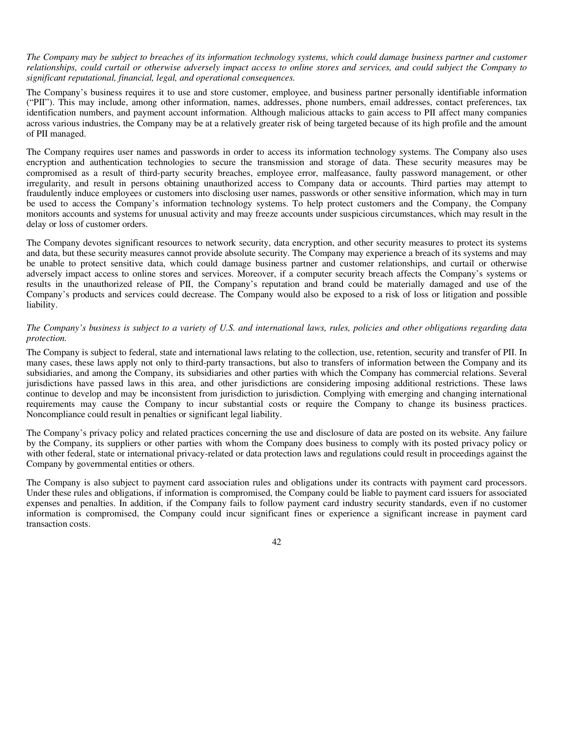*The Company may be subject to breaches of its information technology systems, which could damage business partner and customer relationships, could curtail or otherwise adversely impact access to online stores and services, and could subject the Company to significant reputational, financial, legal, and operational consequences.* 

The Company's business requires it to use and store customer, employee, and business partner personally identifiable information ("PII"). This may include, among other information, names, addresses, phone numbers, email addresses, contact preferences, tax identification numbers, and payment account information. Although malicious attacks to gain access to PII affect many companies across various industries, the Company may be at a relatively greater risk of being targeted because of its high profile and the amount of PII managed.

The Company requires user names and passwords in order to access its information technology systems. The Company also uses encryption and authentication technologies to secure the transmission and storage of data. These security measures may be compromised as a result of third-party security breaches, employee error, malfeasance, faulty password management, or other irregularity, and result in persons obtaining unauthorized access to Company data or accounts. Third parties may attempt to fraudulently induce employees or customers into disclosing user names, passwords or other sensitive information, which may in turn be used to access the Company's information technology systems. To help protect customers and the Company, the Company monitors accounts and systems for unusual activity and may freeze accounts under suspicious circumstances, which may result in the delay or loss of customer orders.

The Company devotes significant resources to network security, data encryption, and other security measures to protect its systems and data, but these security measures cannot provide absolute security. The Company may experience a breach of its systems and may be unable to protect sensitive data, which could damage business partner and customer relationships, and curtail or otherwise adversely impact access to online stores and services. Moreover, if a computer security breach affects the Company's systems or results in the unauthorized release of PII, the Company's reputation and brand could be materially damaged and use of the Company's products and services could decrease. The Company would also be exposed to a risk of loss or litigation and possible liability.

# *The Company's business is subject to a variety of U.S. and international laws, rules, policies and other obligations regarding data protection.*

The Company is subject to federal, state and international laws relating to the collection, use, retention, security and transfer of PII. In many cases, these laws apply not only to third-party transactions, but also to transfers of information between the Company and its subsidiaries, and among the Company, its subsidiaries and other parties with which the Company has commercial relations. Several jurisdictions have passed laws in this area, and other jurisdictions are considering imposing additional restrictions. These laws continue to develop and may be inconsistent from jurisdiction to jurisdiction. Complying with emerging and changing international requirements may cause the Company to incur substantial costs or require the Company to change its business practices. Noncompliance could result in penalties or significant legal liability.

The Company's privacy policy and related practices concerning the use and disclosure of data are posted on its website. Any failure by the Company, its suppliers or other parties with whom the Company does business to comply with its posted privacy policy or with other federal, state or international privacy-related or data protection laws and regulations could result in proceedings against the Company by governmental entities or others.

The Company is also subject to payment card association rules and obligations under its contracts with payment card processors. Under these rules and obligations, if information is compromised, the Company could be liable to payment card issuers for associated expenses and penalties. In addition, if the Company fails to follow payment card industry security standards, even if no customer information is compromised, the Company could incur significant fines or experience a significant increase in payment card transaction costs.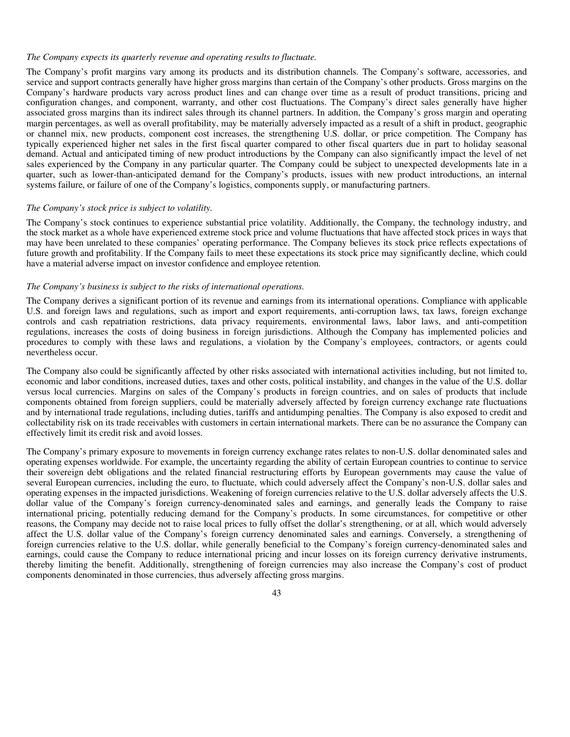# *The Company expects its quarterly revenue and operating results to fluctuate.*

The Company's profit margins vary among its products and its distribution channels. The Company's software, accessories, and service and support contracts generally have higher gross margins than certain of the Company's other products. Gross margins on the Company's hardware products vary across product lines and can change over time as a result of product transitions, pricing and configuration changes, and component, warranty, and other cost fluctuations. The Company's direct sales generally have higher associated gross margins than its indirect sales through its channel partners. In addition, the Company's gross margin and operating margin percentages, as well as overall profitability, may be materially adversely impacted as a result of a shift in product, geographic or channel mix, new products, component cost increases, the strengthening U.S. dollar, or price competition. The Company has typically experienced higher net sales in the first fiscal quarter compared to other fiscal quarters due in part to holiday seasonal demand. Actual and anticipated timing of new product introductions by the Company can also significantly impact the level of net sales experienced by the Company in any particular quarter. The Company could be subject to unexpected developments late in a quarter, such as lower-than-anticipated demand for the Company's products, issues with new product introductions, an internal systems failure, or failure of one of the Company's logistics, components supply, or manufacturing partners.

# *The Company's stock price is subject to volatility.*

The Company's stock continues to experience substantial price volatility. Additionally, the Company, the technology industry, and the stock market as a whole have experienced extreme stock price and volume fluctuations that have affected stock prices in ways that may have been unrelated to these companies' operating performance. The Company believes its stock price reflects expectations of future growth and profitability. If the Company fails to meet these expectations its stock price may significantly decline, which could have a material adverse impact on investor confidence and employee retention.

# *The Company's business is subject to the risks of international operations.*

The Company derives a significant portion of its revenue and earnings from its international operations. Compliance with applicable U.S. and foreign laws and regulations, such as import and export requirements, anti-corruption laws, tax laws, foreign exchange controls and cash repatriation restrictions, data privacy requirements, environmental laws, labor laws, and anti-competition regulations, increases the costs of doing business in foreign jurisdictions. Although the Company has implemented policies and procedures to comply with these laws and regulations, a violation by the Company's employees, contractors, or agents could nevertheless occur.

The Company also could be significantly affected by other risks associated with international activities including, but not limited to, economic and labor conditions, increased duties, taxes and other costs, political instability, and changes in the value of the U.S. dollar versus local currencies. Margins on sales of the Company's products in foreign countries, and on sales of products that include components obtained from foreign suppliers, could be materially adversely affected by foreign currency exchange rate fluctuations and by international trade regulations, including duties, tariffs and antidumping penalties. The Company is also exposed to credit and collectability risk on its trade receivables with customers in certain international markets. There can be no assurance the Company can effectively limit its credit risk and avoid losses.

The Company's primary exposure to movements in foreign currency exchange rates relates to non-U.S. dollar denominated sales and operating expenses worldwide. For example, the uncertainty regarding the ability of certain European countries to continue to service their sovereign debt obligations and the related financial restructuring efforts by European governments may cause the value of several European currencies, including the euro, to fluctuate, which could adversely affect the Company's non-U.S. dollar sales and operating expenses in the impacted jurisdictions. Weakening of foreign currencies relative to the U.S. dollar adversely affects the U.S. dollar value of the Company's foreign currency-denominated sales and earnings, and generally leads the Company to raise international pricing, potentially reducing demand for the Company's products. In some circumstances, for competitive or other reasons, the Company may decide not to raise local prices to fully offset the dollar's strengthening, or at all, which would adversely affect the U.S. dollar value of the Company's foreign currency denominated sales and earnings. Conversely, a strengthening of foreign currencies relative to the U.S. dollar, while generally beneficial to the Company's foreign currency-denominated sales and earnings, could cause the Company to reduce international pricing and incur losses on its foreign currency derivative instruments, thereby limiting the benefit. Additionally, strengthening of foreign currencies may also increase the Company's cost of product components denominated in those currencies, thus adversely affecting gross margins.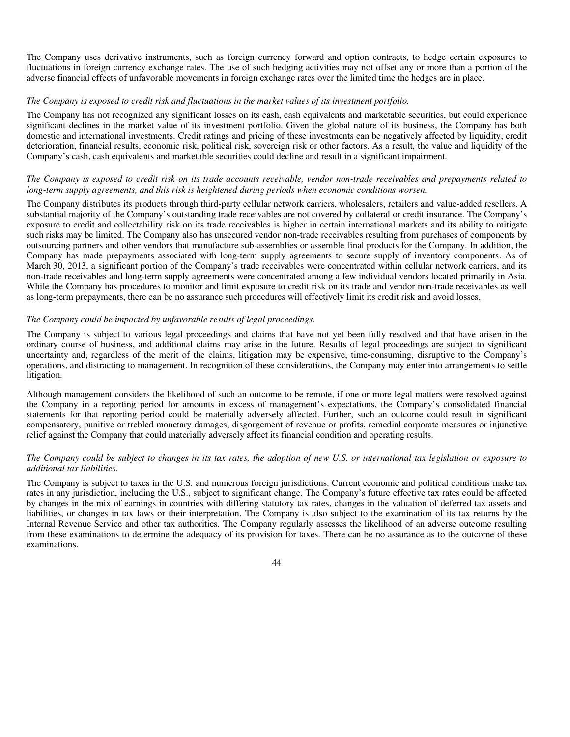The Company uses derivative instruments, such as foreign currency forward and option contracts, to hedge certain exposures to fluctuations in foreign currency exchange rates. The use of such hedging activities may not offset any or more than a portion of the adverse financial effects of unfavorable movements in foreign exchange rates over the limited time the hedges are in place.

### *The Company is exposed to credit risk and fluctuations in the market values of its investment portfolio.*

The Company has not recognized any significant losses on its cash, cash equivalents and marketable securities, but could experience significant declines in the market value of its investment portfolio. Given the global nature of its business, the Company has both domestic and international investments. Credit ratings and pricing of these investments can be negatively affected by liquidity, credit deterioration, financial results, economic risk, political risk, sovereign risk or other factors. As a result, the value and liquidity of the Company's cash, cash equivalents and marketable securities could decline and result in a significant impairment.

# *The Company is exposed to credit risk on its trade accounts receivable, vendor non-trade receivables and prepayments related to long-term supply agreements, and this risk is heightened during periods when economic conditions worsen.*

The Company distributes its products through third-party cellular network carriers, wholesalers, retailers and value-added resellers. A substantial majority of the Company's outstanding trade receivables are not covered by collateral or credit insurance. The Company's exposure to credit and collectability risk on its trade receivables is higher in certain international markets and its ability to mitigate such risks may be limited. The Company also has unsecured vendor non-trade receivables resulting from purchases of components by outsourcing partners and other vendors that manufacture sub-assemblies or assemble final products for the Company. In addition, the Company has made prepayments associated with long-term supply agreements to secure supply of inventory components. As of March 30, 2013, a significant portion of the Company's trade receivables were concentrated within cellular network carriers, and its non-trade receivables and long-term supply agreements were concentrated among a few individual vendors located primarily in Asia. While the Company has procedures to monitor and limit exposure to credit risk on its trade and vendor non-trade receivables as well as long-term prepayments, there can be no assurance such procedures will effectively limit its credit risk and avoid losses.

#### *The Company could be impacted by unfavorable results of legal proceedings.*

The Company is subject to various legal proceedings and claims that have not yet been fully resolved and that have arisen in the ordinary course of business, and additional claims may arise in the future. Results of legal proceedings are subject to significant uncertainty and, regardless of the merit of the claims, litigation may be expensive, time-consuming, disruptive to the Company's operations, and distracting to management. In recognition of these considerations, the Company may enter into arrangements to settle litigation.

Although management considers the likelihood of such an outcome to be remote, if one or more legal matters were resolved against the Company in a reporting period for amounts in excess of management's expectations, the Company's consolidated financial statements for that reporting period could be materially adversely affected. Further, such an outcome could result in significant compensatory, punitive or trebled monetary damages, disgorgement of revenue or profits, remedial corporate measures or injunctive relief against the Company that could materially adversely affect its financial condition and operating results.

#### *The Company could be subject to changes in its tax rates, the adoption of new U.S. or international tax legislation or exposure to additional tax liabilities.*

The Company is subject to taxes in the U.S. and numerous foreign jurisdictions. Current economic and political conditions make tax rates in any jurisdiction, including the U.S., subject to significant change. The Company's future effective tax rates could be affected by changes in the mix of earnings in countries with differing statutory tax rates, changes in the valuation of deferred tax assets and liabilities, or changes in tax laws or their interpretation. The Company is also subject to the examination of its tax returns by the Internal Revenue Service and other tax authorities. The Company regularly assesses the likelihood of an adverse outcome resulting from these examinations to determine the adequacy of its provision for taxes. There can be no assurance as to the outcome of these examinations.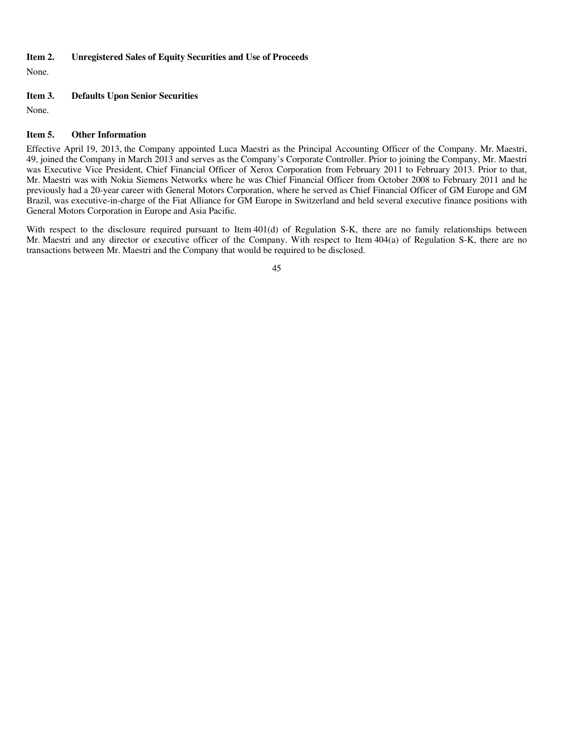# **Item 2. Unregistered Sales of Equity Securities and Use of Proceeds**

None.

# **Item 3. Defaults Upon Senior Securities**

None.

# **Item 5. Other Information**

Effective April 19, 2013, the Company appointed Luca Maestri as the Principal Accounting Officer of the Company. Mr. Maestri, 49, joined the Company in March 2013 and serves as the Company's Corporate Controller. Prior to joining the Company, Mr. Maestri was Executive Vice President, Chief Financial Officer of Xerox Corporation from February 2011 to February 2013. Prior to that, Mr. Maestri was with Nokia Siemens Networks where he was Chief Financial Officer from October 2008 to February 2011 and he previously had a 20-year career with General Motors Corporation, where he served as Chief Financial Officer of GM Europe and GM Brazil, was executive-in-charge of the Fiat Alliance for GM Europe in Switzerland and held several executive finance positions with General Motors Corporation in Europe and Asia Pacific.

With respect to the disclosure required pursuant to Item 401(d) of Regulation S-K, there are no family relationships between Mr. Maestri and any director or executive officer of the Company. With respect to Item 404(a) of Regulation S-K, there are no transactions between Mr. Maestri and the Company that would be required to be disclosed.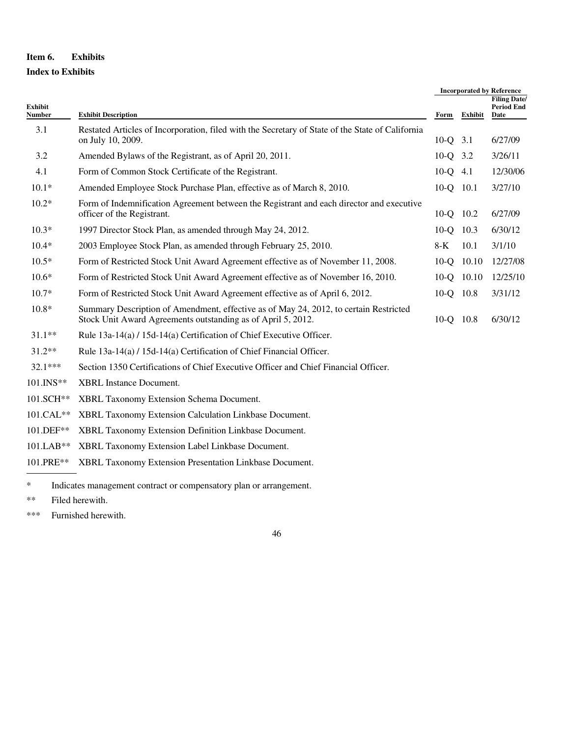# **Item 6. Exhibits**

# **Index to Exhibits**

|                                                        | <b>Incorporated by Reference</b>                                                                                                                      |             |                |                                                  |
|--------------------------------------------------------|-------------------------------------------------------------------------------------------------------------------------------------------------------|-------------|----------------|--------------------------------------------------|
| <b>Exhibit</b><br>Number<br><b>Exhibit Description</b> |                                                                                                                                                       | Form        | <b>Exhibit</b> | <b>Filing Date/</b><br><b>Period End</b><br>Date |
| 3.1                                                    | Restated Articles of Incorporation, filed with the Secretary of State of the State of California<br>on July 10, 2009.                                 | $10-Q$ 3.1  |                | 6/27/09                                          |
| 3.2                                                    | Amended Bylaws of the Registrant, as of April 20, 2011.                                                                                               | $10-Q$ 3.2  |                | 3/26/11                                          |
| 4.1                                                    | Form of Common Stock Certificate of the Registrant.                                                                                                   | $10-Q$ 4.1  |                | 12/30/06                                         |
| $10.1*$                                                | Amended Employee Stock Purchase Plan, effective as of March 8, 2010.                                                                                  | $10-Q$ 10.1 |                | 3/27/10                                          |
| $10.2*$                                                | Form of Indemnification Agreement between the Registrant and each director and executive<br>officer of the Registrant.                                | 10-Q 10.2   |                | 6/27/09                                          |
| $10.3*$                                                | 1997 Director Stock Plan, as amended through May 24, 2012.                                                                                            | $10-Q$      | 10.3           | 6/30/12                                          |
| $10.4*$                                                | 2003 Employee Stock Plan, as amended through February 25, 2010.                                                                                       | $8-K$       | 10.1           | 3/1/10                                           |
| $10.5*$                                                | Form of Restricted Stock Unit Award Agreement effective as of November 11, 2008.                                                                      | $10-Q$      | 10.10          | 12/27/08                                         |
| $10.6*$                                                | Form of Restricted Stock Unit Award Agreement effective as of November 16, 2010.                                                                      |             | 10-Q 10.10     | 12/25/10                                         |
| $10.7*$                                                | Form of Restricted Stock Unit Award Agreement effective as of April 6, 2012.                                                                          | $10-Q$ 10.8 |                | 3/31/12                                          |
| $10.8*$                                                | Summary Description of Amendment, effective as of May 24, 2012, to certain Restricted<br>Stock Unit Award Agreements outstanding as of April 5, 2012. | 10-Q 10.8   |                | 6/30/12                                          |
| $31.1**$                                               | Rule 13a-14(a) / 15d-14(a) Certification of Chief Executive Officer.                                                                                  |             |                |                                                  |
| $31.2**$                                               | Rule 13a-14(a) / 15d-14(a) Certification of Chief Financial Officer.                                                                                  |             |                |                                                  |
| $32.1***$                                              | Section 1350 Certifications of Chief Executive Officer and Chief Financial Officer.                                                                   |             |                |                                                  |
| 101.INS**                                              | <b>XBRL</b> Instance Document.                                                                                                                        |             |                |                                                  |
| 101.SCH**                                              | XBRL Taxonomy Extension Schema Document.                                                                                                              |             |                |                                                  |
| 101.CAL**                                              | XBRL Taxonomy Extension Calculation Linkbase Document.                                                                                                |             |                |                                                  |
| 101.DEF**                                              | XBRL Taxonomy Extension Definition Linkbase Document.                                                                                                 |             |                |                                                  |
| $101.LAB**$                                            | XBRL Taxonomy Extension Label Linkbase Document.                                                                                                      |             |                |                                                  |
| 101.PRE**                                              | XBRL Taxonomy Extension Presentation Linkbase Document.                                                                                               |             |                |                                                  |
|                                                        |                                                                                                                                                       |             |                |                                                  |

 $\ast$ Indicates management contract or compensatory plan or arrangement.

 $**$ Filed herewith.

 $***$ Furnished herewith.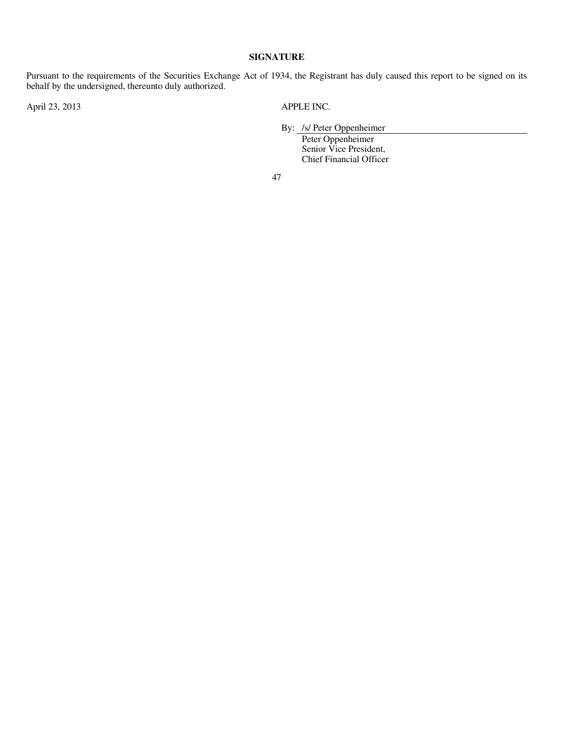# **SIGNATURE**

Pursuant to the requirements of the Securities Exchange Act of 1934, the Registrant has duly caused this report to be signed on its behalf by the undersigned, thereunto duly authorized.

April 23, 2013 APPLE INC.

By: /s/ Peter Oppenheimer

 Peter Oppenheimer Senior Vice President, Chief Financial Officer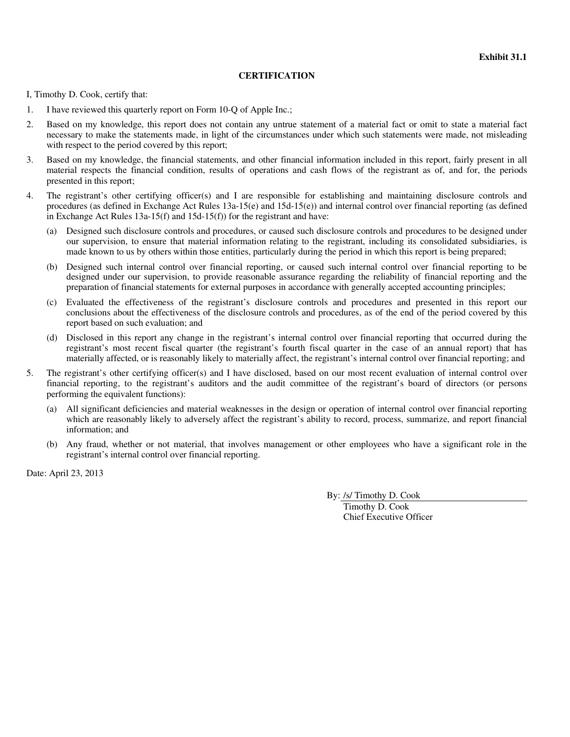# **CERTIFICATION**

I, Timothy D. Cook, certify that:

- 1. I have reviewed this quarterly report on Form 10-Q of Apple Inc.;
- 2. Based on my knowledge, this report does not contain any untrue statement of a material fact or omit to state a material fact necessary to make the statements made, in light of the circumstances under which such statements were made, not misleading with respect to the period covered by this report;
- 3. Based on my knowledge, the financial statements, and other financial information included in this report, fairly present in all material respects the financial condition, results of operations and cash flows of the registrant as of, and for, the periods presented in this report;
- 4. The registrant's other certifying officer(s) and I are responsible for establishing and maintaining disclosure controls and procedures (as defined in Exchange Act Rules 13a-15(e) and 15d-15(e)) and internal control over financial reporting (as defined in Exchange Act Rules  $13a-15(f)$  and  $15d-15(f)$  for the registrant and have:
	- (a) Designed such disclosure controls and procedures, or caused such disclosure controls and procedures to be designed under our supervision, to ensure that material information relating to the registrant, including its consolidated subsidiaries, is made known to us by others within those entities, particularly during the period in which this report is being prepared;
	- (b) Designed such internal control over financial reporting, or caused such internal control over financial reporting to be designed under our supervision, to provide reasonable assurance regarding the reliability of financial reporting and the preparation of financial statements for external purposes in accordance with generally accepted accounting principles;
	- (c) Evaluated the effectiveness of the registrant's disclosure controls and procedures and presented in this report our conclusions about the effectiveness of the disclosure controls and procedures, as of the end of the period covered by this report based on such evaluation; and
	- (d) Disclosed in this report any change in the registrant's internal control over financial reporting that occurred during the registrant's most recent fiscal quarter (the registrant's fourth fiscal quarter in the case of an annual report) that has materially affected, or is reasonably likely to materially affect, the registrant's internal control over financial reporting; and
- 5. The registrant's other certifying officer(s) and I have disclosed, based on our most recent evaluation of internal control over financial reporting, to the registrant's auditors and the audit committee of the registrant's board of directors (or persons performing the equivalent functions):
	- (a) All significant deficiencies and material weaknesses in the design or operation of internal control over financial reporting which are reasonably likely to adversely affect the registrant's ability to record, process, summarize, and report financial information; and
	- (b) Any fraud, whether or not material, that involves management or other employees who have a significant role in the registrant's internal control over financial reporting.

Date: April 23, 2013

By: /s/ Timothy D. Cook

Timothy D. Cook Chief Executive Officer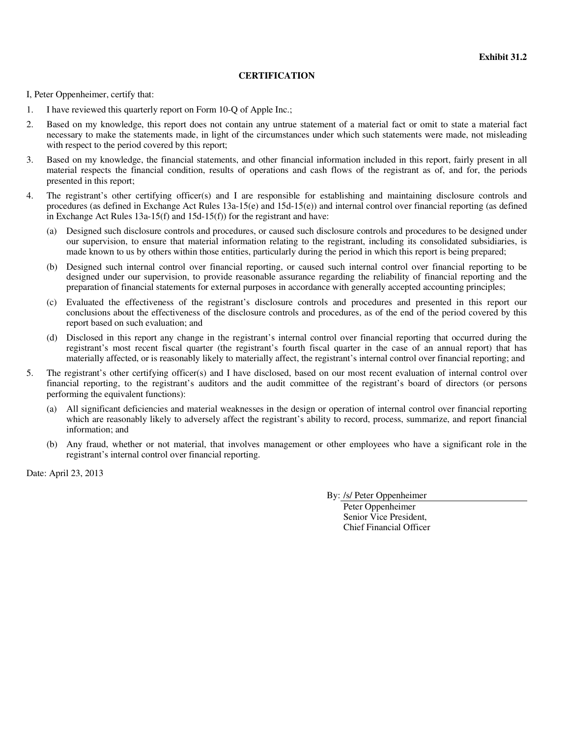# **CERTIFICATION**

I, Peter Oppenheimer, certify that:

- 1. I have reviewed this quarterly report on Form 10-Q of Apple Inc.;
- 2. Based on my knowledge, this report does not contain any untrue statement of a material fact or omit to state a material fact necessary to make the statements made, in light of the circumstances under which such statements were made, not misleading with respect to the period covered by this report;
- 3. Based on my knowledge, the financial statements, and other financial information included in this report, fairly present in all material respects the financial condition, results of operations and cash flows of the registrant as of, and for, the periods presented in this report;
- 4. The registrant's other certifying officer(s) and I are responsible for establishing and maintaining disclosure controls and procedures (as defined in Exchange Act Rules 13a-15(e) and 15d-15(e)) and internal control over financial reporting (as defined in Exchange Act Rules  $13a-15(f)$  and  $15d-15(f)$  for the registrant and have:
	- (a) Designed such disclosure controls and procedures, or caused such disclosure controls and procedures to be designed under our supervision, to ensure that material information relating to the registrant, including its consolidated subsidiaries, is made known to us by others within those entities, particularly during the period in which this report is being prepared;
	- (b) Designed such internal control over financial reporting, or caused such internal control over financial reporting to be designed under our supervision, to provide reasonable assurance regarding the reliability of financial reporting and the preparation of financial statements for external purposes in accordance with generally accepted accounting principles;
	- (c) Evaluated the effectiveness of the registrant's disclosure controls and procedures and presented in this report our conclusions about the effectiveness of the disclosure controls and procedures, as of the end of the period covered by this report based on such evaluation; and
	- (d) Disclosed in this report any change in the registrant's internal control over financial reporting that occurred during the registrant's most recent fiscal quarter (the registrant's fourth fiscal quarter in the case of an annual report) that has materially affected, or is reasonably likely to materially affect, the registrant's internal control over financial reporting; and
- 5. The registrant's other certifying officer(s) and I have disclosed, based on our most recent evaluation of internal control over financial reporting, to the registrant's auditors and the audit committee of the registrant's board of directors (or persons performing the equivalent functions):
	- (a) All significant deficiencies and material weaknesses in the design or operation of internal control over financial reporting which are reasonably likely to adversely affect the registrant's ability to record, process, summarize, and report financial information; and
	- (b) Any fraud, whether or not material, that involves management or other employees who have a significant role in the registrant's internal control over financial reporting.

Date: April 23, 2013

By: /s/ Peter Oppenheimer

Peter Oppenheimer Senior Vice President, Chief Financial Officer